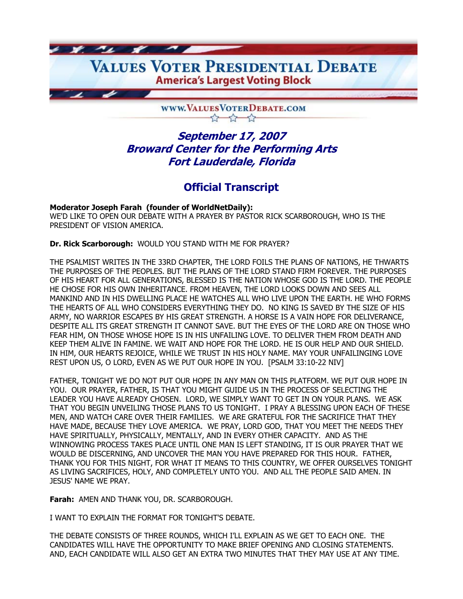VALUES VOTER PRESIDENTIAL DEBATE **America's Largest Voting Block** 

> WWW.VALUESVOTERDEBATE.COM  $\frac{1}{2}$   $\frac{1}{2}$

# **September 17, 2007 Broward Center for the Performing Arts Fort Lauderdale, Florida**

# **Official Transcript**

**Moderator Joseph Farah (founder of WorldNetDaily):**  WE'D LIKE TO OPEN OUR DEBATE WITH A PRAYER BY PASTOR RICK SCARBOROUGH, WHO IS THE PRESIDENT OF VISION AMERICA.

**Dr. Rick Scarborough:** WOULD YOU STAND WITH ME FOR PRAYER?

 $x_1$  and  $x_2$  and  $x_3$ 

THE PSALMIST WRITES IN THE 33RD CHAPTER, THE LORD FOILS THE PLANS OF NATIONS, HE THWARTS THE PURPOSES OF THE PEOPLES. BUT THE PLANS OF THE LORD STAND FIRM FOREVER. THE PURPOSES OF HIS HEART FOR ALL GENERATIONS, BLESSED IS THE NATION WHOSE GOD IS THE LORD. THE PEOPLE HE CHOSE FOR HIS OWN INHERITANCE. FROM HEAVEN, THE LORD LOOKS DOWN AND SEES ALL MANKIND AND IN HIS DWELLING PLACE HE WATCHES ALL WHO LIVE UPON THE EARTH. HE WHO FORMS THE HEARTS OF ALL WHO CONSIDERS EVERYTHING THEY DO. NO KING IS SAVED BY THE SIZE OF HIS ARMY, NO WARRIOR ESCAPES BY HIS GREAT STRENGTH. A HORSE IS A VAIN HOPE FOR DELIVERANCE, DESPITE ALL ITS GREAT STRENGTH IT CANNOT SAVE. BUT THE EYES OF THE LORD ARE ON THOSE WHO FEAR HIM, ON THOSE WHOSE HOPE IS IN HIS UNFAILING LOVE. TO DELIVER THEM FROM DEATH AND KEEP THEM ALIVE IN FAMINE. WE WAIT AND HOPE FOR THE LORD. HE IS OUR HELP AND OUR SHIELD. IN HIM, OUR HEARTS REJOICE, WHILE WE TRUST IN HIS HOLY NAME. MAY YOUR UNFAILINGING LOVE REST UPON US, O LORD, EVEN AS WE PUT OUR HOPE IN YOU. [PSALM 33:10-22 NIV]

FATHER, TONIGHT WE DO NOT PUT OUR HOPE IN ANY MAN ON THIS PLATFORM. WE PUT OUR HOPE IN YOU. OUR PRAYER, FATHER, IS THAT YOU MIGHT GUIDE US IN THE PROCESS OF SELECTING THE LEADER YOU HAVE ALREADY CHOSEN. LORD, WE SIMPLY WANT TO GET IN ON YOUR PLANS. WE ASK THAT YOU BEGIN UNVEILING THOSE PLANS TO US TONIGHT. I PRAY A BLESSING UPON EACH OF THESE MEN, AND WATCH CARE OVER THEIR FAMILIES. WE ARE GRATEFUL FOR THE SACRIFICE THAT THEY HAVE MADE, BECAUSE THEY LOVE AMERICA. WE PRAY, LORD GOD, THAT YOU MEET THE NEEDS THEY HAVE SPIRITUALLY, PHYSICALLY, MENTALLY, AND IN EVERY OTHER CAPACITY. AND AS THE WINNOWING PROCESS TAKES PLACE UNTIL ONE MAN IS LEFT STANDING, IT IS OUR PRAYER THAT WE WOULD BE DISCERNING, AND UNCOVER THE MAN YOU HAVE PREPARED FOR THIS HOUR. FATHER, THANK YOU FOR THIS NIGHT, FOR WHAT IT MEANS TO THIS COUNTRY, WE OFFER OURSELVES TONIGHT AS LIVING SACRIFICES, HOLY, AND COMPLETELY UNTO YOU. AND ALL THE PEOPLE SAID AMEN. IN JESUS' NAME WE PRAY.

**Farah:** AMEN AND THANK YOU, DR. SCARBOROUGH.

I WANT TO EXPLAIN THE FORMAT FOR TONIGHT'S DEBATE.

THE DEBATE CONSISTS OF THREE ROUNDS, WHICH I'LL EXPLAIN AS WE GET TO EACH ONE. THE CANDIDATES WILL HAVE THE OPPORTUNITY TO MAKE BRIEF OPENING AND CLOSING STATEMENTS. AND, EACH CANDIDATE WILL ALSO GET AN EXTRA TWO MINUTES THAT THEY MAY USE AT ANY TIME.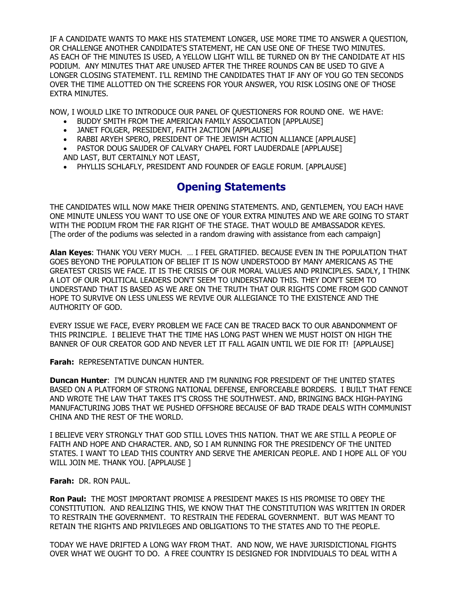IF A CANDIDATE WANTS TO MAKE HIS STATEMENT LONGER, USE MORE TIME TO ANSWER A QUESTION, OR CHALLENGE ANOTHER CANDIDATE'S STATEMENT, HE CAN USE ONE OF THESE TWO MINUTES. AS EACH OF THE MINUTES IS USED, A YELLOW LIGHT WILL BE TURNED ON BY THE CANDIDATE AT HIS PODIUM. ANY MINUTES THAT ARE UNUSED AFTER THE THREE ROUNDS CAN BE USED TO GIVE A LONGER CLOSING STATEMENT. I'LL REMIND THE CANDIDATES THAT IF ANY OF YOU GO TEN SECONDS OVER THE TIME ALLOTTED ON THE SCREENS FOR YOUR ANSWER, YOU RISK LOSING ONE OF THOSE EXTRA MINUTES.

NOW, I WOULD LIKE TO INTRODUCE OUR PANEL OF QUESTIONERS FOR ROUND ONE. WE HAVE:

- BUDDY SMITH FROM THE AMERICAN FAMILY ASSOCIATION [APPLAUSE]
- JANET FOLGER, PRESIDENT, FAITH 2ACTION [APPLAUSE]
- RABBI ARYEH SPERO, PRESIDENT OF THE JEWISH ACTION ALLIANCE [APPLAUSE]

• PASTOR DOUG SAUDER OF CALVARY CHAPEL FORT LAUDERDALE [APPLAUSE] AND LAST, BUT CERTAINLY NOT LEAST,

• PHYLLIS SCHLAFLY, PRESIDENT AND FOUNDER OF EAGLE FORUM. [APPLAUSE]

# **Opening Statements**

THE CANDIDATES WILL NOW MAKE THEIR OPENING STATEMENTS. AND, GENTLEMEN, YOU EACH HAVE ONE MINUTE UNLESS YOU WANT TO USE ONE OF YOUR EXTRA MINUTES AND WE ARE GOING TO START WITH THE PODIUM FROM THE FAR RIGHT OF THE STAGE. THAT WOULD BE AMBASSADOR KEYES. [The order of the podiums was selected in a random drawing with assistance from each campaign]

**Alan Keyes**: THANK YOU VERY MUCH. … I FEEL GRATIFIED. BECAUSE EVEN IN THE POPULATION THAT GOES BEYOND THE POPULATION OF BELIEF IT IS NOW UNDERSTOOD BY MANY AMERICANS AS THE GREATEST CRISIS WE FACE. IT IS THE CRISIS OF OUR MORAL VALUES AND PRINCIPLES. SADLY, I THINK A LOT OF OUR POLITICAL LEADERS DON'T SEEM TO UNDERSTAND THIS. THEY DON'T SEEM TO UNDERSTAND THAT IS BASED AS WE ARE ON THE TRUTH THAT OUR RIGHTS COME FROM GOD CANNOT HOPE TO SURVIVE ON LESS UNLESS WE REVIVE OUR ALLEGIANCE TO THE EXISTENCE AND THE AUTHORITY OF GOD.

EVERY ISSUE WE FACE, EVERY PROBLEM WE FACE CAN BE TRACED BACK TO OUR ABANDONMENT OF THIS PRINCIPLE. I BELIEVE THAT THE TIME HAS LONG PAST WHEN WE MUST HOIST ON HIGH THE BANNER OF OUR CREATOR GOD AND NEVER LET IT FALL AGAIN UNTIL WE DIE FOR IT! [APPLAUSE]

**Farah:** REPRESENTATIVE DUNCAN HUNTER.

**Duncan Hunter**: I'M DUNCAN HUNTER AND I'M RUNNING FOR PRESIDENT OF THE UNITED STATES BASED ON A PLATFORM OF STRONG NATIONAL DEFENSE, ENFORCEABLE BORDERS. I BUILT THAT FENCE AND WROTE THE LAW THAT TAKES IT'S CROSS THE SOUTHWEST. AND, BRINGING BACK HIGH-PAYING MANUFACTURING JOBS THAT WE PUSHED OFFSHORE BECAUSE OF BAD TRADE DEALS WITH COMMUNIST CHINA AND THE REST OF THE WORLD.

I BELIEVE VERY STRONGLY THAT GOD STILL LOVES THIS NATION. THAT WE ARE STILL A PEOPLE OF FAITH AND HOPE AND CHARACTER. AND, SO I AM RUNNING FOR THE PRESIDENCY OF THE UNITED STATES. I WANT TO LEAD THIS COUNTRY AND SERVE THE AMERICAN PEOPLE. AND I HOPE ALL OF YOU WILL JOIN ME. THANK YOU. [APPLAUSE ]

## **Farah:** DR. RON PAUL.

**Ron Paul:** THE MOST IMPORTANT PROMISE A PRESIDENT MAKES IS HIS PROMISE TO OBEY THE CONSTITUTION. AND REALIZING THIS, WE KNOW THAT THE CONSTITUTION WAS WRITTEN IN ORDER TO RESTRAIN THE GOVERNMENT. TO RESTRAIN THE FEDERAL GOVERNMENT. BUT WAS MEANT TO RETAIN THE RIGHTS AND PRIVILEGES AND OBLIGATIONS TO THE STATES AND TO THE PEOPLE.

TODAY WE HAVE DRIFTED A LONG WAY FROM THAT. AND NOW, WE HAVE JURISDICTIONAL FIGHTS OVER WHAT WE OUGHT TO DO. A FREE COUNTRY IS DESIGNED FOR INDIVIDUALS TO DEAL WITH A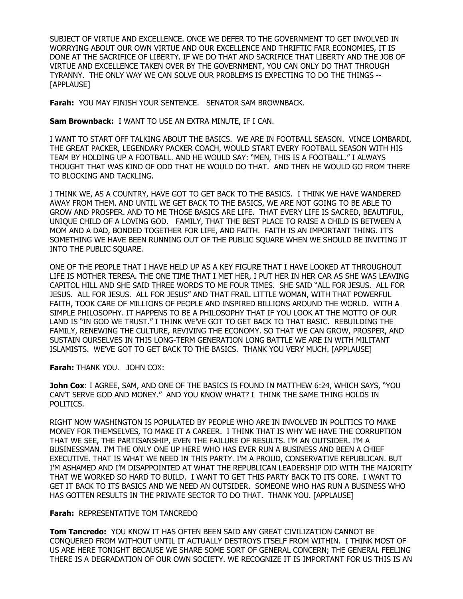SUBJECT OF VIRTUE AND EXCELLENCE. ONCE WE DEFER TO THE GOVERNMENT TO GET INVOLVED IN WORRYING ABOUT OUR OWN VIRTUE AND OUR EXCELLENCE AND THRIFTIC FAIR ECONOMIES, IT IS DONE AT THE SACRIFICE OF LIBERTY. IF WE DO THAT AND SACRIFICE THAT LIBERTY AND THE JOB OF VIRTUE AND EXCELLENCE TAKEN OVER BY THE GOVERNMENT, YOU CAN ONLY DO THAT THROUGH TYRANNY. THE ONLY WAY WE CAN SOLVE OUR PROBLEMS IS EXPECTING TO DO THE THINGS -- [APPLAUSE]

**Farah:** YOU MAY FINISH YOUR SENTENCE. SENATOR SAM BROWNBACK.

**Sam Brownback:** I WANT TO USE AN EXTRA MINUTE, IF I CAN.

I WANT TO START OFF TALKING ABOUT THE BASICS. WE ARE IN FOOTBALL SEASON. VINCE LOMBARDI, THE GREAT PACKER, LEGENDARY PACKER COACH, WOULD START EVERY FOOTBALL SEASON WITH HIS TEAM BY HOLDING UP A FOOTBALL. AND HE WOULD SAY: "MEN, THIS IS A FOOTBALL." I ALWAYS THOUGHT THAT WAS KIND OF ODD THAT HE WOULD DO THAT. AND THEN HE WOULD GO FROM THERE TO BLOCKING AND TACKLING.

I THINK WE, AS A COUNTRY, HAVE GOT TO GET BACK TO THE BASICS. I THINK WE HAVE WANDERED AWAY FROM THEM. AND UNTIL WE GET BACK TO THE BASICS, WE ARE NOT GOING TO BE ABLE TO GROW AND PROSPER. AND TO ME THOSE BASICS ARE LIFE. THAT EVERY LIFE IS SACRED, BEAUTIFUL, UNIQUE CHILD OF A LOVING GOD. FAMILY, THAT THE BEST PLACE TO RAISE A CHILD IS BETWEEN A MOM AND A DAD, BONDED TOGETHER FOR LIFE, AND FAITH. FAITH IS AN IMPORTANT THING. IT'S SOMETHING WE HAVE BEEN RUNNING OUT OF THE PUBLIC SQUARE WHEN WE SHOULD BE INVITING IT INTO THE PUBLIC SQUARE.

ONE OF THE PEOPLE THAT I HAVE HELD UP AS A KEY FIGURE THAT I HAVE LOOKED AT THROUGHOUT LIFE IS MOTHER TERESA. THE ONE TIME THAT I MET HER, I PUT HER IN HER CAR AS SHE WAS LEAVING CAPITOL HILL AND SHE SAID THREE WORDS TO ME FOUR TIMES. SHE SAID "ALL FOR JESUS. ALL FOR JESUS. ALL FOR JESUS. ALL FOR JESUS" AND THAT FRAIL LITTLE WOMAN, WITH THAT POWERFUL FAITH, TOOK CARE OF MILLIONS OF PEOPLE AND INSPIRED BILLIONS AROUND THE WORLD. WITH A SIMPLE PHILOSOPHY. IT HAPPENS TO BE A PHILOSOPHY THAT IF YOU LOOK AT THE MOTTO OF OUR LAND IS "IN GOD WE TRUST." I THINK WE'VE GOT TO GET BACK TO THAT BASIC. REBUILDING THE FAMILY, RENEWING THE CULTURE, REVIVING THE ECONOMY. SO THAT WE CAN GROW, PROSPER, AND SUSTAIN OURSELVES IN THIS LONG-TERM GENERATION LONG BATTLE WE ARE IN WITH MILITANT ISLAMISTS. WE'VE GOT TO GET BACK TO THE BASICS. THANK YOU VERY MUCH. [APPLAUSE]

**Farah:** THANK YOU. JOHN COX:

**John Cox**: I AGREE, SAM, AND ONE OF THE BASICS IS FOUND IN MATTHEW 6:24, WHICH SAYS, "YOU CAN'T SERVE GOD AND MONEY." AND YOU KNOW WHAT? I THINK THE SAME THING HOLDS IN POLITICS.

RIGHT NOW WASHINGTON IS POPULATED BY PEOPLE WHO ARE IN INVOLVED IN POLITICS TO MAKE MONEY FOR THEMSELVES, TO MAKE IT A CAREER. I THINK THAT IS WHY WE HAVE THE CORRUPTION THAT WE SEE, THE PARTISANSHIP, EVEN THE FAILURE OF RESULTS. I'M AN OUTSIDER. I'M A BUSINESSMAN. I'M THE ONLY ONE UP HERE WHO HAS EVER RUN A BUSINESS AND BEEN A CHIEF EXECUTIVE. THAT IS WHAT WE NEED IN THIS PARTY. I'M A PROUD, CONSERVATIVE REPUBLICAN. BUT I'M ASHAMED AND I'M DISAPPOINTED AT WHAT THE REPUBLICAN LEADERSHIP DID WITH THE MAJORITY THAT WE WORKED SO HARD TO BUILD. I WANT TO GET THIS PARTY BACK TO ITS CORE. I WANT TO GET IT BACK TO ITS BASICS AND WE NEED AN OUTSIDER. SOMEONE WHO HAS RUN A BUSINESS WHO HAS GOTTEN RESULTS IN THE PRIVATE SECTOR TO DO THAT. THANK YOU. [APPLAUSE]

**Farah:** REPRESENTATIVE TOM TANCREDO

**Tom Tancredo:** YOU KNOW IT HAS OFTEN BEEN SAID ANY GREAT CIVILIZATION CANNOT BE CONQUERED FROM WITHOUT UNTIL IT ACTUALLY DESTROYS ITSELF FROM WITHIN. I THINK MOST OF US ARE HERE TONIGHT BECAUSE WE SHARE SOME SORT OF GENERAL CONCERN; THE GENERAL FEELING THERE IS A DEGRADATION OF OUR OWN SOCIETY. WE RECOGNIZE IT IS IMPORTANT FOR US THIS IS AN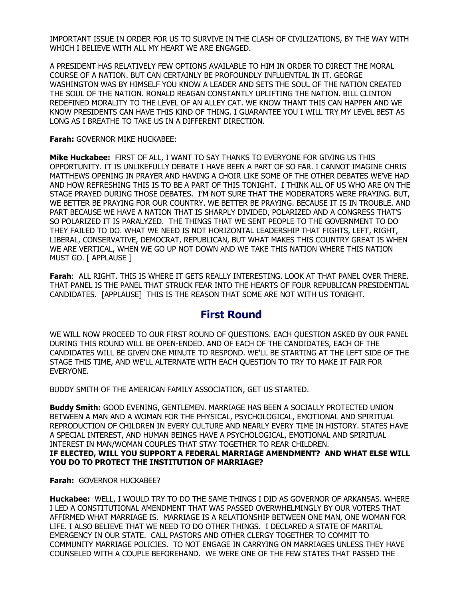IMPORTANT ISSUE IN ORDER FOR US TO SURVIVE IN THE CLASH OF CIVILIZATIONS, BY THE WAY WITH WHICH I BELIEVE WITH ALL MY HEART WE ARE ENGAGED.

A PRESIDENT HAS RELATIVELY FEW OPTIONS AVAILABLE TO HIM IN ORDER TO DIRECT THE MORAL COURSE OF A NATION. BUT CAN CERTAINLY BE PROFOUNDLY INFLUENTIAL IN IT. GEORGE WASHINGTON WAS BY HIMSELF YOU KNOW A LEADER AND SETS THE SOUL OF THE NATION CREATED THE SOUL OF THE NATION. RONALD REAGAN CONSTANTLY UPLIFTING THE NATION. BILL CLINTON REDEFINED MORALITY TO THE LEVEL OF AN ALLEY CAT. WE KNOW THANT THIS CAN HAPPEN AND WE KNOW PRESIDENTS CAN HAVE THIS KIND OF THING. I GUARANTEE YOU I WILL TRY MY LEVEL BEST AS LONG AS I BREATHE TO TAKE US IN A DIFFERENT DIRECTION.

**Farah:** GOVERNOR MIKE HUCKABEE:

**Mike Huckabee:** FIRST OF ALL, I WANT TO SAY THANKS TO EVERYONE FOR GIVING US THIS OPPORTUNITY. IT IS UNLIKEFULLY DEBATE I HAVE BEEN A PART OF SO FAR. I CANNOT IMAGINE CHRIS MATTHEWS OPENING IN PRAYER AND HAVING A CHOIR LIKE SOME OF THE OTHER DEBATES WE'VE HAD AND HOW REFRESHING THIS IS TO BE A PART OF THIS TONIGHT. I THINK ALL OF US WHO ARE ON THE STAGE PRAYED DURING THOSE DEBATES. I'M NOT SURE THAT THE MODERATORS WERE PRAYING. BUT, WE BETTER BE PRAYING FOR OUR COUNTRY. WE BETTER BE PRAYING. BECAUSE IT IS IN TROUBLE. AND PART BECAUSE WE HAVE A NATION THAT IS SHARPLY DIVIDED, POLARIZED AND A CONGRESS THAT'S SO POLARIZED IT IS PARALYZED. THE THINGS THAT WE SENT PEOPLE TO THE GOVERNMENT TO DO THEY FAILED TO DO. WHAT WE NEED IS NOT HORIZONTAL LEADERSHIP THAT FIGHTS, LEFT, RIGHT, LIBERAL, CONSERVATIVE, DEMOCRAT, REPUBLICAN, BUT WHAT MAKES THIS COUNTRY GREAT IS WHEN WE ARE VERTICAL, WHEN WE GO UP NOT DOWN AND WE TAKE THIS NATION WHERE THIS NATION MUST GO. [ APPLAUSE ]

**Farah**: ALL RIGHT. THIS IS WHERE IT GETS REALLY INTERESTING. LOOK AT THAT PANEL OVER THERE. THAT PANEL IS THE PANEL THAT STRUCK FEAR INTO THE HEARTS OF FOUR REPUBLICAN PRESIDENTIAL CANDIDATES. [APPLAUSE] THIS IS THE REASON THAT SOME ARE NOT WITH US TONIGHT.

## **First Round**

WE WILL NOW PROCEED TO OUR FIRST ROUND OF QUESTIONS. EACH QUESTION ASKED BY OUR PANEL DURING THIS ROUND WILL BE OPEN-ENDED. AND OF EACH OF THE CANDIDATES, EACH OF THE CANDIDATES WILL BE GIVEN ONE MINUTE TO RESPOND. WE'LL BE STARTING AT THE LEFT SIDE OF THE STAGE THIS TIME, AND WE'LL ALTERNATE WITH EACH QUESTION TO TRY TO MAKE IT FAIR FOR EVERYONE.

BUDDY SMITH OF THE AMERICAN FAMILY ASSOCIATION, GET US STARTED.

**Buddy Smith:** GOOD EVENING, GENTLEMEN. MARRIAGE HAS BEEN A SOCIALLY PROTECTED UNION BETWEEN A MAN AND A WOMAN FOR THE PHYSICAL, PSYCHOLOGICAL, EMOTIONAL AND SPIRITUAL REPRODUCTION OF CHILDREN IN EVERY CULTURE AND NEARLY EVERY TIME IN HISTORY. STATES HAVE A SPECIAL INTEREST, AND HUMAN BEINGS HAVE A PSYCHOLOGICAL, EMOTIONAL AND SPIRITUAL INTEREST IN MAN/WOMAN COUPLES THAT STAY TOGETHER TO REAR CHILDREN. **IF ELECTED, WILL YOU SUPPORT A FEDERAL MARRIAGE AMENDMENT? AND WHAT ELSE WILL YOU DO TO PROTECT THE INSTITUTION OF MARRIAGE?** 

**Farah:** GOVERNOR HUCKABEE?

**Huckabee:** WELL, I WOULD TRY TO DO THE SAME THINGS I DID AS GOVERNOR OF ARKANSAS. WHERE I LED A CONSTITUTIONAL AMENDMENT THAT WAS PASSED OVERWHELMINGLY BY OUR VOTERS THAT AFFIRMED WHAT MARRIAGE IS. MARRIAGE IS A RELATIONSHIP BETWEEN ONE MAN, ONE WOMAN FOR LIFE. I ALSO BELIEVE THAT WE NEED TO DO OTHER THINGS. I DECLARED A STATE OF MARITAL EMERGENCY IN OUR STATE. CALL PASTORS AND OTHER CLERGY TOGETHER TO COMMIT TO COMMUNITY MARRIAGE POLICIES. TO NOT ENGAGE IN CARRYING ON MARRIAGES UNLESS THEY HAVE COUNSELED WITH A COUPLE BEFOREHAND. WE WERE ONE OF THE FEW STATES THAT PASSED THE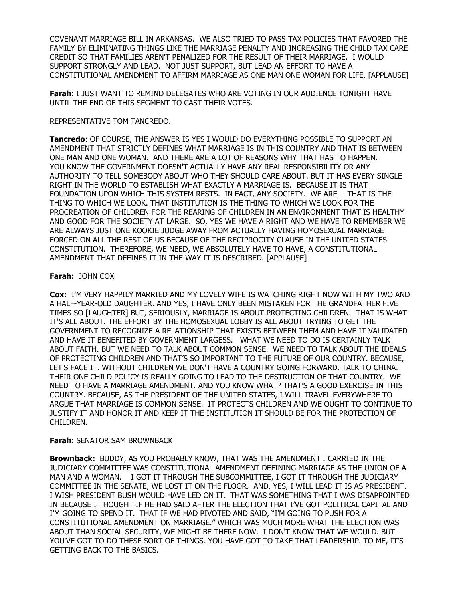COVENANT MARRIAGE BILL IN ARKANSAS. WE ALSO TRIED TO PASS TAX POLICIES THAT FAVORED THE FAMILY BY ELIMINATING THINGS LIKE THE MARRIAGE PENALTY AND INCREASING THE CHILD TAX CARE CREDIT SO THAT FAMILIES AREN'T PENALIZED FOR THE RESULT OF THEIR MARRIAGE. I WOULD SUPPORT STRONGLY AND LEAD. NOT JUST SUPPORT, BUT LEAD AN EFFORT TO HAVE A CONSTITUTIONAL AMENDMENT TO AFFIRM MARRIAGE AS ONE MAN ONE WOMAN FOR LIFE. [APPLAUSE]

**Farah**: I JUST WANT TO REMIND DELEGATES WHO ARE VOTING IN OUR AUDIENCE TONIGHT HAVE UNTIL THE END OF THIS SEGMENT TO CAST THEIR VOTES.

### REPRESENTATIVE TOM TANCREDO.

**Tancredo**: OF COURSE, THE ANSWER IS YES I WOULD DO EVERYTHING POSSIBLE TO SUPPORT AN AMENDMENT THAT STRICTLY DEFINES WHAT MARRIAGE IS IN THIS COUNTRY AND THAT IS BETWEEN ONE MAN AND ONE WOMAN. AND THERE ARE A LOT OF REASONS WHY THAT HAS TO HAPPEN. YOU KNOW THE GOVERNMENT DOESN'T ACTUALLY HAVE ANY REAL RESPONSIBILITY OR ANY AUTHORITY TO TELL SOMEBODY ABOUT WHO THEY SHOULD CARE ABOUT. BUT IT HAS EVERY SINGLE RIGHT IN THE WORLD TO ESTABLISH WHAT EXACTLY A MARRIAGE IS. BECAUSE IT IS THAT FOUNDATION UPON WHICH THIS SYSTEM RESTS. IN FACT, ANY SOCIETY. WE ARE -- THAT IS THE THING TO WHICH WE LOOK. THAT INSTITUTION IS THE THING TO WHICH WE LOOK FOR THE PROCREATION OF CHILDREN FOR THE REARING OF CHILDREN IN AN ENVIRONMENT THAT IS HEALTHY AND GOOD FOR THE SOCIETY AT LARGE. SO, YES WE HAVE A RIGHT AND WE HAVE TO REMEMBER WE ARE ALWAYS JUST ONE KOOKIE JUDGE AWAY FROM ACTUALLY HAVING HOMOSEXUAL MARRIAGE FORCED ON ALL THE REST OF US BECAUSE OF THE RECIPROCITY CLAUSE IN THE UNITED STATES CONSTITUTION. THEREFORE, WE NEED, WE ABSOLUTELY HAVE TO HAVE, A CONSTITUTIONAL AMENDMENT THAT DEFINES IT IN THE WAY IT IS DESCRIBED. [APPLAUSE]

## **Farah:** JOHN COX

**Cox:** I'M VERY HAPPILY MARRIED AND MY LOVELY WIFE IS WATCHING RIGHT NOW WITH MY TWO AND A HALF-YEAR-OLD DAUGHTER. AND YES, I HAVE ONLY BEEN MISTAKEN FOR THE GRANDFATHER FIVE TIMES SO [LAUGHTER] BUT, SERIOUSLY, MARRIAGE IS ABOUT PROTECTING CHILDREN. THAT IS WHAT IT'S ALL ABOUT. THE EFFORT BY THE HOMOSEXUAL LOBBY IS ALL ABOUT TRYING TO GET THE GOVERNMENT TO RECOGNIZE A RELATIONSHIP THAT EXISTS BETWEEN THEM AND HAVE IT VALIDATED AND HAVE IT BENEFITED BY GOVERNMENT LARGESS. WHAT WE NEED TO DO IS CERTAINLY TALK ABOUT FAITH. BUT WE NEED TO TALK ABOUT COMMON SENSE. WE NEED TO TALK ABOUT THE IDEALS OF PROTECTING CHILDREN AND THAT'S SO IMPORTANT TO THE FUTURE OF OUR COUNTRY. BECAUSE, LET'S FACE IT. WITHOUT CHILDREN WE DON'T HAVE A COUNTRY GOING FORWARD. TALK TO CHINA. THEIR ONE CHILD POLICY IS REALLY GOING TO LEAD TO THE DESTRUCTION OF THAT COUNTRY. WE NEED TO HAVE A MARRIAGE AMENDMENT. AND YOU KNOW WHAT? THAT'S A GOOD EXERCISE IN THIS COUNTRY. BECAUSE, AS THE PRESIDENT OF THE UNITED STATES, I WILL TRAVEL EVERYWHERE TO ARGUE THAT MARRIAGE IS COMMON SENSE. IT PROTECTS CHILDREN AND WE OUGHT TO CONTINUE TO JUSTIFY IT AND HONOR IT AND KEEP IT THE INSTITUTION IT SHOULD BE FOR THE PROTECTION OF CHILDREN.

## **Farah**: SENATOR SAM BROWNBACK

**Brownback:** BUDDY, AS YOU PROBABLY KNOW, THAT WAS THE AMENDMENT I CARRIED IN THE JUDICIARY COMMITTEE WAS CONSTITUTIONAL AMENDMENT DEFINING MARRIAGE AS THE UNION OF A MAN AND A WOMAN. I GOT IT THROUGH THE SUBCOMMITTEE, I GOT IT THROUGH THE JUDICIARY COMMITTEE IN THE SENATE, WE LOST IT ON THE FLOOR. AND, YES, I WILL LEAD IT IS AS PRESIDENT. I WISH PRESIDENT BUSH WOULD HAVE LED ON IT. THAT WAS SOMETHING THAT I WAS DISAPPOINTED IN BECAUSE I THOUGHT IF HE HAD SAID AFTER THE ELECTION THAT I'VE GOT POLITICAL CAPITAL AND I'M GOING TO SPEND IT. THAT IF WE HAD PIVOTED AND SAID, "I'M GOING TO PUSH FOR A CONSTITUTIONAL AMENDMENT ON MARRIAGE." WHICH WAS MUCH MORE WHAT THE ELECTION WAS ABOUT THAN SOCIAL SECURITY, WE MIGHT BE THERE NOW. I DON'T KNOW THAT WE WOULD. BUT YOU'VE GOT TO DO THESE SORT OF THINGS. YOU HAVE GOT TO TAKE THAT LEADERSHIP. TO ME, IT'S GETTING BACK TO THE BASICS.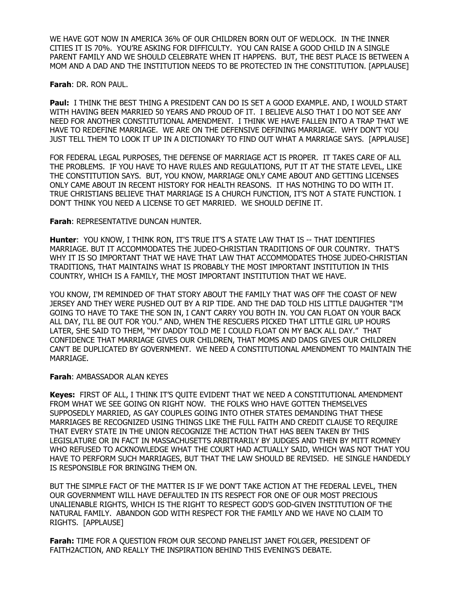WE HAVE GOT NOW IN AMERICA 36% OF OUR CHILDREN BORN OUT OF WEDLOCK. IN THE INNER CITIES IT IS 70%. YOU'RE ASKING FOR DIFFICULTY. YOU CAN RAISE A GOOD CHILD IN A SINGLE PARENT FAMILY AND WE SHOULD CELEBRATE WHEN IT HAPPENS. BUT, THE BEST PLACE IS BETWEEN A MOM AND A DAD AND THE INSTITUTION NEEDS TO BE PROTECTED IN THE CONSTITUTION. [APPLAUSE]

**Farah**: DR. RON PAUL.

**Paul:** I THINK THE BEST THING A PRESIDENT CAN DO IS SET A GOOD EXAMPLE. AND, I WOULD START WITH HAVING BEEN MARRIED 50 YEARS AND PROUD OF IT. I BELIEVE ALSO THAT I DO NOT SEE ANY NEED FOR ANOTHER CONSTITUTIONAL AMENDMENT. I THINK WE HAVE FALLEN INTO A TRAP THAT WE HAVE TO REDEFINE MARRIAGE. WE ARE ON THE DEFENSIVE DEFINING MARRIAGE. WHY DON'T YOU JUST TELL THEM TO LOOK IT UP IN A DICTIONARY TO FIND OUT WHAT A MARRIAGE SAYS. [APPLAUSE]

FOR FEDERAL LEGAL PURPOSES, THE DEFENSE OF MARRIAGE ACT IS PROPER. IT TAKES CARE OF ALL THE PROBLEMS. IF YOU HAVE TO HAVE RULES AND REGULATIONS, PUT IT AT THE STATE LEVEL, LIKE THE CONSTITUTION SAYS. BUT, YOU KNOW, MARRIAGE ONLY CAME ABOUT AND GETTING LICENSES ONLY CAME ABOUT IN RECENT HISTORY FOR HEALTH REASONS. IT HAS NOTHING TO DO WITH IT. TRUE CHRISTIANS BELIEVE THAT MARRIAGE IS A CHURCH FUNCTION, IT'S NOT A STATE FUNCTION. I DON'T THINK YOU NEED A LICENSE TO GET MARRIED. WE SHOULD DEFINE IT.

#### **Farah**: REPRESENTATIVE DUNCAN HUNTER.

**Hunter**: YOU KNOW, I THINK RON, IT'S TRUE IT'S A STATE LAW THAT IS -- THAT IDENTIFIES MARRIAGE. BUT IT ACCOMMODATES THE JUDEO-CHRISTIAN TRADITIONS OF OUR COUNTRY. THAT'S WHY IT IS SO IMPORTANT THAT WE HAVE THAT LAW THAT ACCOMMODATES THOSE JUDEO-CHRISTIAN TRADITIONS, THAT MAINTAINS WHAT IS PROBABLY THE MOST IMPORTANT INSTITUTION IN THIS COUNTRY, WHICH IS A FAMILY, THE MOST IMPORTANT INSTITUTION THAT WE HAVE.

YOU KNOW, I'M REMINDED OF THAT STORY ABOUT THE FAMILY THAT WAS OFF THE COAST OF NEW JERSEY AND THEY WERE PUSHED OUT BY A RIP TIDE. AND THE DAD TOLD HIS LITTLE DAUGHTER "I'M GOING TO HAVE TO TAKE THE SON IN, I CAN'T CARRY YOU BOTH IN. YOU CAN FLOAT ON YOUR BACK ALL DAY, I'LL BE OUT FOR YOU." AND, WHEN THE RESCUERS PICKED THAT LITTLE GIRL UP HOURS LATER, SHE SAID TO THEM, "MY DADDY TOLD ME I COULD FLOAT ON MY BACK ALL DAY." THAT CONFIDENCE THAT MARRIAGE GIVES OUR CHILDREN, THAT MOMS AND DADS GIVES OUR CHILDREN CAN'T BE DUPLICATED BY GOVERNMENT. WE NEED A CONSTITUTIONAL AMENDMENT TO MAINTAIN THE MARRIAGE.

## **Farah**: AMBASSADOR ALAN KEYES

**Keyes:** FIRST OF ALL, I THINK IT'S QUITE EVIDENT THAT WE NEED A CONSTITUTIONAL AMENDMENT FROM WHAT WE SEE GOING ON RIGHT NOW. THE FOLKS WHO HAVE GOTTEN THEMSELVES SUPPOSEDLY MARRIED, AS GAY COUPLES GOING INTO OTHER STATES DEMANDING THAT THESE MARRIAGES BE RECOGNIZED USING THINGS LIKE THE FULL FAITH AND CREDIT CLAUSE TO REQUIRE THAT EVERY STATE IN THE UNION RECOGNIZE THE ACTION THAT HAS BEEN TAKEN BY THIS LEGISLATURE OR IN FACT IN MASSACHUSETTS ARBITRARILY BY JUDGES AND THEN BY MITT ROMNEY WHO REFUSED TO ACKNOWLEDGE WHAT THE COURT HAD ACTUALLY SAID, WHICH WAS NOT THAT YOU HAVE TO PERFORM SUCH MARRIAGES, BUT THAT THE LAW SHOULD BE REVISED. HE SINGLE HANDEDLY IS RESPONSIBLE FOR BRINGING THEM ON.

BUT THE SIMPLE FACT OF THE MATTER IS IF WE DON'T TAKE ACTION AT THE FEDERAL LEVEL, THEN OUR GOVERNMENT WILL HAVE DEFAULTED IN ITS RESPECT FOR ONE OF OUR MOST PRECIOUS UNALIENABLE RIGHTS, WHICH IS THE RIGHT TO RESPECT GOD'S GOD-GIVEN INSTITUTION OF THE NATURAL FAMILY. ABANDON GOD WITH RESPECT FOR THE FAMILY AND WE HAVE NO CLAIM TO RIGHTS. [APPLAUSE]

**Farah:** TIME FOR A QUESTION FROM OUR SECOND PANELIST JANET FOLGER, PRESIDENT OF FAITH2ACTION, AND REALLY THE INSPIRATION BEHIND THIS EVENING'S DEBATE.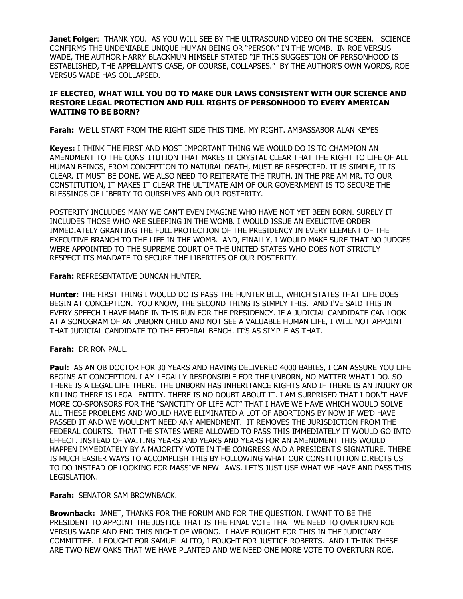**Janet Folger**: THANK YOU. AS YOU WILL SEE BY THE ULTRASOUND VIDEO ON THE SCREEN. SCIENCE CONFIRMS THE UNDENIABLE UNIQUE HUMAN BEING OR "PERSON" IN THE WOMB. IN ROE VERSUS WADE, THE AUTHOR HARRY BLACKMUN HIMSELF STATED "IF THIS SUGGESTION OF PERSONHOOD IS ESTABLISHED, THE APPELLANT'S CASE, OF COURSE, COLLAPSES." BY THE AUTHOR'S OWN WORDS, ROE VERSUS WADE HAS COLLAPSED.

### **IF ELECTED, WHAT WILL YOU DO TO MAKE OUR LAWS CONSISTENT WITH OUR SCIENCE AND RESTORE LEGAL PROTECTION AND FULL RIGHTS OF PERSONHOOD TO EVERY AMERICAN WAITING TO BE BORN?**

**Farah:** WE'LL START FROM THE RIGHT SIDE THIS TIME. MY RIGHT. AMBASSABOR ALAN KEYES

**Keyes:** I THINK THE FIRST AND MOST IMPORTANT THING WE WOULD DO IS TO CHAMPION AN AMENDMENT TO THE CONSTITUTION THAT MAKES IT CRYSTAL CLEAR THAT THE RIGHT TO LIFE OF ALL HUMAN BEINGS, FROM CONCEPTION TO NATURAL DEATH, MUST BE RESPECTED. IT IS SIMPLE, IT IS CLEAR. IT MUST BE DONE. WE ALSO NEED TO REITERATE THE TRUTH. IN THE PRE AM MR. TO OUR CONSTITUTION, IT MAKES IT CLEAR THE ULTIMATE AIM OF OUR GOVERNMENT IS TO SECURE THE BLESSINGS OF LIBERTY TO OURSELVES AND OUR POSTERITY.

POSTERITY INCLUDES MANY WE CAN'T EVEN IMAGINE WHO HAVE NOT YET BEEN BORN. SURELY IT INCLUDES THOSE WHO ARE SLEEPING IN THE WOMB. I WOULD ISSUE AN EXEUCTIVE ORDER IMMEDIATELY GRANTING THE FULL PROTECTION OF THE PRESIDENCY IN EVERY ELEMENT OF THE EXECUTIVE BRANCH TO THE LIFE IN THE WOMB. AND, FINALLY, I WOULD MAKE SURE THAT NO JUDGES WERE APPOINTED TO THE SUPREME COURT OF THE UNITED STATES WHO DOES NOT STRICTLY RESPECT ITS MANDATE TO SECURE THE LIBERTIES OF OUR POSTERITY.

**Farah:** REPRESENTATIVE DUNCAN HUNTER.

**Hunter:** THE FIRST THING I WOULD DO IS PASS THE HUNTER BILL, WHICH STATES THAT LIFE DOES BEGIN AT CONCEPTION. YOU KNOW, THE SECOND THING IS SIMPLY THIS. AND I'VE SAID THIS IN EVERY SPEECH I HAVE MADE IN THIS RUN FOR THE PRESIDENCY. IF A JUDICIAL CANDIDATE CAN LOOK AT A SONOGRAM OF AN UNBORN CHILD AND NOT SEE A VALUABLE HUMAN LIFE, I WILL NOT APPOINT THAT JUDICIAL CANDIDATE TO THE FEDERAL BENCH. IT'S AS SIMPLE AS THAT.

## **Farah:** DR RON PAUL.

**Paul:** AS AN OB DOCTOR FOR 30 YEARS AND HAVING DELIVERED 4000 BABIES, I CAN ASSURE YOU LIFE BEGINS AT CONCEPTION. I AM LEGALLY RESPONSIBLE FOR THE UNBORN, NO MATTER WHAT I DO. SO THERE IS A LEGAL LIFE THERE. THE UNBORN HAS INHERITANCE RIGHTS AND IF THERE IS AN INJURY OR KILLING THERE IS LEGAL ENTITY. THERE IS NO DOUBT ABOUT IT. I AM SURPRISED THAT I DON'T HAVE MORE CO-SPONSORS FOR THE "SANCTITY OF LIFE ACT" THAT I HAVE WE HAVE WHICH WOULD SOLVE ALL THESE PROBLEMS AND WOULD HAVE ELIMINATED A LOT OF ABORTIONS BY NOW IF WE'D HAVE PASSED IT AND WE WOULDN'T NEED ANY AMENDMENT. IT REMOVES THE JURISDICTION FROM THE FEDERAL COURTS. THAT THE STATES WERE ALLOWED TO PASS THIS IMMEDIATELY IT WOULD GO INTO EFFECT. INSTEAD OF WAITING YEARS AND YEARS AND YEARS FOR AN AMENDMENT THIS WOULD HAPPEN IMMEDIATELY BY A MAJORITY VOTE IN THE CONGRESS AND A PRESIDENT'S SIGNATURE. THERE IS MUCH EASIER WAYS TO ACCOMPLISH THIS BY FOLLOWING WHAT OUR CONSTITUTION DIRECTS US TO DO INSTEAD OF LOOKING FOR MASSIVE NEW LAWS. LET'S JUST USE WHAT WE HAVE AND PASS THIS LEGISLATION.

**Farah:** SENATOR SAM BROWNBACK.

**Brownback:** JANET, THANKS FOR THE FORUM AND FOR THE QUESTION. I WANT TO BE THE PRESIDENT TO APPOINT THE JUSTICE THAT IS THE FINAL VOTE THAT WE NEED TO OVERTURN ROE VERSUS WADE AND END THIS NIGHT OF WRONG. I HAVE FOUGHT FOR THIS IN THE JUDICIARY COMMITTEE. I FOUGHT FOR SAMUEL ALITO, I FOUGHT FOR JUSTICE ROBERTS. AND I THINK THESE ARE TWO NEW OAKS THAT WE HAVE PLANTED AND WE NEED ONE MORE VOTE TO OVERTURN ROE.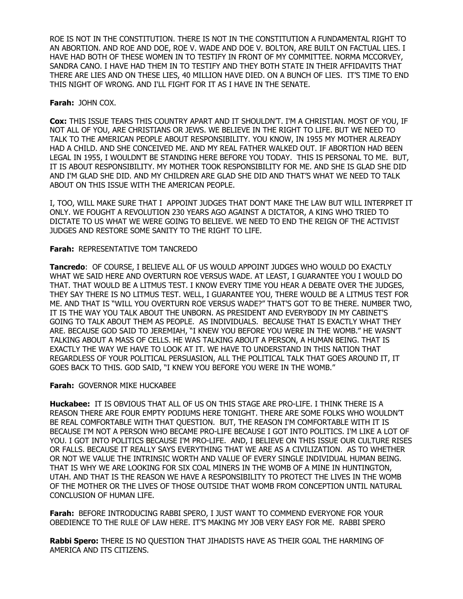ROE IS NOT IN THE CONSTITUTION. THERE IS NOT IN THE CONSTITUTION A FUNDAMENTAL RIGHT TO AN ABORTION. AND ROE AND DOE, ROE V. WADE AND DOE V. BOLTON, ARE BUILT ON FACTUAL LIES. I HAVE HAD BOTH OF THESE WOMEN IN TO TESTIFY IN FRONT OF MY COMMITTEE. NORMA MCCORVEY, SANDRA CANO. I HAVE HAD THEM IN TO TESTIFY AND THEY BOTH STATE IN THEIR AFFIDAVITS THAT THERE ARE LIES AND ON THESE LIES, 40 MILLION HAVE DIED. ON A BUNCH OF LIES. IT'S TIME TO END THIS NIGHT OF WRONG. AND I'LL FIGHT FOR IT AS I HAVE IN THE SENATE.

#### **Farah:** JOHN COX.

**Cox:** THIS ISSUE TEARS THIS COUNTRY APART AND IT SHOULDN'T. I'M A CHRISTIAN. MOST OF YOU, IF NOT ALL OF YOU, ARE CHRISTIANS OR JEWS. WE BELIEVE IN THE RIGHT TO LIFE. BUT WE NEED TO TALK TO THE AMERICAN PEOPLE ABOUT RESPONSIBILITY. YOU KNOW, IN 1955 MY MOTHER ALREADY HAD A CHILD. AND SHE CONCEIVED ME. AND MY REAL FATHER WALKED OUT. IF ABORTION HAD BEEN LEGAL IN 1955, I WOULDN'T BE STANDING HERE BEFORE YOU TODAY. THIS IS PERSONAL TO ME. BUT, IT IS ABOUT RESPONSIBILITY. MY MOTHER TOOK RESPONSIBILITY FOR ME. AND SHE IS GLAD SHE DID AND I'M GLAD SHE DID. AND MY CHILDREN ARE GLAD SHE DID AND THAT'S WHAT WE NEED TO TALK ABOUT ON THIS ISSUE WITH THE AMERICAN PEOPLE.

I, TOO, WILL MAKE SURE THAT I APPOINT JUDGES THAT DON'T MAKE THE LAW BUT WILL INTERPRET IT ONLY. WE FOUGHT A REVOLUTION 230 YEARS AGO AGAINST A DICTATOR, A KING WHO TRIED TO DICTATE TO US WHAT WE WERE GOING TO BELIEVE. WE NEED TO END THE REIGN OF THE ACTIVIST JUDGES AND RESTORE SOME SANITY TO THE RIGHT TO LIFE.

#### **Farah:** REPRESENTATIVE TOM TANCREDO

**Tancredo**: OF COURSE, I BELIEVE ALL OF US WOULD APPOINT JUDGES WHO WOULD DO EXACTLY WHAT WE SAID HERE AND OVERTURN ROE VERSUS WADE. AT LEAST, I GUARANTEE YOU I WOULD DO THAT. THAT WOULD BE A LITMUS TEST. I KNOW EVERY TIME YOU HEAR A DEBATE OVER THE JUDGES, THEY SAY THERE IS NO LITMUS TEST. WELL, I GUARANTEE YOU, THERE WOULD BE A LITMUS TEST FOR ME. AND THAT IS "WILL YOU OVERTURN ROE VERSUS WADE?" THAT'S GOT TO BE THERE. NUMBER TWO, IT IS THE WAY YOU TALK ABOUT THE UNBORN. AS PRESIDENT AND EVERYBODY IN MY CABINET'S GOING TO TALK ABOUT THEM AS PEOPLE. AS INDIVIDUALS. BECAUSE THAT IS EXACTLY WHAT THEY ARE. BECAUSE GOD SAID TO JEREMIAH, "I KNEW YOU BEFORE YOU WERE IN THE WOMB." HE WASN'T TALKING ABOUT A MASS OF CELLS. HE WAS TALKING ABOUT A PERSON, A HUMAN BEING. THAT IS EXACTLY THE WAY WE HAVE TO LOOK AT IT. WE HAVE TO UNDERSTAND IN THIS NATION THAT REGARDLESS OF YOUR POLITICAL PERSUASION, ALL THE POLITICAL TALK THAT GOES AROUND IT, IT GOES BACK TO THIS. GOD SAID, "I KNEW YOU BEFORE YOU WERE IN THE WOMB."

#### **Farah:** GOVERNOR MIKE HUCKABEE

**Huckabee:** IT IS OBVIOUS THAT ALL OF US ON THIS STAGE ARE PRO-LIFE. I THINK THERE IS A REASON THERE ARE FOUR EMPTY PODIUMS HERE TONIGHT. THERE ARE SOME FOLKS WHO WOULDN'T BE REAL COMFORTABLE WITH THAT QUESTION. BUT, THE REASON I'M COMFORTABLE WITH IT IS BECAUSE I'M NOT A PERSON WHO BECAME PRO-LIFE BECAUSE I GOT INTO POLITICS. I'M LIKE A LOT OF YOU. I GOT INTO POLITICS BECAUSE I'M PRO-LIFE. AND, I BELIEVE ON THIS ISSUE OUR CULTURE RISES OR FALLS. BECAUSE IT REALLY SAYS EVERYTHING THAT WE ARE AS A CIVILIZATION. AS TO WHETHER OR NOT WE VALUE THE INTRINSIC WORTH AND VALUE OF EVERY SINGLE INDIVIDUAL HUMAN BEING. THAT IS WHY WE ARE LOOKING FOR SIX COAL MINERS IN THE WOMB OF A MINE IN HUNTINGTON, UTAH. AND THAT IS THE REASON WE HAVE A RESPONSIBILITY TO PROTECT THE LIVES IN THE WOMB OF THE MOTHER OR THE LIVES OF THOSE OUTSIDE THAT WOMB FROM CONCEPTION UNTIL NATURAL CONCLUSION OF HUMAN LIFE.

**Farah:** BEFORE INTRODUCING RABBI SPERO, I JUST WANT TO COMMEND EVERYONE FOR YOUR OBEDIENCE TO THE RULE OF LAW HERE. IT'S MAKING MY JOB VERY EASY FOR ME. RABBI SPERO

**Rabbi Spero:** THERE IS NO QUESTION THAT JIHADISTS HAVE AS THEIR GOAL THE HARMING OF AMERICA AND ITS CITIZENS.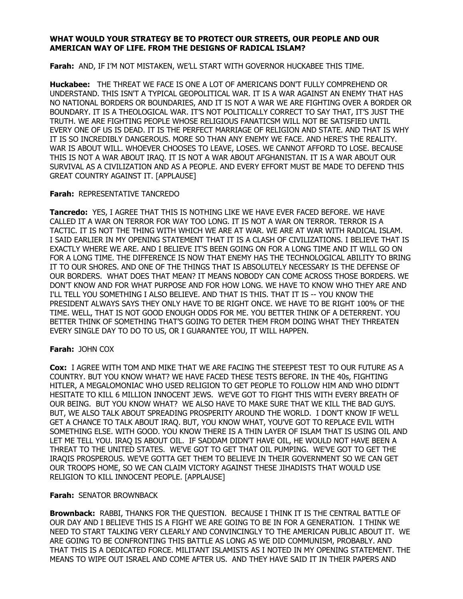#### **WHAT WOULD YOUR STRATEGY BE TO PROTECT OUR STREETS, OUR PEOPLE AND OUR AMERICAN WAY OF LIFE. FROM THE DESIGNS OF RADICAL ISLAM?**

**Farah:** AND, IF I'M NOT MISTAKEN, WE'LL START WITH GOVERNOR HUCKABEE THIS TIME.

**Huckabee:** THE THREAT WE FACE IS ONE A LOT OF AMERICANS DON'T FULLY COMPREHEND OR UNDERSTAND. THIS ISN'T A TYPICAL GEOPOLITICAL WAR. IT IS A WAR AGAINST AN ENEMY THAT HAS NO NATIONAL BORDERS OR BOUNDARIES, AND IT IS NOT A WAR WE ARE FIGHTING OVER A BORDER OR BOUNDARY. IT IS A THEOLOGICAL WAR. IT'S NOT POLITICALLY CORRECT TO SAY THAT, IT'S JUST THE TRUTH. WE ARE FIGHTING PEOPLE WHOSE RELIGIOUS FANATICSM WILL NOT BE SATISFIED UNTIL EVERY ONE OF US IS DEAD. IT IS THE PERFECT MARRIAGE OF RELIGION AND STATE. AND THAT IS WHY IT IS SO INCREDIBLY DANGEROUS. MORE SO THAN ANY ENEMY WE FACE. AND HERE'S THE REALITY. WAR IS ABOUT WILL. WHOEVER CHOOSES TO LEAVE, LOSES. WE CANNOT AFFORD TO LOSE. BECAUSE THIS IS NOT A WAR ABOUT IRAQ. IT IS NOT A WAR ABOUT AFGHANISTAN. IT IS A WAR ABOUT OUR SURVIVAL AS A CIVILIZATION AND AS A PEOPLE. AND EVERY EFFORT MUST BE MADE TO DEFEND THIS GREAT COUNTRY AGAINST IT. [APPLAUSE]

#### **Farah:** REPRESENTATIVE TANCREDO

**Tancredo:** YES, I AGREE THAT THIS IS NOTHING LIKE WE HAVE EVER FACED BEFORE. WE HAVE CALLED IT A WAR ON TERROR FOR WAY TOO LONG. IT IS NOT A WAR ON TERROR. TERROR IS A TACTIC. IT IS NOT THE THING WITH WHICH WE ARE AT WAR. WE ARE AT WAR WITH RADICAL ISLAM. I SAID EARLIER IN MY OPENING STATEMENT THAT IT IS A CLASH OF CIVILIZATIONS. I BELIEVE THAT IS EXACTLY WHERE WE ARE. AND I BELIEVE IT'S BEEN GOING ON FOR A LONG TIME AND IT WILL GO ON FOR A LONG TIME. THE DIFFERENCE IS NOW THAT ENEMY HAS THE TECHNOLOGICAL ABILITY TO BRING IT TO OUR SHORES. AND ONE OF THE THINGS THAT IS ABSOLUTELY NECESSARY IS THE DEFENSE OF OUR BORDERS. WHAT DOES THAT MEAN? IT MEANS NOBODY CAN COME ACROSS THOSE BORDERS. WE DON'T KNOW AND FOR WHAT PURPOSE AND FOR HOW LONG. WE HAVE TO KNOW WHO THEY ARE AND I'LL TELL YOU SOMETHING I ALSO BELIEVE. AND THAT IS THIS. THAT IT IS -- YOU KNOW THE PRESIDENT ALWAYS SAYS THEY ONLY HAVE TO BE RIGHT ONCE. WE HAVE TO BE RIGHT 100% OF THE TIME. WELL, THAT IS NOT GOOD ENOUGH ODDS FOR ME. YOU BETTER THINK OF A DETERRENT. YOU BETTER THINK OF SOMETHING THAT'S GOING TO DETER THEM FROM DOING WHAT THEY THREATEN EVERY SINGLE DAY TO DO TO US, OR I GUARANTEE YOU, IT WILL HAPPEN.

## **Farah:** JOHN COX

**Cox:** I AGREE WITH TOM AND MIKE THAT WE ARE FACING THE STEEPEST TEST TO OUR FUTURE AS A COUNTRY. BUT YOU KNOW WHAT? WE HAVE FACED THESE TESTS BEFORE. IN THE 40s, FIGHTING HITLER, A MEGALOMONIAC WHO USED RELIGION TO GET PEOPLE TO FOLLOW HIM AND WHO DIDN'T HESITATE TO KILL 6 MILLION INNOCENT JEWS. WE'VE GOT TO FIGHT THIS WITH EVERY BREATH OF OUR BEING. BUT YOU KNOW WHAT? WE ALSO HAVE TO MAKE SURE THAT WE KILL THE BAD GUYS. BUT, WE ALSO TALK ABOUT SPREADING PROSPERITY AROUND THE WORLD. I DON'T KNOW IF WE'LL GET A CHANCE TO TALK ABOUT IRAQ. BUT, YOU KNOW WHAT, YOU'VE GOT TO REPLACE EVIL WITH SOMETHING ELSE. WITH GOOD. YOU KNOW THERE IS A THIN LAYER OF ISLAM THAT IS USING OIL AND LET ME TELL YOU. IRAQ IS ABOUT OIL. IF SADDAM DIDN'T HAVE OIL, HE WOULD NOT HAVE BEEN A THREAT TO THE UNITED STATES. WE'VE GOT TO GET THAT OIL PUMPING. WE'VE GOT TO GET THE IRAQIS PROSPEROUS. WE'VE GOTTA GET THEM TO BELIEVE IN THEIR GOVERNMENT SO WE CAN GET OUR TROOPS HOME, SO WE CAN CLAIM VICTORY AGAINST THESE JIHADISTS THAT WOULD USE RELIGION TO KILL INNOCENT PEOPLE. [APPLAUSE]

## **Farah:** SENATOR BROWNBACK

**Brownback:** RABBI, THANKS FOR THE QUESTION. BECAUSE I THINK IT IS THE CENTRAL BATTLE OF OUR DAY AND I BELIEVE THIS IS A FIGHT WE ARE GOING TO BE IN FOR A GENERATION. I THINK WE NEED TO START TALKING VERY CLEARLY AND CONVINCINGLY TO THE AMERICAN PUBLIC ABOUT IT. WE ARE GOING TO BE CONFRONTING THIS BATTLE AS LONG AS WE DID COMMUNISM, PROBABLY. AND THAT THIS IS A DEDICATED FORCE. MILITANT ISLAMISTS AS I NOTED IN MY OPENING STATEMENT. THE MEANS TO WIPE OUT ISRAEL AND COME AFTER US. AND THEY HAVE SAID IT IN THEIR PAPERS AND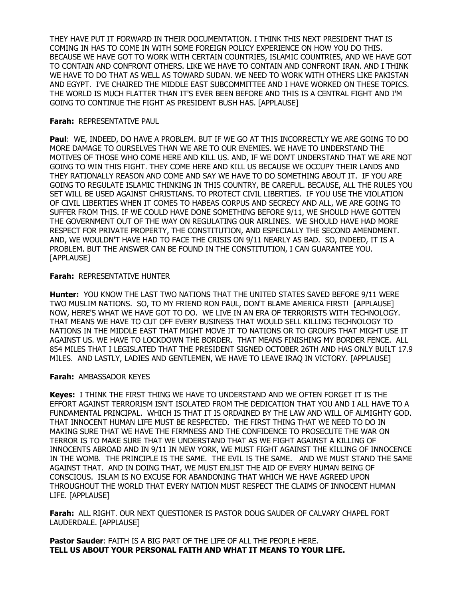THEY HAVE PUT IT FORWARD IN THEIR DOCUMENTATION. I THINK THIS NEXT PRESIDENT THAT IS COMING IN HAS TO COME IN WITH SOME FOREIGN POLICY EXPERIENCE ON HOW YOU DO THIS. BECAUSE WE HAVE GOT TO WORK WITH CERTAIN COUNTRIES, ISLAMIC COUNTRIES, AND WE HAVE GOT TO CONTAIN AND CONFRONT OTHERS. LIKE WE HAVE TO CONTAIN AND CONFRONT IRAN. AND I THINK WE HAVE TO DO THAT AS WELL AS TOWARD SUDAN. WE NEED TO WORK WITH OTHERS LIKE PAKISTAN AND EGYPT. I'VE CHAIRED THE MIDDLE EAST SUBCOMMITTEE AND I HAVE WORKED ON THESE TOPICS. THE WORLD IS MUCH FLATTER THAN IT'S EVER BEEN BEFORE AND THIS IS A CENTRAL FIGHT AND I'M GOING TO CONTINUE THE FIGHT AS PRESIDENT BUSH HAS. [APPLAUSE]

### **Farah:** REPRESENTATIVE PAUL

**Paul**: WE, INDEED, DO HAVE A PROBLEM. BUT IF WE GO AT THIS INCORRECTLY WE ARE GOING TO DO MORE DAMAGE TO OURSELVES THAN WE ARE TO OUR ENEMIES. WE HAVE TO UNDERSTAND THE MOTIVES OF THOSE WHO COME HERE AND KILL US. AND, IF WE DON'T UNDERSTAND THAT WE ARE NOT GOING TO WIN THIS FIGHT. THEY COME HERE AND KILL US BECAUSE WE OCCUPY THEIR LANDS AND THEY RATIONALLY REASON AND COME AND SAY WE HAVE TO DO SOMETHING ABOUT IT. IF YOU ARE GOING TO REGULATE ISLAMIC THINKING IN THIS COUNTRY, BE CAREFUL. BECAUSE, ALL THE RULES YOU SET WILL BE USED AGAINST CHRISTIANS. TO PROTECT CIVIL LIBERTIES. IF YOU USE THE VIOLATION OF CIVIL LIBERTIES WHEN IT COMES TO HABEAS CORPUS AND SECRECY AND ALL, WE ARE GOING TO SUFFER FROM THIS. IF WE COULD HAVE DONE SOMETHING BEFORE 9/11, WE SHOULD HAVE GOTTEN THE GOVERNMENT OUT OF THE WAY ON REGULATING OUR AIRLINES. WE SHOULD HAVE HAD MORE RESPECT FOR PRIVATE PROPERTY, THE CONSTITUTION, AND ESPECIALLY THE SECOND AMENDMENT. AND, WE WOULDN'T HAVE HAD TO FACE THE CRISIS ON 9/11 NEARLY AS BAD. SO, INDEED, IT IS A PROBLEM. BUT THE ANSWER CAN BE FOUND IN THE CONSTITUTION, I CAN GUARANTEE YOU. [APPLAUSE]

#### **Farah:** REPRESENTATIVE HUNTER

**Hunter:** YOU KNOW THE LAST TWO NATIONS THAT THE UNITED STATES SAVED BEFORE 9/11 WERE TWO MUSLIM NATIONS. SO, TO MY FRIEND RON PAUL, DON'T BLAME AMERICA FIRST! [APPLAUSE] NOW, HERE'S WHAT WE HAVE GOT TO DO. WE LIVE IN AN ERA OF TERRORISTS WITH TECHNOLOGY. THAT MEANS WE HAVE TO CUT OFF EVERY BUSINESS THAT WOULD SELL KILLING TECHNOLOGY TO NATIONS IN THE MIDDLE EAST THAT MIGHT MOVE IT TO NATIONS OR TO GROUPS THAT MIGHT USE IT AGAINST US. WE HAVE TO LOCKDOWN THE BORDER. THAT MEANS FINISHING MY BORDER FENCE. ALL 854 MILES THAT I LEGISLATED THAT THE PRESIDENT SIGNED OCTOBER 26TH AND HAS ONLY BUILT 17.9 MILES. AND LASTLY, LADIES AND GENTLEMEN, WE HAVE TO LEAVE IRAQ IN VICTORY. [APPLAUSE]

## **Farah:** AMBASSADOR KEYES

**Keyes:** I THINK THE FIRST THING WE HAVE TO UNDERSTAND AND WE OFTEN FORGET IT IS THE EFFORT AGAINST TERRORISM ISN'T ISOLATED FROM THE DEDICATION THAT YOU AND I ALL HAVE TO A FUNDAMENTAL PRINCIPAL. WHICH IS THAT IT IS ORDAINED BY THE LAW AND WILL OF ALMIGHTY GOD. THAT INNOCENT HUMAN LIFE MUST BE RESPECTED. THE FIRST THING THAT WE NEED TO DO IN MAKING SURE THAT WE HAVE THE FIRMNESS AND THE CONFIDENCE TO PROSECUTE THE WAR ON TERROR IS TO MAKE SURE THAT WE UNDERSTAND THAT AS WE FIGHT AGAINST A KILLING OF INNOCENTS ABROAD AND IN 9/11 IN NEW YORK, WE MUST FIGHT AGAINST THE KILLING OF INNOCENCE IN THE WOMB. THE PRINCIPLE IS THE SAME. THE EVIL IS THE SAME. AND WE MUST STAND THE SAME AGAINST THAT. AND IN DOING THAT, WE MUST ENLIST THE AID OF EVERY HUMAN BEING OF CONSCIOUS. ISLAM IS NO EXCUSE FOR ABANDONING THAT WHICH WE HAVE AGREED UPON THROUGHOUT THE WORLD THAT EVERY NATION MUST RESPECT THE CLAIMS OF INNOCENT HUMAN LIFE. [APPLAUSE]

**Farah:** ALL RIGHT. OUR NEXT QUESTIONER IS PASTOR DOUG SAUDER OF CALVARY CHAPEL FORT LAUDERDALE. [APPLAUSE]

**Pastor Sauder**: FAITH IS A BIG PART OF THE LIFE OF ALL THE PEOPLE HERE. **TELL US ABOUT YOUR PERSONAL FAITH AND WHAT IT MEANS TO YOUR LIFE.**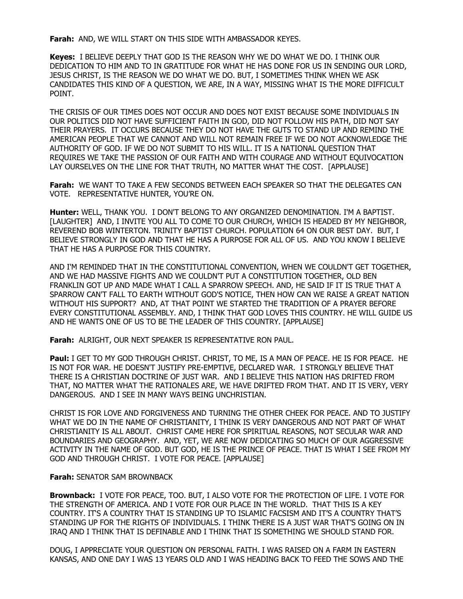**Farah:** AND, WE WILL START ON THIS SIDE WITH AMBASSADOR KEYES.

**Keyes:** I BELIEVE DEEPLY THAT GOD IS THE REASON WHY WE DO WHAT WE DO. I THINK OUR DEDICATION TO HIM AND TO IN GRATITUDE FOR WHAT HE HAS DONE FOR US IN SENDING OUR LORD, JESUS CHRIST, IS THE REASON WE DO WHAT WE DO. BUT, I SOMETIMES THINK WHEN WE ASK CANDIDATES THIS KIND OF A QUESTION, WE ARE, IN A WAY, MISSING WHAT IS THE MORE DIFFICULT POINT.

THE CRISIS OF OUR TIMES DOES NOT OCCUR AND DOES NOT EXIST BECAUSE SOME INDIVIDUALS IN OUR POLITICS DID NOT HAVE SUFFICIENT FAITH IN GOD, DID NOT FOLLOW HIS PATH, DID NOT SAY THEIR PRAYERS. IT OCCURS BECAUSE THEY DO NOT HAVE THE GUTS TO STAND UP AND REMIND THE AMERICAN PEOPLE THAT WE CANNOT AND WILL NOT REMAIN FREE IF WE DO NOT ACKNOWLEDGE THE AUTHORITY OF GOD. IF WE DO NOT SUBMIT TO HIS WILL. IT IS A NATIONAL QUESTION THAT REQUIRES WE TAKE THE PASSION OF OUR FAITH AND WITH COURAGE AND WITHOUT EQUIVOCATION LAY OURSELVES ON THE LINE FOR THAT TRUTH, NO MATTER WHAT THE COST. [APPLAUSE]

**Farah:** WE WANT TO TAKE A FEW SECONDS BETWEEN EACH SPEAKER SO THAT THE DELEGATES CAN VOTE. REPRESENTATIVE HUNTER, YOU'RE ON.

**Hunter:** WELL, THANK YOU. I DON'T BELONG TO ANY ORGANIZED DENOMINATION. I'M A BAPTIST. [LAUGHTER] AND, I INVITE YOU ALL TO COME TO OUR CHURCH, WHICH IS HEADED BY MY NEIGHBOR, REVEREND BOB WINTERTON. TRINITY BAPTIST CHURCH. POPULATION 64 ON OUR BEST DAY. BUT, I BELIEVE STRONGLY IN GOD AND THAT HE HAS A PURPOSE FOR ALL OF US. AND YOU KNOW I BELIEVE THAT HE HAS A PURPOSE FOR THIS COUNTRY.

AND I'M REMINDED THAT IN THE CONSTITUTIONAL CONVENTION, WHEN WE COULDN'T GET TOGETHER, AND WE HAD MASSIVE FIGHTS AND WE COULDN'T PUT A CONSTITUTION TOGETHER, OLD BEN FRANKLIN GOT UP AND MADE WHAT I CALL A SPARROW SPEECH. AND, HE SAID IF IT IS TRUE THAT A SPARROW CAN'T FALL TO EARTH WITHOUT GOD'S NOTICE, THEN HOW CAN WE RAISE A GREAT NATION WITHOUT HIS SUPPORT? AND, AT THAT POINT WE STARTED THE TRADITION OF A PRAYER BEFORE EVERY CONSTITUTIONAL ASSEMBLY. AND, I THINK THAT GOD LOVES THIS COUNTRY. HE WILL GUIDE US AND HE WANTS ONE OF US TO BE THE LEADER OF THIS COUNTRY. [APPLAUSE]

**Farah:** ALRIGHT, OUR NEXT SPEAKER IS REPRESENTATIVE RON PAUL.

**Paul:** I GET TO MY GOD THROUGH CHRIST. CHRIST, TO ME, IS A MAN OF PEACE. HE IS FOR PEACE. HE IS NOT FOR WAR. HE DOESN'T JUSTIFY PRE-EMPTIVE, DECLARED WAR. I STRONGLY BELIEVE THAT THERE IS A CHRISTIAN DOCTRINE OF JUST WAR. AND I BELIEVE THIS NATION HAS DRIFTED FROM THAT, NO MATTER WHAT THE RATIONALES ARE, WE HAVE DRIFTED FROM THAT. AND IT IS VERY, VERY DANGEROUS. AND I SEE IN MANY WAYS BEING UNCHRISTIAN.

CHRIST IS FOR LOVE AND FORGIVENESS AND TURNING THE OTHER CHEEK FOR PEACE. AND TO JUSTIFY WHAT WE DO IN THE NAME OF CHRISTIANITY, I THINK IS VERY DANGEROUS AND NOT PART OF WHAT CHRISTIANITY IS ALL ABOUT. CHRIST CAME HERE FOR SPIRITUAL REASONS, NOT SECULAR WAR AND BOUNDARIES AND GEOGRAPHY. AND, YET, WE ARE NOW DEDICATING SO MUCH OF OUR AGGRESSIVE ACTIVITY IN THE NAME OF GOD. BUT GOD, HE IS THE PRINCE OF PEACE. THAT IS WHAT I SEE FROM MY GOD AND THROUGH CHRIST. I VOTE FOR PEACE. [APPLAUSE]

#### **Farah:** SENATOR SAM BROWNBACK

**Brownback:** I VOTE FOR PEACE, TOO. BUT, I ALSO VOTE FOR THE PROTECTION OF LIFE. I VOTE FOR THE STRENGTH OF AMERICA. AND I VOTE FOR OUR PLACE IN THE WORLD. THAT THIS IS A KEY COUNTRY. IT'S A COUNTRY THAT IS STANDING UP TO ISLAMIC FACSISM AND IT'S A COUNTRY THAT'S STANDING UP FOR THE RIGHTS OF INDIVIDUALS. I THINK THERE IS A JUST WAR THAT'S GOING ON IN IRAQ AND I THINK THAT IS DEFINABLE AND I THINK THAT IS SOMETHING WE SHOULD STAND FOR.

DOUG, I APPRECIATE YOUR QUESTION ON PERSONAL FAITH. I WAS RAISED ON A FARM IN EASTERN KANSAS, AND ONE DAY I WAS 13 YEARS OLD AND I WAS HEADING BACK TO FEED THE SOWS AND THE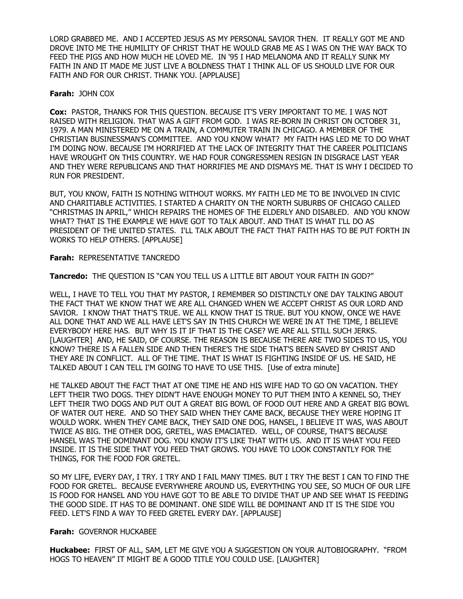LORD GRABBED ME. AND I ACCEPTED JESUS AS MY PERSONAL SAVIOR THEN. IT REALLY GOT ME AND DROVE INTO ME THE HUMILITY OF CHRIST THAT HE WOULD GRAB ME AS I WAS ON THE WAY BACK TO FEED THE PIGS AND HOW MUCH HE LOVED ME. IN '95 I HAD MELANOMA AND IT REALLY SUNK MY FAITH IN AND IT MADE ME JUST LIVE A BOLDNESS THAT I THINK ALL OF US SHOULD LIVE FOR OUR FAITH AND FOR OUR CHRIST. THANK YOU. [APPLAUSE]

#### **Farah:** JOHN COX

**Cox:** PASTOR, THANKS FOR THIS QUESTION. BECAUSE IT'S VERY IMPORTANT TO ME. I WAS NOT RAISED WITH RELIGION. THAT WAS A GIFT FROM GOD. I WAS RE-BORN IN CHRIST ON OCTOBER 31, 1979. A MAN MINISTERED ME ON A TRAIN, A COMMUTER TRAIN IN CHICAGO. A MEMBER OF THE CHRISTIAN BUSINESSMAN'S COMMITTEE. AND YOU KNOW WHAT? MY FAITH HAS LED ME TO DO WHAT I'M DOING NOW. BECAUSE I'M HORRIFIED AT THE LACK OF INTEGRITY THAT THE CAREER POLITICIANS HAVE WROUGHT ON THIS COUNTRY. WE HAD FOUR CONGRESSMEN RESIGN IN DISGRACE LAST YEAR AND THEY WERE REPUBLICANS AND THAT HORRIFIES ME AND DISMAYS ME. THAT IS WHY I DECIDED TO RUN FOR PRESIDENT.

BUT, YOU KNOW, FAITH IS NOTHING WITHOUT WORKS. MY FAITH LED ME TO BE INVOLVED IN CIVIC AND CHARITIABLE ACTIVITIES. I STARTED A CHARITY ON THE NORTH SUBURBS OF CHICAGO CALLED "CHRISTMAS IN APRIL," WHICH REPAIRS THE HOMES OF THE ELDERLY AND DISABLED. AND YOU KNOW WHAT? THAT IS THE EXAMPLE WE HAVE GOT TO TALK ABOUT. AND THAT IS WHAT I'LL DO AS PRESIDENT OF THE UNITED STATES. I'LL TALK ABOUT THE FACT THAT FAITH HAS TO BE PUT FORTH IN WORKS TO HELP OTHERS. [APPLAUSE]

#### **Farah:** REPRESENTATIVE TANCREDO

## **Tancredo:** THE QUESTION IS "CAN YOU TELL US A LITTLE BIT ABOUT YOUR FAITH IN GOD?"

WELL, I HAVE TO TELL YOU THAT MY PASTOR, I REMEMBER SO DISTINCTLY ONE DAY TALKING ABOUT THE FACT THAT WE KNOW THAT WE ARE ALL CHANGED WHEN WE ACCEPT CHRIST AS OUR LORD AND SAVIOR. I KNOW THAT THAT'S TRUE. WE ALL KNOW THAT IS TRUE. BUT YOU KNOW, ONCE WE HAVE ALL DONE THAT AND WE ALL HAVE LET'S SAY IN THIS CHURCH WE WERE IN AT THE TIME, I BELIEVE EVERYBODY HERE HAS. BUT WHY IS IT IF THAT IS THE CASE? WE ARE ALL STILL SUCH JERKS. [LAUGHTER] AND, HE SAID, OF COURSE. THE REASON IS BECAUSE THERE ARE TWO SIDES TO US, YOU KNOW? THERE IS A FALLEN SIDE AND THEN THERE'S THE SIDE THAT'S BEEN SAVED BY CHRIST AND THEY ARE IN CONFLICT. ALL OF THE TIME. THAT IS WHAT IS FIGHTING INSIDE OF US. HE SAID, HE TALKED ABOUT I CAN TELL I'M GOING TO HAVE TO USE THIS. [Use of extra minute]

HE TALKED ABOUT THE FACT THAT AT ONE TIME HE AND HIS WIFE HAD TO GO ON VACATION. THEY LEFT THEIR TWO DOGS. THEY DIDN'T HAVE ENOUGH MONEY TO PUT THEM INTO A KENNEL SO, THEY LEFT THEIR TWO DOGS AND PUT OUT A GREAT BIG BOWL OF FOOD OUT HERE AND A GREAT BIG BOWL OF WATER OUT HERE. AND SO THEY SAID WHEN THEY CAME BACK, BECAUSE THEY WERE HOPING IT WOULD WORK. WHEN THEY CAME BACK, THEY SAID ONE DOG, HANSEL, I BELIEVE IT WAS, WAS ABOUT TWICE AS BIG. THE OTHER DOG, GRETEL, WAS EMACIATED. WELL, OF COURSE, THAT'S BECAUSE HANSEL WAS THE DOMINANT DOG. YOU KNOW IT'S LIKE THAT WITH US. AND IT IS WHAT YOU FEED INSIDE. IT IS THE SIDE THAT YOU FEED THAT GROWS. YOU HAVE TO LOOK CONSTANTLY FOR THE THINGS, FOR THE FOOD FOR GRETEL.

SO MY LIFE, EVERY DAY, I TRY. I TRY AND I FAIL MANY TIMES. BUT I TRY THE BEST I CAN TO FIND THE FOOD FOR GRETEL. BECAUSE EVERYWHERE AROUND US, EVERYTHING YOU SEE, SO MUCH OF OUR LIFE IS FOOD FOR HANSEL AND YOU HAVE GOT TO BE ABLE TO DIVIDE THAT UP AND SEE WHAT IS FEEDING THE GOOD SIDE. IT HAS TO BE DOMINANT. ONE SIDE WILL BE DOMINANT AND IT IS THE SIDE YOU FEED. LET'S FIND A WAY TO FEED GRETEL EVERY DAY. [APPLAUSE]

#### **Farah:** GOVERNOR HUCKABEE

**Huckabee:** FIRST OF ALL, SAM, LET ME GIVE YOU A SUGGESTION ON YOUR AUTOBIOGRAPHY. "FROM HOGS TO HEAVEN" IT MIGHT BE A GOOD TITLE YOU COULD USE. [LAUGHTER]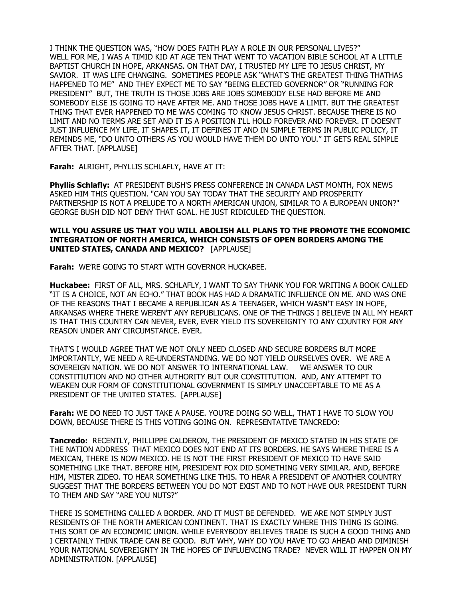I THINK THE QUESTION WAS, "HOW DOES FAITH PLAY A ROLE IN OUR PERSONAL LIVES?" WELL FOR ME, I WAS A TIMID KID AT AGE TEN THAT WENT TO VACATION BIBLE SCHOOL AT A LITTLE BAPTIST CHURCH IN HOPE, ARKANSAS. ON THAT DAY, I TRUSTED MY LIFE TO JESUS CHRIST, MY SAVIOR. IT WAS LIFE CHANGING. SOMETIMES PEOPLE ASK "WHAT'S THE GREATEST THING THATHAS HAPPENED TO ME" AND THEY EXPECT ME TO SAY "BEING ELECTED GOVERNOR" OR "RUNNING FOR PRESIDENT" BUT, THE TRUTH IS THOSE JOBS ARE JOBS SOMEBODY ELSE HAD BEFORE ME AND SOMEBODY ELSE IS GOING TO HAVE AFTER ME. AND THOSE JOBS HAVE A LIMIT. BUT THE GREATEST THING THAT EVER HAPPENED TO ME WAS COMING TO KNOW JESUS CHRIST. BECAUSE THERE IS NO LIMIT AND NO TERMS ARE SET AND IT IS A POSITION I'LL HOLD FOREVER AND FOREVER. IT DOESN'T JUST INFLUENCE MY LIFE, IT SHAPES IT, IT DEFINES IT AND IN SIMPLE TERMS IN PUBLIC POLICY, IT REMINDS ME, "DO UNTO OTHERS AS YOU WOULD HAVE THEM DO UNTO YOU." IT GETS REAL SIMPLE AFTER THAT. [APPLAUSE]

**Farah:** ALRIGHT, PHYLLIS SCHLAFLY, HAVE AT IT:

**Phyllis Schlafly:** AT PRESIDENT BUSH'S PRESS CONFERENCE IN CANADA LAST MONTH, FOX NEWS ASKED HIM THIS QUESTION. "CAN YOU SAY TODAY THAT THE SECURITY AND PROSPERITY PARTNERSHIP IS NOT A PRELUDE TO A NORTH AMERICAN UNION, SIMILAR TO A EUROPEAN UNION?" GEORGE BUSH DID NOT DENY THAT GOAL. HE JUST RIDICULED THE QUESTION.

### **WILL YOU ASSURE US THAT YOU WILL ABOLISH ALL PLANS TO THE PROMOTE THE ECONOMIC INTEGRATION OF NORTH AMERICA, WHICH CONSISTS OF OPEN BORDERS AMONG THE UNITED STATES, CANADA AND MEXICO?** [APPLAUSE]

**Farah:** WE'RE GOING TO START WITH GOVERNOR HUCKABEE.

**Huckabee:** FIRST OF ALL, MRS. SCHLAFLY, I WANT TO SAY THANK YOU FOR WRITING A BOOK CALLED "IT IS A CHOICE, NOT AN ECHO." THAT BOOK HAS HAD A DRAMATIC INFLUENCE ON ME. AND WAS ONE OF THE REASONS THAT I BECAME A REPUBLICAN AS A TEENAGER, WHICH WASN'T EASY IN HOPE, ARKANSAS WHERE THERE WEREN'T ANY REPUBLICANS. ONE OF THE THINGS I BELIEVE IN ALL MY HEART IS THAT THIS COUNTRY CAN NEVER, EVER, EVER YIELD ITS SOVEREIGNTY TO ANY COUNTRY FOR ANY REASON UNDER ANY CIRCUMSTANCE. EVER.

THAT'S I WOULD AGREE THAT WE NOT ONLY NEED CLOSED AND SECURE BORDERS BUT MORE IMPORTANTLY, WE NEED A RE-UNDERSTANDING. WE DO NOT YIELD OURSELVES OVER. WE ARE A SOVEREIGN NATION. WE DO NOT ANSWER TO INTERNATIONAL LAW. WE ANSWER TO OUR CONSTITIUTION AND NO OTHER AUTHORITY BUT OUR CONSTITUTION. AND, ANY ATTEMPT TO WEAKEN OUR FORM OF CONSTITUTIONAL GOVERNMENT IS SIMPLY UNACCEPTABLE TO ME AS A PRESIDENT OF THE UNITED STATES. [APPLAUSE]

**Farah:** WE DO NEED TO JUST TAKE A PAUSE. YOU'RE DOING SO WELL, THAT I HAVE TO SLOW YOU DOWN, BECAUSE THERE IS THIS VOTING GOING ON. REPRESENTATIVE TANCREDO:

**Tancredo:** RECENTLY, PHILLIPPE CALDERON, THE PRESIDENT OF MEXICO STATED IN HIS STATE OF THE NATION ADDRESS THAT MEXICO DOES NOT END AT ITS BORDERS. HE SAYS WHERE THERE IS A MEXICAN, THERE IS NOW MEXICO. HE IS NOT THE FIRST PRESIDENT OF MEXICO TO HAVE SAID SOMETHING LIKE THAT. BEFORE HIM, PRESIDENT FOX DID SOMETHING VERY SIMILAR. AND, BEFORE HIM, MISTER ZIDEO. TO HEAR SOMETHING LIKE THIS. TO HEAR A PRESIDENT OF ANOTHER COUNTRY SUGGEST THAT THE BORDERS BETWEEN YOU DO NOT EXIST AND TO NOT HAVE OUR PRESIDENT TURN TO THEM AND SAY "ARE YOU NUTS?"

THERE IS SOMETHING CALLED A BORDER. AND IT MUST BE DEFENDED. WE ARE NOT SIMPLY JUST RESIDENTS OF THE NORTH AMERICAN CONTINENT. THAT IS EXACTLY WHERE THIS THING IS GOING. THIS SORT OF AN ECONOMIC UNION. WHILE EVERYBODY BELIEVES TRADE IS SUCH A GOOD THING AND I CERTAINLY THINK TRADE CAN BE GOOD. BUT WHY, WHY DO YOU HAVE TO GO AHEAD AND DIMINISH YOUR NATIONAL SOVEREIGNTY IN THE HOPES OF INFLUENCING TRADE? NEVER WILL IT HAPPEN ON MY ADMINISTRATION. [APPLAUSE]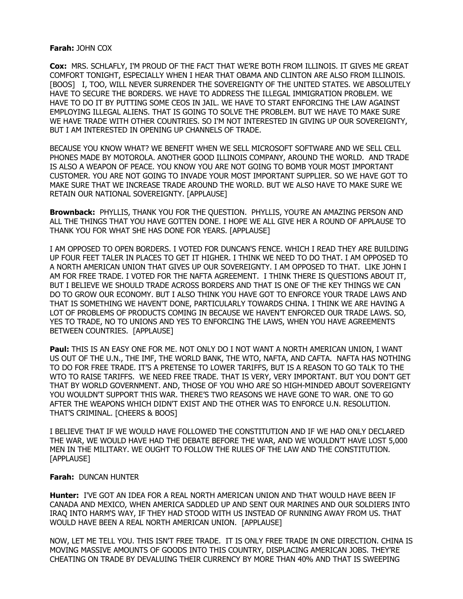#### **Farah:** JOHN COX

**Cox:** MRS. SCHLAFLY, I'M PROUD OF THE FACT THAT WE'RE BOTH FROM ILLINOIS. IT GIVES ME GREAT COMFORT TONIGHT, ESPECIALLY WHEN I HEAR THAT OBAMA AND CLINTON ARE ALSO FROM ILLINOIS. [BOOS] I, TOO, WILL NEVER SURRENDER THE SOVEREIGNTY OF THE UNITED STATES. WE ABSOLUTELY HAVE TO SECURE THE BORDERS. WE HAVE TO ADDRESS THE ILLEGAL IMMIGRATION PROBLEM. WE HAVE TO DO IT BY PUTTING SOME CEOS IN JAIL. WE HAVE TO START ENFORCING THE LAW AGAINST EMPLOYING ILLEGAL ALIENS. THAT IS GOING TO SOLVE THE PROBLEM. BUT WE HAVE TO MAKE SURE WE HAVE TRADE WITH OTHER COUNTRIES. SO I'M NOT INTERESTED IN GIVING UP OUR SOVEREIGNTY, BUT I AM INTERESTED IN OPENING UP CHANNELS OF TRADE.

BECAUSE YOU KNOW WHAT? WE BENEFIT WHEN WE SELL MICROSOFT SOFTWARE AND WE SELL CELL PHONES MADE BY MOTOROLA. ANOTHER GOOD ILLINOIS COMPANY, AROUND THE WORLD. AND TRADE IS ALSO A WEAPON OF PEACE. YOU KNOW YOU ARE NOT GOING TO BOMB YOUR MOST IMPORTANT CUSTOMER. YOU ARE NOT GOING TO INVADE YOUR MOST IMPORTANT SUPPLIER. SO WE HAVE GOT TO MAKE SURE THAT WE INCREASE TRADE AROUND THE WORLD. BUT WE ALSO HAVE TO MAKE SURE WE RETAIN OUR NATIONAL SOVEREIGNTY. [APPLAUSE]

**Brownback:** PHYLLIS, THANK YOU FOR THE QUESTION. PHYLLIS, YOU'RE AN AMAZING PERSON AND ALL THE THINGS THAT YOU HAVE GOTTEN DONE. I HOPE WE ALL GIVE HER A ROUND OF APPLAUSE TO THANK YOU FOR WHAT SHE HAS DONE FOR YEARS. [APPLAUSE]

I AM OPPOSED TO OPEN BORDERS. I VOTED FOR DUNCAN'S FENCE. WHICH I READ THEY ARE BUILDING UP FOUR FEET TALER IN PLACES TO GET IT HIGHER. I THINK WE NEED TO DO THAT. I AM OPPOSED TO A NORTH AMERICAN UNION THAT GIVES UP OUR SOVEREIGNTY. I AM OPPOSED TO THAT. LIKE JOHN I AM FOR FREE TRADE. I VOTED FOR THE NAFTA AGREEMENT. I THINK THERE IS QUESTIONS ABOUT IT, BUT I BELIEVE WE SHOULD TRADE ACROSS BORDERS AND THAT IS ONE OF THE KEY THINGS WE CAN DO TO GROW OUR ECONOMY. BUT I ALSO THINK YOU HAVE GOT TO ENFORCE YOUR TRADE LAWS AND THAT IS SOMETHING WE HAVEN'T DONE, PARTICULARLY TOWARDS CHINA. I THINK WE ARE HAVING A LOT OF PROBLEMS OF PRODUCTS COMING IN BECAUSE WE HAVEN'T ENFORCED OUR TRADE LAWS. SO, YES TO TRADE, NO TO UNIONS AND YES TO ENFORCING THE LAWS, WHEN YOU HAVE AGREEMENTS BETWEEN COUNTRIES. [APPLAUSE]

**Paul:** THIS IS AN EASY ONE FOR ME. NOT ONLY DO I NOT WANT A NORTH AMERICAN UNION, I WANT US OUT OF THE U.N., THE IMF, THE WORLD BANK, THE WTO, NAFTA, AND CAFTA. NAFTA HAS NOTHING TO DO FOR FREE TRADE. IT'S A PRETENSE TO LOWER TARIFFS, BUT IS A REASON TO GO TALK TO THE WTO TO RAISE TARIFFS. WE NEED FREE TRADE. THAT IS VERY, VERY IMPORTANT. BUT YOU DON'T GET THAT BY WORLD GOVERNMENT. AND, THOSE OF YOU WHO ARE SO HIGH-MINDED ABOUT SOVEREIGNTY YOU WOULDN'T SUPPORT THIS WAR. THERE'S TWO REASONS WE HAVE GONE TO WAR. ONE TO GO AFTER THE WEAPONS WHICH DIDN'T EXIST AND THE OTHER WAS TO ENFORCE U.N. RESOLUTION. THAT'S CRIMINAL. [CHEERS & BOOS]

I BELIEVE THAT IF WE WOULD HAVE FOLLOWED THE CONSTITUTION AND IF WE HAD ONLY DECLARED THE WAR, WE WOULD HAVE HAD THE DEBATE BEFORE THE WAR, AND WE WOULDN'T HAVE LOST 5,000 MEN IN THE MILITARY. WE OUGHT TO FOLLOW THE RULES OF THE LAW AND THE CONSTITUTION. [APPLAUSE]

#### **Farah:** DUNCAN HUNTER

**Hunter:** I'VE GOT AN IDEA FOR A REAL NORTH AMERICAN UNION AND THAT WOULD HAVE BEEN IF CANADA AND MEXICO, WHEN AMERICA SADDLED UP AND SENT OUR MARINES AND OUR SOLDIERS INTO IRAQ INTO HARM'S WAY, IF THEY HAD STOOD WITH US INSTEAD OF RUNNING AWAY FROM US. THAT WOULD HAVE BEEN A REAL NORTH AMERICAN UNION. [APPLAUSE]

NOW, LET ME TELL YOU. THIS ISN'T FREE TRADE. IT IS ONLY FREE TRADE IN ONE DIRECTION. CHINA IS MOVING MASSIVE AMOUNTS OF GOODS INTO THIS COUNTRY, DISPLACING AMERICAN JOBS. THEY'RE CHEATING ON TRADE BY DEVALUING THEIR CURRENCY BY MORE THAN 40% AND THAT IS SWEEPING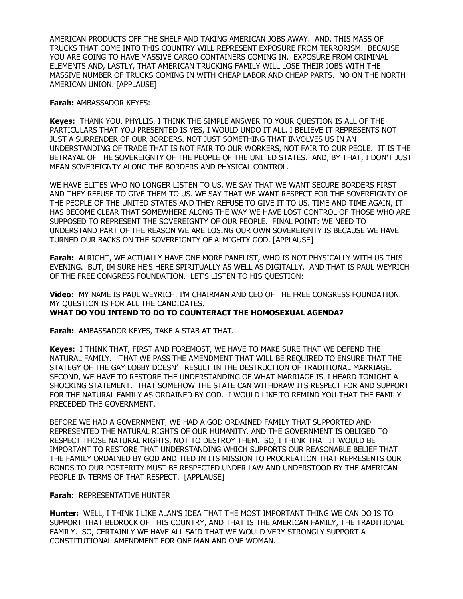AMERICAN PRODUCTS OFF THE SHELF AND TAKING AMERICAN JOBS AWAY. AND, THIS MASS OF TRUCKS THAT COME INTO THIS COUNTRY WILL REPRESENT EXPOSURE FROM TERRORISM. BECAUSE YOU ARE GOING TO HAVE MASSIVE CARGO CONTAINERS COMING IN. EXPOSURE FROM CRIMINAL ELEMENTS AND, LASTLY, THAT AMERICAN TRUCKING FAMILY WILL LOSE THEIR JOBS WITH THE MASSIVE NUMBER OF TRUCKS COMING IN WITH CHEAP LABOR AND CHEAP PARTS. NO ON THE NORTH AMERICAN UNION. [APPLAUSE]

**Farah:** AMBASSADOR KEYES:

**Keyes:** THANK YOU. PHYLLIS, I THINK THE SIMPLE ANSWER TO YOUR QUESTION IS ALL OF THE PARTICULARS THAT YOU PRESENTED IS YES, I WOULD UNDO IT ALL. I BELIEVE IT REPRESENTS NOT JUST A SURRENDER OF OUR BORDERS. NOT JUST SOMETHING THAT INVOLVES US IN AN UNDERSTANDING OF TRADE THAT IS NOT FAIR TO OUR WORKERS, NOT FAIR TO OUR PEOLE. IT IS THE BETRAYAL OF THE SOVEREIGNTY OF THE PEOPLE OF THE UNITED STATES. AND, BY THAT, I DON'T JUST MEAN SOVEREIGNTY ALONG THE BORDERS AND PHYSICAL CONTROL.

WE HAVE ELITES WHO NO LONGER LISTEN TO US. WE SAY THAT WE WANT SECURE BORDERS FIRST AND THEY REFUSE TO GIVE THEM TO US. WE SAY THAT WE WANT RESPECT FOR THE SOVEREIGNTY OF THE PEOPLE OF THE UNITED STATES AND THEY REFUSE TO GIVE IT TO US. TIME AND TIME AGAIN, IT HAS BECOME CLEAR THAT SOMEWHERE ALONG THE WAY WE HAVE LOST CONTROL OF THOSE WHO ARE SUPPOSED TO REPRESENT THE SOVEREIGNTY OF OUR PEOPLE. FINAL POINT: WE NEED TO UNDERSTAND PART OF THE REASON WE ARE LOSING OUR OWN SOVEREIGNTY IS BECAUSE WE HAVE TURNED OUR BACKS ON THE SOVEREIGNTY OF ALMIGHTY GOD. [APPLAUSE]

**Farah:** ALRIGHT, WE ACTUALLY HAVE ONE MORE PANELIST, WHO IS NOT PHYSICALLY WITH US THIS EVENING. BUT, IM SURE HE'S HERE SPIRITUALLY AS WELL AS DIGITALLY. AND THAT IS PAUL WEYRICH OF THE FREE CONGRESS FOUNDATION. LET'S LISTEN TO HIS QUESTION:

**Video:** MY NAME IS PAUL WEYRICH. I'M CHAIRMAN AND CEO OF THE FREE CONGRESS FOUNDATION. MY QUESTION IS FOR ALL THE CANDIDATES. **WHAT DO YOU INTEND TO DO TO COUNTERACT THE HOMOSEXUAL AGENDA?** 

**Farah:** AMBASSADOR KEYES, TAKE A STAB AT THAT.

**Keyes:** I THINK THAT, FIRST AND FOREMOST, WE HAVE TO MAKE SURE THAT WE DEFEND THE NATURAL FAMILY. THAT WE PASS THE AMENDMENT THAT WILL BE REQUIRED TO ENSURE THAT THE STATEGY OF THE GAY LOBBY DOESN'T RESULT IN THE DESTRUCTION OF TRADITIONAL MARRIAGE. SECOND, WE HAVE TO RESTORE THE UNDERSTANDING OF WHAT MARRIAGE IS. I HEARD TONIGHT A SHOCKING STATEMENT. THAT SOMEHOW THE STATE CAN WITHDRAW ITS RESPECT FOR AND SUPPORT FOR THE NATURAL FAMILY AS ORDAINED BY GOD. I WOULD LIKE TO REMIND YOU THAT THE FAMILY PRECEDED THE GOVERNMENT.

BEFORE WE HAD A GOVERNMENT, WE HAD A GOD ORDAINED FAMILY THAT SUPPORTED AND REPRESENTED THE NATURAL RIGHTS OF OUR HUMANITY. AND THE GOVERNMENT IS OBLIGED TO RESPECT THOSE NATURAL RIGHTS, NOT TO DESTROY THEM. SO, I THINK THAT IT WOULD BE IMPORTANT TO RESTORE THAT UNDERSTANDING WHICH SUPPORTS OUR REASONABLE BELIEF THAT THE FAMILY ORDAINED BY GOD AND TIED IN ITS MISSION TO PROCREATION THAT REPRESENTS OUR BONDS TO OUR POSTERITY MUST BE RESPECTED UNDER LAW AND UNDERSTOOD BY THE AMERICAN PEOPLE IN TERMS OF THAT RESPECT. [APPLAUSE]

**Farah**: REPRESENTATIVE HUNTER

**Hunter:** WELL, I THINK I LIKE ALAN'S IDEA THAT THE MOST IMPORTANT THING WE CAN DO IS TO SUPPORT THAT BEDROCK OF THIS COUNTRY, AND THAT IS THE AMERICAN FAMILY, THE TRADITIONAL FAMILY. SO, CERTAINLY WE HAVE ALL SAID THAT WE WOULD VERY STRONGLY SUPPORT A CONSTITUTIONAL AMENDMENT FOR ONE MAN AND ONE WOMAN.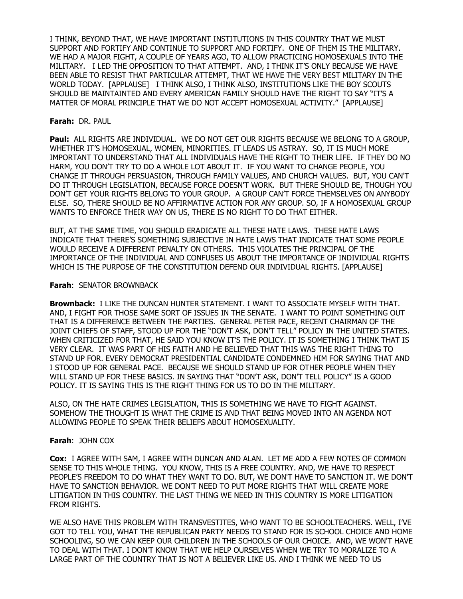I THINK, BEYOND THAT, WE HAVE IMPORTANT INSTITUTIONS IN THIS COUNTRY THAT WE MUST SUPPORT AND FORTIFY AND CONTINUE TO SUPPORT AND FORTIFY. ONE OF THEM IS THE MILITARY. WE HAD A MAJOR FIGHT, A COUPLE OF YEARS AGO, TO ALLOW PRACTICING HOMOSEXUALS INTO THE MILITARY. I LED THE OPPOSITION TO THAT ATTEMPT. AND, I THINK IT'S ONLY BECAUSE WE HAVE BEEN ABLE TO RESIST THAT PARTICULAR ATTEMPT, THAT WE HAVE THE VERY BEST MILITARY IN THE WORLD TODAY. [APPLAUSE] I THINK ALSO, I THINK ALSO, INSTITUTIONS LIKE THE BOY SCOUTS SHOULD BE MAINTAINTED AND EVERY AMERICAN FAMILY SHOULD HAVE THE RIGHT TO SAY "IT'S A MATTER OF MORAL PRINCIPLE THAT WE DO NOT ACCEPT HOMOSEXUAL ACTIVITY." [APPLAUSE]

### **Farah:** DR. PAUL

**Paul:** ALL RIGHTS ARE INDIVIDUAL. WE DO NOT GET OUR RIGHTS BECAUSE WE BELONG TO A GROUP, WHETHER IT'S HOMOSEXUAL, WOMEN, MINORITIES. IT LEADS US ASTRAY. SO, IT IS MUCH MORE IMPORTANT TO UNDERSTAND THAT ALL INDIVIDUALS HAVE THE RIGHT TO THEIR LIFE. IF THEY DO NO HARM, YOU DON'T TRY TO DO A WHOLE LOT ABOUT IT. IF YOU WANT TO CHANGE PEOPLE, YOU CHANGE IT THROUGH PERSUASION, THROUGH FAMILY VALUES, AND CHURCH VALUES. BUT, YOU CAN'T DO IT THROUGH LEGISLATION, BECAUSE FORCE DOESN'T WORK. BUT THERE SHOULD BE, THOUGH YOU DON'T GET YOUR RIGHTS BELONG TO YOUR GROUP. A GROUP CAN'T FORCE THEMSELVES ON ANYBODY ELSE. SO, THERE SHOULD BE NO AFFIRMATIVE ACTION FOR ANY GROUP. SO, IF A HOMOSEXUAL GROUP WANTS TO ENFORCE THEIR WAY ON US, THERE IS NO RIGHT TO DO THAT EITHER.

BUT, AT THE SAME TIME, YOU SHOULD ERADICATE ALL THESE HATE LAWS. THESE HATE LAWS INDICATE THAT THERE'S SOMETHING SUBJECTIVE IN HATE LAWS THAT INDICATE THAT SOME PEOPLE WOULD RECEIVE A DIFFERENT PENALTY ON OTHERS. THIS VIOLATES THE PRINCIPAL OF THE IMPORTANCE OF THE INDIVIDUAL AND CONFUSES US ABOUT THE IMPORTANCE OF INDIVIDUAL RIGHTS WHICH IS THE PURPOSE OF THE CONSTITUTION DEFEND OUR INDIVIDUAL RIGHTS. [APPLAUSE]

#### **Farah**: SENATOR BROWNBACK

**Brownback:** I LIKE THE DUNCAN HUNTER STATEMENT. I WANT TO ASSOCIATE MYSELF WITH THAT. AND, I FIGHT FOR THOSE SAME SORT OF ISSUES IN THE SENATE. I WANT TO POINT SOMETHING OUT THAT IS A DIFFERENCE BETWEEN THE PARTIES. GENERAL PETER PACE, RECENT CHAIRMAN OF THE JOINT CHIEFS OF STAFF, STOOD UP FOR THE "DON'T ASK, DON'T TELL" POLICY IN THE UNITED STATES. WHEN CRITICIZED FOR THAT, HE SAID YOU KNOW IT'S THE POLICY. IT IS SOMETHING I THINK THAT IS VERY CLEAR. IT WAS PART OF HIS FAITH AND HE BELIEVED THAT THIS WAS THE RIGHT THING TO STAND UP FOR. EVERY DEMOCRAT PRESIDENTIAL CANDIDATE CONDEMNED HIM FOR SAYING THAT AND I STOOD UP FOR GENERAL PACE. BECAUSE WE SHOULD STAND UP FOR OTHER PEOPLE WHEN THEY WILL STAND UP FOR THESE BASICS. IN SAYING THAT "DON'T ASK, DON'T TELL POLICY" IS A GOOD POLICY. IT IS SAYING THIS IS THE RIGHT THING FOR US TO DO IN THE MILITARY.

ALSO, ON THE HATE CRIMES LEGISLATION, THIS IS SOMETHING WE HAVE TO FIGHT AGAINST. SOMEHOW THE THOUGHT IS WHAT THE CRIME IS AND THAT BEING MOVED INTO AN AGENDA NOT ALLOWING PEOPLE TO SPEAK THEIR BELIEFS ABOUT HOMOSEXUALITY.

## **Farah**: JOHN COX

**Cox:** I AGREE WITH SAM, I AGREE WITH DUNCAN AND ALAN. LET ME ADD A FEW NOTES OF COMMON SENSE TO THIS WHOLE THING. YOU KNOW, THIS IS A FREE COUNTRY. AND, WE HAVE TO RESPECT PEOPLE'S FREEDOM TO DO WHAT THEY WANT TO DO. BUT, WE DON'T HAVE TO SANCTION IT. WE DON'T HAVE TO SANCTION BEHAVIOR. WE DON'T NEED TO PUT MORE RIGHTS THAT WILL CREATE MORE LITIGATION IN THIS COUNTRY. THE LAST THING WE NEED IN THIS COUNTRY IS MORE LITIGATION FROM RIGHTS.

WE ALSO HAVE THIS PROBLEM WITH TRANSVESTITES, WHO WANT TO BE SCHOOLTEACHERS. WELL, I'VE GOT TO TELL YOU, WHAT THE REPUBLICAN PARTY NEEDS TO STAND FOR IS SCHOOL CHOICE AND HOME SCHOOLING, SO WE CAN KEEP OUR CHILDREN IN THE SCHOOLS OF OUR CHOICE. AND, WE WON'T HAVE TO DEAL WITH THAT. I DON'T KNOW THAT WE HELP OURSELVES WHEN WE TRY TO MORALIZE TO A LARGE PART OF THE COUNTRY THAT IS NOT A BELIEVER LIKE US. AND I THINK WE NEED TO US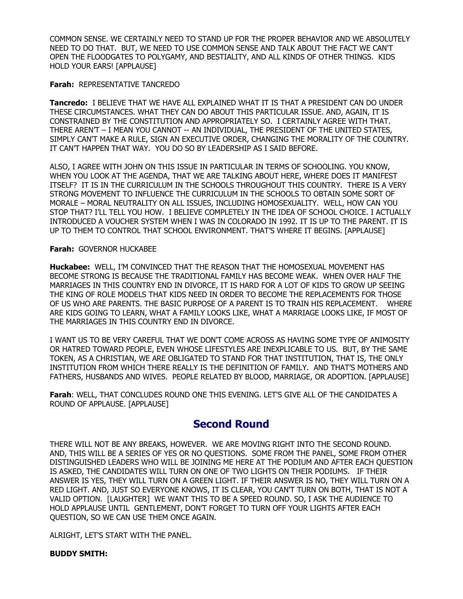COMMON SENSE. WE CERTAINLY NEED TO STAND UP FOR THE PROPER BEHAVIOR AND WE ABSOLUTELY NEED TO DO THAT. BUT, WE NEED TO USE COMMON SENSE AND TALK ABOUT THE FACT WE CAN'T OPEN THE FLOODGATES TO POLYGAMY, AND BESTIALITY, AND ALL KINDS OF OTHER THINGS. KIDS HOLD YOUR EARS! [APPLAUSE]

#### **Farah:** REPRESENTATIVE TANCREDO

**Tancredo:** I BELIEVE THAT WE HAVE ALL EXPLAINED WHAT IT IS THAT A PRESIDENT CAN DO UNDER THESE CIRCUMSTANCES. WHAT THEY CAN DO ABOUT THIS PARTICULAR ISSUE. AND, AGAIN, IT IS CONSTRAINED BY THE CONSTITUTION AND APPROPRIATELY SO. I CERTAINLY AGREE WITH THAT. THERE AREN'T – I MEAN YOU CANNOT -- AN INDIVIDUAL, THE PRESIDENT OF THE UNITED STATES, SIMPLY CAN'T MAKE A RULE, SIGN AN EXECUTIVE ORDER, CHANGING THE MORALITY OF THE COUNTRY. IT CAN'T HAPPEN THAT WAY. YOU DO SO BY LEADERSHIP AS I SAID BEFORE.

ALSO, I AGREE WITH JOHN ON THIS ISSUE IN PARTICULAR IN TERMS OF SCHOOLING. YOU KNOW, WHEN YOU LOOK AT THE AGENDA, THAT WE ARE TALKING ABOUT HERE, WHERE DOES IT MANIFEST ITSELF? IT IS IN THE CURRICULUM IN THE SCHOOLS THROUGHOUT THIS COUNTRY. THERE IS A VERY STRONG MOVEMENT TO INFLUENCE THE CURRICULUM IN THE SCHOOLS TO OBTAIN SOME SORT OF MORALE – MORAL NEUTRALITY ON ALL ISSUES, INCLUDING HOMOSEXUALITY. WELL, HOW CAN YOU STOP THAT? I'LL TELL YOU HOW. I BELIEVE COMPLETELY IN THE IDEA OF SCHOOL CHOICE. I ACTUALLY INTRODUCED A VOUCHER SYSTEM WHEN I WAS IN COLORADO IN 1992. IT IS UP TO THE PARENT. IT IS UP TO THEM TO CONTROL THAT SCHOOL ENVIRONMENT. THAT'S WHERE IT BEGINS. [APPLAUSE]

#### **Farah:** GOVERNOR HUCKABEE

**Huckabee:** WELL, I'M CONVINCED THAT THE REASON THAT THE HOMOSEXUAL MOVEMENT HAS BECOME STRONG IS BECAUSE THE TRADITIONAL FAMILY HAS BECOME WEAK. WHEN OVER HALF THE MARRIAGES IN THIS COUNTRY END IN DIVORCE, IT IS HARD FOR A LOT OF KIDS TO GROW UP SEEING THE KING OF ROLE MODELS THAT KIDS NEED IN ORDER TO BECOME THE REPLACEMENTS FOR THOSE OF US WHO ARE PARENTS. THE BASIC PURPOSE OF A PARENT IS TO TRAIN HIS REPLACEMENT. WHERE ARE KIDS GOING TO LEARN, WHAT A FAMILY LOOKS LIKE, WHAT A MARRIAGE LOOKS LIKE, IF MOST OF THE MARRIAGES IN THIS COUNTRY END IN DIVORCE.

I WANT US TO BE VERY CAREFUL THAT WE DON'T COME ACROSS AS HAVING SOME TYPE OF ANIMOSITY OR HATRED TOWARD PEOPLE, EVEN WHOSE LIFESTYLES ARE INEXPLICABLE TO US. BUT, BY THE SAME TOKEN, AS A CHRISTIAN, WE ARE OBLIGATED TO STAND FOR THAT INSTITUTION, THAT IS, THE ONLY INSTITUTION FROM WHICH THERE REALLY IS THE DEFINITION OF FAMILY. AND THAT'S MOTHERS AND FATHERS, HUSBANDS AND WIVES. PEOPLE RELATED BY BLOOD, MARRIAGE, OR ADOPTION. [APPLAUSE]

**Farah**: WELL, THAT CONCLUDES ROUND ONE THIS EVENING. LET'S GIVE ALL OF THE CANDIDATES A ROUND OF APPLAUSE. [APPLAUSE]

## **Second Round**

THERE WILL NOT BE ANY BREAKS, HOWEVER. WE ARE MOVING RIGHT INTO THE SECOND ROUND. AND, THIS WILL BE A SERIES OF YES OR NO QUESTIONS. SOME FROM THE PANEL, SOME FROM OTHER DISTINGUISHED LEADERS WHO WILL BE JOINING ME HERE AT THE PODIUM AND AFTER EACH QUESTION IS ASKED, THE CANDIDATES WILL TURN ON ONE OF TWO LIGHTS ON THEIR PODIUMS. IF THEIR ANSWER IS YES, THEY WILL TURN ON A GREEN LIGHT. IF THEIR ANSWER IS NO, THEY WILL TURN ON A RED LIGHT. AND, JUST SO EVERYONE KNOWS, IT IS CLEAR, YOU CAN'T TURN ON BOTH, THAT IS NOT A VALID OPTION. [LAUGHTER] WE WANT THIS TO BE A SPEED ROUND. SO, I ASK THE AUDIENCE TO HOLD APPLAUSE UNTIL GENTLEMENT, DON'T FORGET TO TURN OFF YOUR LIGHTS AFTER EACH QUESTION, SO WE CAN USE THEM ONCE AGAIN.

ALRIGHT, LET'S START WITH THE PANEL.

## **BUDDY SMITH:**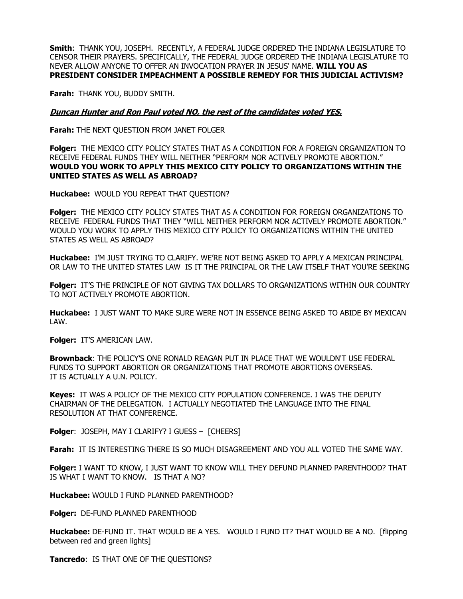**Smith**: THANK YOU, JOSEPH. RECENTLY, A FEDERAL JUDGE ORDERED THE INDIANA LEGISLATURE TO CENSOR THEIR PRAYERS. SPECIFICALLY, THE FEDERAL JUDGE ORDERED THE INDIANA LEGISLATURE TO NEVER ALLOW ANYONE TO OFFER AN INVOCATION PRAYER IN JESUS' NAME. **WILL YOU AS PRESIDENT CONSIDER IMPEACHMENT A POSSIBLE REMEDY FOR THIS JUDICIAL ACTIVISM?** 

**Farah:** THANK YOU, BUDDY SMITH.

### **Duncan Hunter and Ron Paul voted NO, the rest of the candidates voted YES.**

**Farah:** THE NEXT QUESTION FROM JANET FOLGER

**Folger:** THE MEXICO CITY POLICY STATES THAT AS A CONDITION FOR A FOREIGN ORGANIZATION TO RECEIVE FEDERAL FUNDS THEY WILL NEITHER "PERFORM NOR ACTIVELY PROMOTE ABORTION." **WOULD YOU WORK TO APPLY THIS MEXICO CITY POLICY TO ORGANIZATIONS WITHIN THE UNITED STATES AS WELL AS ABROAD?** 

**Huckabee:** WOULD YOU REPEAT THAT QUESTION?

**Folger:** THE MEXICO CITY POLICY STATES THAT AS A CONDITION FOR FOREIGN ORGANIZATIONS TO RECEIVE FEDERAL FUNDS THAT THEY "WILL NEITHER PERFORM NOR ACTIVELY PROMOTE ABORTION." WOULD YOU WORK TO APPLY THIS MEXICO CITY POLICY TO ORGANIZATIONS WITHIN THE UNITED STATES AS WELL AS ABROAD?

**Huckabee:** I'M JUST TRYING TO CLARIFY. WE'RE NOT BEING ASKED TO APPLY A MEXICAN PRINCIPAL OR LAW TO THE UNITED STATES LAW IS IT THE PRINCIPAL OR THE LAW ITSELF THAT YOU'RE SEEKING

**Folger:** IT'S THE PRINCIPLE OF NOT GIVING TAX DOLLARS TO ORGANIZATIONS WITHIN OUR COUNTRY TO NOT ACTIVELY PROMOTE ABORTION.

**Huckabee:** I JUST WANT TO MAKE SURE WERE NOT IN ESSENCE BEING ASKED TO ABIDE BY MEXICAN LAW.

**Folger:** IT'S AMERICAN LAW.

**Brownback**: THE POLICY'S ONE RONALD REAGAN PUT IN PLACE THAT WE WOULDN'T USE FEDERAL FUNDS TO SUPPORT ABORTION OR ORGANIZATIONS THAT PROMOTE ABORTIONS OVERSEAS. IT IS ACTUALLY A U.N. POLICY.

**Keyes:** IT WAS A POLICY OF THE MEXICO CITY POPULATION CONFERENCE. I WAS THE DEPUTY CHAIRMAN OF THE DELEGATION. I ACTUALLY NEGOTIATED THE LANGUAGE INTO THE FINAL RESOLUTION AT THAT CONFERENCE.

**Folger**: JOSEPH, MAY I CLARIFY? I GUESS – [CHEERS]

**Farah:** IT IS INTERESTING THERE IS SO MUCH DISAGREEMENT AND YOU ALL VOTED THE SAME WAY.

**Folger:** I WANT TO KNOW, I JUST WANT TO KNOW WILL THEY DEFUND PLANNED PARENTHOOD? THAT IS WHAT I WANT TO KNOW. IS THAT A NO?

**Huckabee:** WOULD I FUND PLANNED PARENTHOOD?

**Folger:** DE-FUND PLANNED PARENTHOOD

**Huckabee:** DE-FUND IT. THAT WOULD BE A YES. WOULD I FUND IT? THAT WOULD BE A NO. [flipping between red and green lights]

**Tancredo**: IS THAT ONE OF THE QUESTIONS?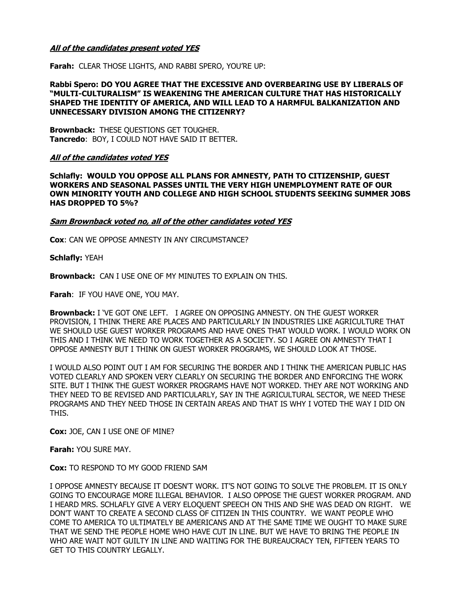## **All of the candidates present voted YES**

**Farah:** CLEAR THOSE LIGHTS, AND RABBI SPERO, YOU'RE UP:

#### **Rabbi Spero: DO YOU AGREE THAT THE EXCESSIVE AND OVERBEARING USE BY LIBERALS OF "MULTI-CULTURALISM" IS WEAKENING THE AMERICAN CULTURE THAT HAS HISTORICALLY SHAPED THE IDENTITY OF AMERICA, AND WILL LEAD TO A HARMFUL BALKANIZATION AND UNNECESSARY DIVISION AMONG THE CITIZENRY?**

**Brownback:** THESE QUESTIONS GET TOUGHER. **Tancredo**: BOY, I COULD NOT HAVE SAID IT BETTER.

#### **All of the candidates voted YES**

**Schlafly: WOULD YOU OPPOSE ALL PLANS FOR AMNESTY, PATH TO CITIZENSHIP, GUEST WORKERS AND SEASONAL PASSES UNTIL THE VERY HIGH UNEMPLOYMENT RATE OF OUR OWN MINORITY YOUTH AND COLLEGE AND HIGH SCHOOL STUDENTS SEEKING SUMMER JOBS HAS DROPPED TO 5%?** 

#### **Sam Brownback voted no, all of the other candidates voted YES**

**Cox**: CAN WE OPPOSE AMNESTY IN ANY CIRCUMSTANCE?

**Schlafly:** YEAH

**Brownback:** CAN I USE ONE OF MY MINUTES TO EXPLAIN ON THIS.

**Farah**: IF YOU HAVE ONE, YOU MAY.

**Brownback:** I 'VE GOT ONE LEFT. I AGREE ON OPPOSING AMNESTY. ON THE GUEST WORKER PROVISION, I THINK THERE ARE PLACES AND PARTICULARLY IN INDUSTRIES LIKE AGRICULTURE THAT WE SHOULD USE GUEST WORKER PROGRAMS AND HAVE ONES THAT WOULD WORK. I WOULD WORK ON THIS AND I THINK WE NEED TO WORK TOGETHER AS A SOCIETY. SO I AGREE ON AMNESTY THAT I OPPOSE AMNESTY BUT I THINK ON GUEST WORKER PROGRAMS, WE SHOULD LOOK AT THOSE.

I WOULD ALSO POINT OUT I AM FOR SECURING THE BORDER AND I THINK THE AMERICAN PUBLIC HAS VOTED CLEARLY AND SPOKEN VERY CLEARLY ON SECURING THE BORDER AND ENFORCING THE WORK SITE. BUT I THINK THE GUEST WORKER PROGRAMS HAVE NOT WORKED. THEY ARE NOT WORKING AND THEY NEED TO BE REVISED AND PARTICULARLY, SAY IN THE AGRICULTURAL SECTOR, WE NEED THESE PROGRAMS AND THEY NEED THOSE IN CERTAIN AREAS AND THAT IS WHY I VOTED THE WAY I DID ON THIS.

**Cox:** JOE, CAN I USE ONE OF MINE?

**Farah:** YOU SURE MAY.

**Cox:** TO RESPOND TO MY GOOD FRIEND SAM

I OPPOSE AMNESTY BECAUSE IT DOESN'T WORK. IT'S NOT GOING TO SOLVE THE PROBLEM. IT IS ONLY GOING TO ENCOURAGE MORE ILLEGAL BEHAVIOR. I ALSO OPPOSE THE GUEST WORKER PROGRAM. AND I HEARD MRS. SCHLAFLY GIVE A VERY ELOQUENT SPEECH ON THIS AND SHE WAS DEAD ON RIGHT. WE DON'T WANT TO CREATE A SECOND CLASS OF CITIZEN IN THIS COUNTRY. WE WANT PEOPLE WHO COME TO AMERICA TO ULTIMATELY BE AMERICANS AND AT THE SAME TIME WE OUGHT TO MAKE SURE THAT WE SEND THE PEOPLE HOME WHO HAVE CUT IN LINE. BUT WE HAVE TO BRING THE PEOPLE IN WHO ARE WAIT NOT GUILTY IN LINE AND WAITING FOR THE BUREAUCRACY TEN, FIFTEEN YEARS TO GET TO THIS COUNTRY LEGALLY.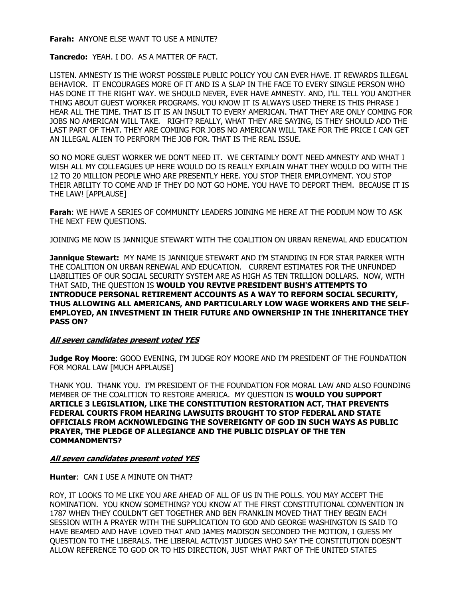**Farah:** ANYONE ELSE WANT TO USE A MINUTE?

**Tancredo:** YEAH. I DO. AS A MATTER OF FACT.

LISTEN. AMNESTY IS THE WORST POSSIBLE PUBLIC POLICY YOU CAN EVER HAVE. IT REWARDS ILLEGAL BEHAVIOR. IT ENCOURAGES MORE OF IT AND IS A SLAP IN THE FACE TO EVERY SINGLE PERSON WHO HAS DONE IT THE RIGHT WAY. WE SHOULD NEVER, EVER HAVE AMNESTY. AND, I'LL TELL YOU ANOTHER THING ABOUT GUEST WORKER PROGRAMS. YOU KNOW IT IS ALWAYS USED THERE IS THIS PHRASE I HEAR ALL THE TIME. THAT IS IT IS AN INSULT TO EVERY AMERICAN. THAT THEY ARE ONLY COMING FOR JOBS NO AMERICAN WILL TAKE. RIGHT? REALLY, WHAT THEY ARE SAYING, IS THEY SHOULD ADD THE LAST PART OF THAT. THEY ARE COMING FOR JOBS NO AMERICAN WILL TAKE FOR THE PRICE I CAN GET AN ILLEGAL ALIEN TO PERFORM THE JOB FOR. THAT IS THE REAL ISSUE.

SO NO MORE GUEST WORKER WE DON'T NEED IT. WE CERTAINLY DON'T NEED AMNESTY AND WHAT I WISH ALL MY COLLEAGUES UP HERE WOULD DO IS REALLY EXPLAIN WHAT THEY WOULD DO WITH THE 12 TO 20 MILLION PEOPLE WHO ARE PRESENTLY HERE. YOU STOP THEIR EMPLOYMENT. YOU STOP THEIR ABILITY TO COME AND IF THEY DO NOT GO HOME. YOU HAVE TO DEPORT THEM. BECAUSE IT IS THE LAW! [APPLAUSE]

**Farah**: WE HAVE A SERIES OF COMMUNITY LEADERS JOINING ME HERE AT THE PODIUM NOW TO ASK THE NEXT FEW QUESTIONS.

JOINING ME NOW IS JANNIQUE STEWART WITH THE COALITION ON URBAN RENEWAL AND EDUCATION

**Jannique Stewart:** MY NAME IS JANNIQUE STEWART AND I'M STANDING IN FOR STAR PARKER WITH THE COALITION ON URBAN RENEWAL AND EDUCATION. CURRENT ESTIMATES FOR THE UNFUNDED LIABILITIES OF OUR SOCIAL SECURITY SYSTEM ARE AS HIGH AS TEN TRILLION DOLLARS. NOW, WITH THAT SAID, THE QUESTION IS **WOULD YOU REVIVE PRESIDENT BUSH'S ATTEMPTS TO INTRODUCE PERSONAL RETIREMENT ACCOUNTS AS A WAY TO REFORM SOCIAL SECURITY, THUS ALLOWING ALL AMERICANS, AND PARTICULARLY LOW WAGE WORKERS AND THE SELF-EMPLOYED, AN INVESTMENT IN THEIR FUTURE AND OWNERSHIP IN THE INHERITANCE THEY PASS ON?** 

## **All seven candidates present voted YES**

**Judge Roy Moore**: GOOD EVENING, I'M JUDGE ROY MOORE AND I'M PRESIDENT OF THE FOUNDATION FOR MORAL LAW [MUCH APPLAUSE]

THANK YOU. THANK YOU. I'M PRESIDENT OF THE FOUNDATION FOR MORAL LAW AND ALSO FOUNDING MEMBER OF THE COALITION TO RESTORE AMERICA. MY QUESTION IS **WOULD YOU SUPPORT ARTICLE 3 LEGISLATION, LIKE THE CONSTITUTION RESTORATION ACT, THAT PREVENTS FEDERAL COURTS FROM HEARING LAWSUITS BROUGHT TO STOP FEDERAL AND STATE OFFICIALS FROM ACKNOWLEDGING THE SOVEREIGNTY OF GOD IN SUCH WAYS AS PUBLIC PRAYER, THE PLEDGE OF ALLEGIANCE AND THE PUBLIC DISPLAY OF THE TEN COMMANDMENTS?** 

#### **All seven candidates present voted YES**

**Hunter**: CAN I USE A MINUTE ON THAT?

ROY, IT LOOKS TO ME LIKE YOU ARE AHEAD OF ALL OF US IN THE POLLS. YOU MAY ACCEPT THE NOMINATION. YOU KNOW SOMETHING? YOU KNOW AT THE FIRST CONSTITUTIONAL CONVENTION IN 1787 WHEN THEY COULDN'T GET TOGETHER AND BEN FRANKLIN MOVED THAT THEY BEGIN EACH SESSION WITH A PRAYER WITH THE SUPPLICATION TO GOD AND GEORGE WASHINGTON IS SAID TO HAVE BEAMED AND HAVE LOVED THAT AND JAMES MADISON SECONDED THE MOTION, I GUESS MY QUESTION TO THE LIBERALS. THE LIBERAL ACTIVIST JUDGES WHO SAY THE CONSTITUTION DOESN'T ALLOW REFERENCE TO GOD OR TO HIS DIRECTION, JUST WHAT PART OF THE UNITED STATES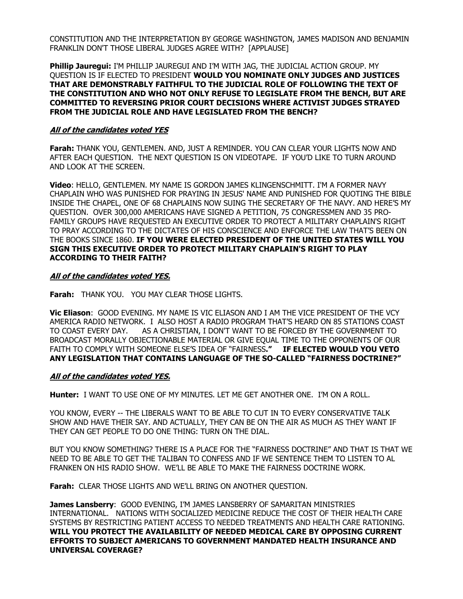CONSTITUTION AND THE INTERPRETATION BY GEORGE WASHINGTON, JAMES MADISON AND BENJAMIN FRANKLIN DON'T THOSE LIBERAL JUDGES AGREE WITH? [APPLAUSE]

**Phillip Jauregui:** I'M PHILLIP JAUREGUI AND I'M WITH JAG, THE JUDICIAL ACTION GROUP. MY QUESTION IS IF ELECTED TO PRESIDENT **WOULD YOU NOMINATE ONLY JUDGES AND JUSTICES THAT ARE DEMONSTRABLY FAITHFUL TO THE JUDICIAL ROLE OF FOLLOWING THE TEXT OF THE CONSTITUTION AND WHO NOT ONLY REFUSE TO LEGISLATE FROM THE BENCH, BUT ARE COMMITTED TO REVERSING PRIOR COURT DECISIONS WHERE ACTIVIST JUDGES STRAYED FROM THE JUDICIAL ROLE AND HAVE LEGISLATED FROM THE BENCH?** 

### **All of the candidates voted YES**

**Farah:** THANK YOU, GENTLEMEN. AND, JUST A REMINDER. YOU CAN CLEAR YOUR LIGHTS NOW AND AFTER EACH QUESTION. THE NEXT QUESTION IS ON VIDEOTAPE. IF YOU'D LIKE TO TURN AROUND AND LOOK AT THE SCREEN.

**Video**: HELLO, GENTLEMEN. MY NAME IS GORDON JAMES KLINGENSCHMITT. I'M A FORMER NAVY CHAPLAIN WHO WAS PUNISHED FOR PRAYING IN JESUS' NAME AND PUNISHED FOR QUOTING THE BIBLE INSIDE THE CHAPEL, ONE OF 68 CHAPLAINS NOW SUING THE SECRETARY OF THE NAVY. AND HERE'S MY QUESTION. OVER 300,000 AMERICANS HAVE SIGNED A PETITION, 75 CONGRESSMEN AND 35 PRO-FAMILY GROUPS HAVE REQUESTED AN EXECUTIVE ORDER TO PROTECT A MILITARY CHAPLAIN'S RIGHT TO PRAY ACCORDING TO THE DICTATES OF HIS CONSCIENCE AND ENFORCE THE LAW THAT'S BEEN ON THE BOOKS SINCE 1860. **IF YOU WERE ELECTED PRESIDENT OF THE UNITED STATES WILL YOU SIGN THIS EXECUTIVE ORDER TO PROTECT MILITARY CHAPLAIN'S RIGHT TO PLAY ACCORDING TO THEIR FAITH?** 

#### **All of the candidates voted YES.**

**Farah:** THANK YOU. YOU MAY CLEAR THOSE LIGHTS.

**Vic Eliason**: GOOD EVENING. MY NAME IS VIC ELIASON AND I AM THE VICE PRESIDENT OF THE VCY AMERICA RADIO NETWORK. I ALSO HOST A RADIO PROGRAM THAT'S HEARD ON 85 STATIONS COAST TO COAST EVERY DAY. AS A CHRISTIAN, I DON'T WANT TO BE FORCED BY THE GOVERNMENT TO BROADCAST MORALLY OBJECTIONABLE MATERIAL OR GIVE EQUAL TIME TO THE OPPONENTS OF OUR FAITH TO COMPLY WITH SOMEONE ELSE'S IDEA OF "FAIRNESS**." IF ELECTED WOULD YOU VETO ANY LEGISLATION THAT CONTAINS LANGUAGE OF THE SO-CALLED "FAIRNESS DOCTRINE?"** 

#### **All of the candidates voted YES.**

**Hunter:** I WANT TO USE ONE OF MY MINUTES. LET ME GET ANOTHER ONE. I'M ON A ROLL.

YOU KNOW, EVERY -- THE LIBERALS WANT TO BE ABLE TO CUT IN TO EVERY CONSERVATIVE TALK SHOW AND HAVE THEIR SAY. AND ACTUALLY, THEY CAN BE ON THE AIR AS MUCH AS THEY WANT IF THEY CAN GET PEOPLE TO DO ONE THING: TURN ON THE DIAL.

BUT YOU KNOW SOMETHING? THERE IS A PLACE FOR THE "FAIRNESS DOCTRINE" AND THAT IS THAT WE NEED TO BE ABLE TO GET THE TALIBAN TO CONFESS AND IF WE SENTENCE THEM TO LISTEN TO AL FRANKEN ON HIS RADIO SHOW. WE'LL BE ABLE TO MAKE THE FAIRNESS DOCTRINE WORK.

**Farah:** CLEAR THOSE LIGHTS AND WE'LL BRING ON ANOTHER QUESTION.

**James Lansberry**: GOOD EVENING, I'M JAMES LANSBERRY OF SAMARITAN MINISTRIES INTERNATIONAL. NATIONS WITH SOCIALIZED MEDICINE REDUCE THE COST OF THEIR HEALTH CARE SYSTEMS BY RESTRICTING PATIENT ACCESS TO NEEDED TREATMENTS AND HEALTH CARE RATIONING. **WILL YOU PROTECT THE AVAILABILITY OF NEEDED MEDICAL CARE BY OPPOSING CURRENT EFFORTS TO SUBJECT AMERICANS TO GOVERNMENT MANDATED HEALTH INSURANCE AND UNIVERSAL COVERAGE?**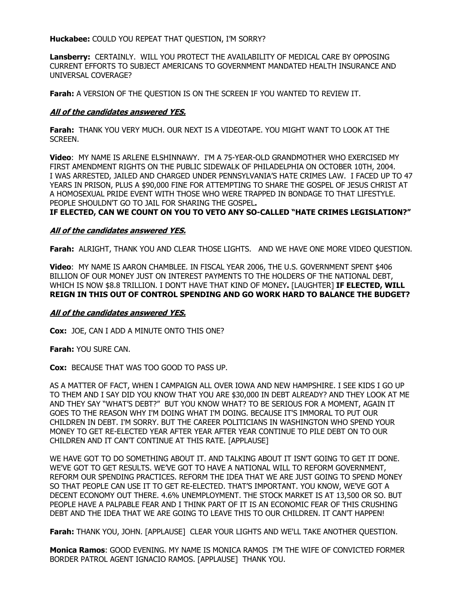**Huckabee:** COULD YOU REPEAT THAT QUESTION, I'M SORRY?

**Lansberry:** CERTAINLY. WILL YOU PROTECT THE AVAILABILITY OF MEDICAL CARE BY OPPOSING CURRENT EFFORTS TO SUBJECT AMERICANS TO GOVERNMENT MANDATED HEALTH INSURANCE AND UNIVERSAL COVERAGE?

**Farah:** A VERSION OF THE QUESTION IS ON THE SCREEN IF YOU WANTED TO REVIEW IT.

## **All of the candidates answered YES.**

**Farah:** THANK YOU VERY MUCH. OUR NEXT IS A VIDEOTAPE. YOU MIGHT WANT TO LOOK AT THE SCREEN.

**Video**: MY NAME IS ARLENE ELSHINNAWY. I'M A 75-YEAR-OLD GRANDMOTHER WHO EXERCISED MY FIRST AMENDMENT RIGHTS ON THE PUBLIC SIDEWALK OF PHILADELPHIA ON OCTOBER 10TH, 2004. I WAS ARRESTED, JAILED AND CHARGED UNDER PENNSYLVANIA'S HATE CRIMES LAW. I FACED UP TO 47 YEARS IN PRISON, PLUS A \$90,000 FINE FOR ATTEMPTING TO SHARE THE GOSPEL OF JESUS CHRIST AT A HOMOSEXUAL PRIDE EVENT WITH THOSE WHO WERE TRAPPED IN BONDAGE TO THAT LIFESTYLE. PEOPLE SHOULDN'T GO TO JAIL FOR SHARING THE GOSPEL**.** 

#### **IF ELECTED, CAN WE COUNT ON YOU TO VETO ANY SO-CALLED "HATE CRIMES LEGISLATION?"**

#### **All of the candidates answered YES.**

**Farah:** ALRIGHT, THANK YOU AND CLEAR THOSE LIGHTS. AND WE HAVE ONE MORE VIDEO QUESTION.

**Video**: MY NAME IS AARON CHAMBLEE. IN FISCAL YEAR 2006, THE U.S. GOVERNMENT SPENT \$406 BILLION OF OUR MONEY JUST ON INTEREST PAYMENTS TO THE HOLDERS OF THE NATIONAL DEBT, WHICH IS NOW \$8.8 TRILLION. I DON'T HAVE THAT KIND OF MONEY**.** [LAUGHTER] **IF ELECTED, WILL REIGN IN THIS OUT OF CONTROL SPENDING AND GO WORK HARD TO BALANCE THE BUDGET?** 

#### **All of the candidates answered YES.**

**Cox:** JOE, CAN I ADD A MINUTE ONTO THIS ONE?

**Farah:** YOU SURE CAN.

**Cox:** BECAUSE THAT WAS TOO GOOD TO PASS UP.

AS A MATTER OF FACT, WHEN I CAMPAIGN ALL OVER IOWA AND NEW HAMPSHIRE. I SEE KIDS I GO UP TO THEM AND I SAY DID YOU KNOW THAT YOU ARE \$30,000 IN DEBT ALREADY? AND THEY LOOK AT ME AND THEY SAY "WHAT'S DEBT?" BUT YOU KNOW WHAT? TO BE SERIOUS FOR A MOMENT, AGAIN IT GOES TO THE REASON WHY I'M DOING WHAT I'M DOING. BECAUSE IT'S IMMORAL TO PUT OUR CHILDREN IN DEBT. I'M SORRY. BUT THE CAREER POLITICIANS IN WASHINGTON WHO SPEND YOUR MONEY TO GET RE-ELECTED YEAR AFTER YEAR AFTER YEAR CONTINUE TO PILE DEBT ON TO OUR CHILDREN AND IT CAN'T CONTINUE AT THIS RATE. [APPLAUSE]

WE HAVE GOT TO DO SOMETHING ABOUT IT. AND TALKING ABOUT IT ISN'T GOING TO GET IT DONE. WE'VE GOT TO GET RESULTS. WE'VE GOT TO HAVE A NATIONAL WILL TO REFORM GOVERNMENT, REFORM OUR SPENDING PRACTICES. REFORM THE IDEA THAT WE ARE JUST GOING TO SPEND MONEY SO THAT PEOPLE CAN USE IT TO GET RE-ELECTED. THAT'S IMPORTANT. YOU KNOW, WE'VE GOT A DECENT ECONOMY OUT THERE. 4.6% UNEMPLOYMENT. THE STOCK MARKET IS AT 13,500 OR SO. BUT PEOPLE HAVE A PALPABLE FEAR AND I THINK PART OF IT IS AN ECONOMIC FEAR OF THIS CRUSHING DEBT AND THE IDEA THAT WE ARE GOING TO LEAVE THIS TO OUR CHILDREN. IT CAN'T HAPPEN!

**Farah:** THANK YOU, JOHN. [APPLAUSE] CLEAR YOUR LIGHTS AND WE'LL TAKE ANOTHER QUESTION.

**Monica Ramos**: GOOD EVENING. MY NAME IS MONICA RAMOS I'M THE WIFE OF CONVICTED FORMER BORDER PATROL AGENT IGNACIO RAMOS. [APPLAUSE] THANK YOU.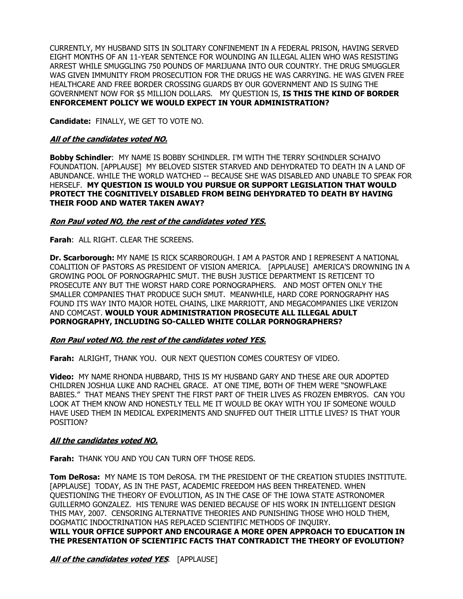CURRENTLY, MY HUSBAND SITS IN SOLITARY CONFINEMENT IN A FEDERAL PRISON, HAVING SERVED EIGHT MONTHS OF AN 11-YEAR SENTENCE FOR WOUNDING AN ILLEGAL ALIEN WHO WAS RESISTING ARREST WHILE SMUGGLING 750 POUNDS OF MARIJUANA INTO OUR COUNTRY. THE DRUG SMUGGLER WAS GIVEN IMMUNITY FROM PROSECUTION FOR THE DRUGS HE WAS CARRYING. HE WAS GIVEN FREE HEALTHCARE AND FREE BORDER CROSSING GUARDS BY OUR GOVERNMENT AND IS SUING THE GOVERNMENT NOW FOR \$5 MILLION DOLLARS. MY QUESTION IS, **IS THIS THE KIND OF BORDER ENFORCEMENT POLICY WE WOULD EXPECT IN YOUR ADMINISTRATION?** 

**Candidate:** FINALLY, WE GET TO VOTE NO.

## **All of the candidates voted NO.**

**Bobby Schindler**: MY NAME IS BOBBY SCHINDLER. I'M WITH THE TERRY SCHINDLER SCHAIVO FOUNDATION. [APPLAUSE] MY BELOVED SISTER STARVED AND DEHYDRATED TO DEATH IN A LAND OF ABUNDANCE. WHILE THE WORLD WATCHED -- BECAUSE SHE WAS DISABLED AND UNABLE TO SPEAK FOR HERSELF. **MY QUESTION IS WOULD YOU PURSUE OR SUPPORT LEGISLATION THAT WOULD PROTECT THE COGNITIVELY DISABLED FROM BEING DEHYDRATED TO DEATH BY HAVING THEIR FOOD AND WATER TAKEN AWAY?** 

## **Ron Paul voted NO, the rest of the candidates voted YES.**

**Farah**: ALL RIGHT. CLEAR THE SCREENS.

**Dr. Scarborough:** MY NAME IS RICK SCARBOROUGH. I AM A PASTOR AND I REPRESENT A NATIONAL COALITION OF PASTORS AS PRESIDENT OF VISION AMERICA. [APPLAUSE] AMERICA'S DROWNING IN A GROWING POOL OF PORNOGRAPHIC SMUT. THE BUSH JUSTICE DEPARTMENT IS RETICENT TO PROSECUTE ANY BUT THE WORST HARD CORE PORNOGRAPHERS. AND MOST OFTEN ONLY THE SMALLER COMPANIES THAT PRODUCE SUCH SMUT. MEANWHILE, HARD CORE PORNOGRAPHY HAS FOUND ITS WAY INTO MAJOR HOTEL CHAINS, LIKE MARRIOTT, AND MEGACOMPANIES LIKE VERIZON AND COMCAST. **WOULD YOUR ADMINISTRATION PROSECUTE ALL ILLEGAL ADULT PORNOGRAPHY, INCLUDING SO-CALLED WHITE COLLAR PORNOGRAPHERS?** 

## **Ron Paul voted NO, the rest of the candidates voted YES.**

**Farah:** ALRIGHT, THANK YOU. OUR NEXT QUESTION COMES COURTESY OF VIDEO.

**Video:** MY NAME RHONDA HUBBARD, THIS IS MY HUSBAND GARY AND THESE ARE OUR ADOPTED CHILDREN JOSHUA LUKE AND RACHEL GRACE. AT ONE TIME, BOTH OF THEM WERE "SNOWFLAKE BABIES." THAT MEANS THEY SPENT THE FIRST PART OF THEIR LIVES AS FROZEN EMBRYOS. CAN YOU LOOK AT THEM KNOW AND HONESTLY TELL ME IT WOULD BE OKAY WITH YOU IF SOMEONE WOULD HAVE USED THEM IN MEDICAL EXPERIMENTS AND SNUFFED OUT THEIR LITTLE LIVES? IS THAT YOUR POSITION?

## **All the candidates voted NO.**

**Farah:** THANK YOU AND YOU CAN TURN OFF THOSE REDS.

**Tom DeRosa:** MY NAME IS TOM DeROSA. I'M THE PRESIDENT OF THE CREATION STUDIES INSTITUTE. [APPLAUSE] TODAY, AS IN THE PAST, ACADEMIC FREEDOM HAS BEEN THREATENED. WHEN QUESTIONING THE THEORY OF EVOLUTION, AS IN THE CASE OF THE IOWA STATE ASTRONOMER GUILLERMO GONZALEZ. HIS TENURE WAS DENIED BECAUSE OF HIS WORK IN INTELLIGENT DESIGN THIS MAY, 2007. CENSORING ALTERNATIVE THEORIES AND PUNISHING THOSE WHO HOLD THEM, DOGMATIC INDOCTRINATION HAS REPLACED SCIENTIFIC METHODS OF INQUIRY. **WILL YOUR OFFICE SUPPORT AND ENCOURAGE A MORE OPEN APPROACH TO EDUCATION IN THE PRESENTATION OF SCIENTIFIC FACTS THAT CONTRADICT THE THEORY OF EVOLUTION?** 

**All of the candidates voted YES**. [APPLAUSE]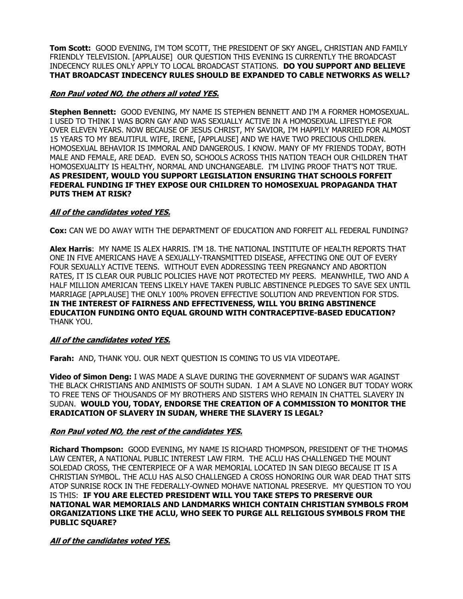**Tom Scott:** GOOD EVENING, I'M TOM SCOTT, THE PRESIDENT OF SKY ANGEL, CHRISTIAN AND FAMILY FRIENDLY TELEVISION. [APPLAUSE] OUR QUESTION THIS EVENING IS CURRENTLY THE BROADCAST INDECENCY RULES ONLY APPLY TO LOCAL BROADCAST STATIONS. **DO YOU SUPPORT AND BELIEVE THAT BROADCAST INDECENCY RULES SHOULD BE EXPANDED TO CABLE NETWORKS AS WELL?** 

## **Ron Paul voted NO, the others all voted YES.**

**Stephen Bennett:** GOOD EVENING, MY NAME IS STEPHEN BENNETT AND I'M A FORMER HOMOSEXUAL. I USED TO THINK I WAS BORN GAY AND WAS SEXUALLY ACTIVE IN A HOMOSEXUAL LIFESTYLE FOR OVER ELEVEN YEARS. NOW BECAUSE OF JESUS CHRIST, MY SAVIOR, I'M HAPPILY MARRIED FOR ALMOST 15 YEARS TO MY BEAUTIFUL WIFE, IRENE, [APPLAUSE] AND WE HAVE TWO PRECIOUS CHILDREN. HOMOSEXUAL BEHAVIOR IS IMMORAL AND DANGEROUS. I KNOW. MANY OF MY FRIENDS TODAY, BOTH MALE AND FEMALE, ARE DEAD. EVEN SO, SCHOOLS ACROSS THIS NATION TEACH OUR CHILDREN THAT HOMOSEXUALITY IS HEALTHY, NORMAL AND UNCHANGEABLE. I'M LIVING PROOF THAT'S NOT TRUE. **AS PRESIDENT, WOULD YOU SUPPORT LEGISLATION ENSURING THAT SCHOOLS FORFEIT FEDERAL FUNDING IF THEY EXPOSE OUR CHILDREN TO HOMOSEXUAL PROPAGANDA THAT PUTS THEM AT RISK?** 

## **All of the candidates voted YES.**

**Cox:** CAN WE DO AWAY WITH THE DEPARTMENT OF EDUCATION AND FORFEIT ALL FEDERAL FUNDING?

**Alex Harris**: MY NAME IS ALEX HARRIS. I'M 18. THE NATIONAL INSTITUTE OF HEALTH REPORTS THAT ONE IN FIVE AMERICANS HAVE A SEXUALLY-TRANSMITTED DISEASE, AFFECTING ONE OUT OF EVERY FOUR SEXUALLY ACTIVE TEENS. WITHOUT EVEN ADDRESSING TEEN PREGNANCY AND ABORTION RATES, IT IS CLEAR OUR PUBLIC POLICIES HAVE NOT PROTECTED MY PEERS. MEANWHILE, TWO AND A HALF MILLION AMERICAN TEENS LIKELY HAVE TAKEN PUBLIC ABSTINENCE PLEDGES TO SAVE SEX UNTIL MARRIAGE [APPLAUSE] THE ONLY 100% PROVEN EFFECTIVE SOLUTION AND PREVENTION FOR STDS. **IN THE INTEREST OF FAIRNESS AND EFFECTIVENESS, WILL YOU BRING ABSTINENCE EDUCATION FUNDING ONTO EQUAL GROUND WITH CONTRACEPTIVE-BASED EDUCATION?** THANK YOU.

## **All of the candidates voted YES.**

**Farah:** AND, THANK YOU. OUR NEXT QUESTION IS COMING TO US VIA VIDEOTAPE.

**Video of Simon Deng:** I WAS MADE A SLAVE DURING THE GOVERNMENT OF SUDAN'S WAR AGAINST THE BLACK CHRISTIANS AND ANIMISTS OF SOUTH SUDAN. I AM A SLAVE NO LONGER BUT TODAY WORK TO FREE TENS OF THOUSANDS OF MY BROTHERS AND SISTERS WHO REMAIN IN CHATTEL SLAVERY IN SUDAN. **WOULD YOU, TODAY, ENDORSE THE CREATION OF A COMMISSION TO MONITOR THE ERADICATION OF SLAVERY IN SUDAN, WHERE THE SLAVERY IS LEGAL?**

## **Ron Paul voted NO, the rest of the candidates YES.**

**Richard Thompson:** GOOD EVENING, MY NAME IS RICHARD THOMPSON, PRESIDENT OF THE THOMAS LAW CENTER, A NATIONAL PUBLIC INTEREST LAW FIRM. THE ACLU HAS CHALLENGED THE MOUNT SOLEDAD CROSS, THE CENTERPIECE OF A WAR MEMORIAL LOCATED IN SAN DIEGO BECAUSE IT IS A CHRISTIAN SYMBOL. THE ACLU HAS ALSO CHALLENGED A CROSS HONORING OUR WAR DEAD THAT SITS ATOP SUNRISE ROCK IN THE FEDERALLY-OWNED MOHAVE NATIONAL PRESERVE. MY QUESTION TO YOU IS THIS: **IF YOU ARE ELECTED PRESIDENT WILL YOU TAKE STEPS TO PRESERVE OUR NATIONAL WAR MEMORIALS AND LANDMARKS WHICH CONTAIN CHRISTIAN SYMBOLS FROM ORGANIZATIONS LIKE THE ACLU, WHO SEEK TO PURGE ALL RELIGIOUS SYMBOLS FROM THE PUBLIC SQUARE?** 

**All of the candidates voted YES.**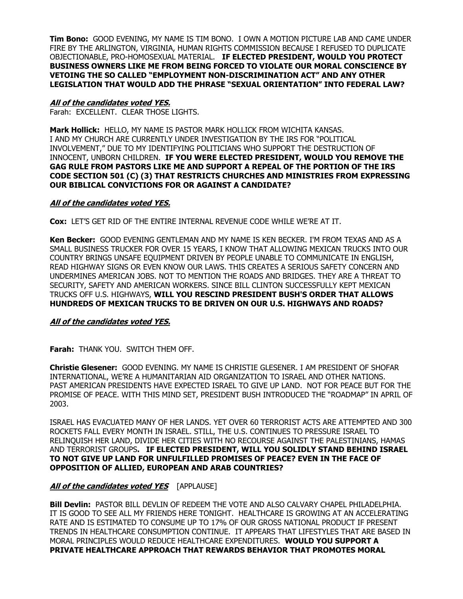**Tim Bono:** GOOD EVENING, MY NAME IS TIM BONO. I OWN A MOTION PICTURE LAB AND CAME UNDER FIRE BY THE ARLINGTON, VIRGINIA, HUMAN RIGHTS COMMISSION BECAUSE I REFUSED TO DUPLICATE OBJECTIONABLE, PRO-HOMOSEXUAL MATERIAL. **IF ELECTED PRESIDENT, WOULD YOU PROTECT BUSINESS OWNERS LIKE ME FROM BEING FORCED TO VIOLATE OUR MORAL CONSCIENCE BY VETOING THE SO CALLED "EMPLOYMENT NON-DISCRIMINATION ACT" AND ANY OTHER LEGISLATION THAT WOULD ADD THE PHRASE "SEXUAL ORIENTATION" INTO FEDERAL LAW?** 

## **All of the candidates voted YES.**

Farah: EXCELLENT. CLEAR THOSE LIGHTS.

**Mark Hollick:** HELLO, MY NAME IS PASTOR MARK HOLLICK FROM WICHITA KANSAS. I AND MY CHURCH ARE CURRENTLY UNDER INVESTIGATION BY THE IRS FOR "POLITICAL INVOLVEMENT," DUE TO MY IDENTIFYING POLITICIANS WHO SUPPORT THE DESTRUCTION OF INNOCENT, UNBORN CHILDREN. **IF YOU WERE ELECTED PRESIDENT, WOULD YOU REMOVE THE GAG RULE FROM PASTORS LIKE ME AND SUPPORT A REPEAL OF THE PORTION OF THE IRS CODE SECTION 501 (C) (3) THAT RESTRICTS CHURCHES AND MINISTRIES FROM EXPRESSING OUR BIBLICAL CONVICTIONS FOR OR AGAINST A CANDIDATE?**

#### **All of the candidates voted YES.**

**Cox:** LET'S GET RID OF THE ENTIRE INTERNAL REVENUE CODE WHILE WE'RE AT IT.

**Ken Becker:** GOOD EVENING GENTLEMAN AND MY NAME IS KEN BECKER. I'M FROM TEXAS AND AS A SMALL BUSINESS TRUCKER FOR OVER 15 YEARS, I KNOW THAT ALLOWING MEXICAN TRUCKS INTO OUR COUNTRY BRINGS UNSAFE EQUIPMENT DRIVEN BY PEOPLE UNABLE TO COMMUNICATE IN ENGLISH, READ HIGHWAY SIGNS OR EVEN KNOW OUR LAWS. THIS CREATES A SERIOUS SAFETY CONCERN AND UNDERMINES AMERICAN JOBS. NOT TO MENTION THE ROADS AND BRIDGES. THEY ARE A THREAT TO SECURITY, SAFETY AND AMERICAN WORKERS. SINCE BILL CLINTON SUCCESSFULLY KEPT MEXICAN TRUCKS OFF U.S. HIGHWAYS, **WILL YOU RESCIND PRESIDENT BUSH'S ORDER THAT ALLOWS HUNDREDS OF MEXICAN TRUCKS TO BE DRIVEN ON OUR U.S. HIGHWAYS AND ROADS?** 

## **All of the candidates voted YES.**

**Farah:** THANK YOU. SWITCH THEM OFF.

**Christie Glesener:** GOOD EVENING. MY NAME IS CHRISTIE GLESENER. I AM PRESIDENT OF SHOFAR INTERNATIONAL, WE'RE A HUMANITARIAN AID ORGANIZATION TO ISRAEL AND OTHER NATIONS. PAST AMERICAN PRESIDENTS HAVE EXPECTED ISRAEL TO GIVE UP LAND. NOT FOR PEACE BUT FOR THE PROMISE OF PEACE. WITH THIS MIND SET, PRESIDENT BUSH INTRODUCED THE "ROADMAP" IN APRIL OF 2003.

ISRAEL HAS EVACUATED MANY OF HER LANDS. YET OVER 60 TERRORIST ACTS ARE ATTEMPTED AND 300 ROCKETS FALL EVERY MONTH IN ISRAEL. STILL, THE U.S. CONTINUES TO PRESSURE ISRAEL TO RELINQUISH HER LAND, DIVIDE HER CITIES WITH NO RECOURSE AGAINST THE PALESTINIANS, HAMAS AND TERRORIST GROUPS**. IF ELECTED PRESIDENT, WILL YOU SOLIDLY STAND BEHIND ISRAEL TO NOT GIVE UP LAND FOR UNFULFILLED PROMISES OF PEACE? EVEN IN THE FACE OF OPPOSITION OF ALLIED, EUROPEAN AND ARAB COUNTRIES?** 

## **All of the candidates voted YES** [APPLAUSE]

**Bill Devlin:** PASTOR BILL DEVLIN OF REDEEM THE VOTE AND ALSO CALVARY CHAPEL PHILADELPHIA. IT IS GOOD TO SEE ALL MY FRIENDS HERE TONIGHT. HEALTHCARE IS GROWING AT AN ACCELERATING RATE AND IS ESTIMATED TO CONSUME UP TO 17% OF OUR GROSS NATIONAL PRODUCT IF PRESENT TRENDS IN HEALTHCARE CONSUMPTION CONTINUE. IT APPEARS THAT LIFESTYLES THAT ARE BASED IN MORAL PRINCIPLES WOULD REDUCE HEALTHCARE EXPENDITURES. **WOULD YOU SUPPORT A PRIVATE HEALTHCARE APPROACH THAT REWARDS BEHAVIOR THAT PROMOTES MORAL**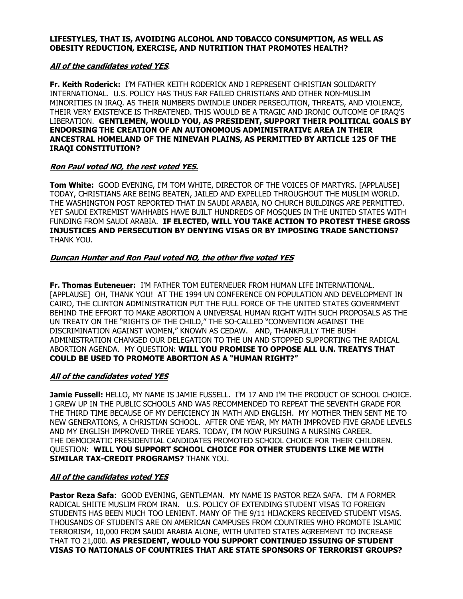#### **LIFESTYLES, THAT IS, AVOIDING ALCOHOL AND TOBACCO CONSUMPTION, AS WELL AS OBESITY REDUCTION, EXERCISE, AND NUTRITION THAT PROMOTES HEALTH?**

## **All of the candidates voted YES**.

**Fr. Keith Roderick:** I'M FATHER KEITH RODERICK AND I REPRESENT CHRISTIAN SOLIDARITY INTERNATIONAL. U.S. POLICY HAS THUS FAR FAILED CHRISTIANS AND OTHER NON-MUSLIM MINORITIES IN IRAQ. AS THEIR NUMBERS DWINDLE UNDER PERSECUTION, THREATS, AND VIOLENCE, THEIR VERY EXISTENCE IS THREATENED. THIS WOULD BE A TRAGIC AND IRONIC OUTCOME OF IRAQ'S LIBERATION. **GENTLEMEN, WOULD YOU, AS PRESIDENT, SUPPORT THEIR POLITICAL GOALS BY ENDORSING THE CREATION OF AN AUTONOMOUS ADMINISTRATIVE AREA IN THEIR ANCESTRAL HOMELAND OF THE NINEVAH PLAINS, AS PERMITTED BY ARTICLE 125 OF THE IRAQI CONSTITUTION?** 

## **Ron Paul voted NO, the rest voted YES.**

**Tom White:** GOOD EVENING, I'M TOM WHITE, DIRECTOR OF THE VOICES OF MARTYRS. [APPLAUSE] TODAY, CHRISTIANS ARE BEING BEATEN, JAILED AND EXPELLED THROUGHOUT THE MUSLIM WORLD. THE WASHINGTON POST REPORTED THAT IN SAUDI ARABIA, NO CHURCH BUILDINGS ARE PERMITTED. YET SAUDI EXTREMIST WAHHABIS HAVE BUILT HUNDREDS OF MOSQUES IN THE UNITED STATES WITH FUNDING FROM SAUDI ARABIA. **IF ELECTED, WILL YOU TAKE ACTION TO PROTEST THESE GROSS INJUSTICES AND PERSECUTION BY DENYING VISAS OR BY IMPOSING TRADE SANCTIONS?** THANK YOU.

## **Duncan Hunter and Ron Paul voted NO, the other five voted YES**

**Fr. Thomas Euteneuer:** I'M FATHER TOM EUTERNEUER FROM HUMAN LIFE INTERNATIONAL. [APPLAUSE] OH, THANK YOU! AT THE 1994 UN CONFERENCE ON POPULATION AND DEVELOPMENT IN CAIRO, THE CLINTON ADMINISTRATION PUT THE FULL FORCE OF THE UNITED STATES GOVERNMENT BEHIND THE EFFORT TO MAKE ABORTION A UNIVERSAL HUMAN RIGHT WITH SUCH PROPOSALS AS THE UN TREATY ON THE "RIGHTS OF THE CHILD," THE SO-CALLED "CONVENTION AGAINST THE DISCRIMINATION AGAINST WOMEN," KNOWN AS CEDAW. AND, THANKFULLY THE BUSH ADMINISTRATION CHANGED OUR DELEGATION TO THE UN AND STOPPED SUPPORTING THE RADICAL ABORTION AGENDA. MY QUESTION: **WILL YOU PROMISE TO OPPOSE ALL U.N. TREATYS THAT COULD BE USED TO PROMOTE ABORTION AS A "HUMAN RIGHT?"** 

## **All of the candidates voted YES**

**Jamie Fussell:** HELLO, MY NAME IS JAMIE FUSSELL. I'M 17 AND I'M THE PRODUCT OF SCHOOL CHOICE. I GREW UP IN THE PUBLIC SCHOOLS AND WAS RECOMMENDED TO REPEAT THE SEVENTH GRADE FOR THE THIRD TIME BECAUSE OF MY DEFICIENCY IN MATH AND ENGLISH. MY MOTHER THEN SENT ME TO NEW GENERATIONS, A CHRISTIAN SCHOOL. AFTER ONE YEAR, MY MATH IMPROVED FIVE GRADE LEVELS AND MY ENGLISH IMPROVED THREE YEARS. TODAY, I'M NOW PURSUING A NURSING CAREER. THE DEMOCRATIC PRESIDENTIAL CANDIDATES PROMOTED SCHOOL CHOICE FOR THEIR CHILDREN. QUESTION: **WILL YOU SUPPORT SCHOOL CHOICE FOR OTHER STUDENTS LIKE ME WITH SIMILAR TAX-CREDIT PROGRAMS?** THANK YOU.

## **All of the candidates voted YES**

**Pastor Reza Safa**: GOOD EVENING, GENTLEMAN. MY NAME IS PASTOR REZA SAFA. I'M A FORMER RADICAL SHIITE MUSLIM FROM IRAN. U.S. POLICY OF EXTENDING STUDENT VISAS TO FOREIGN STUDENTS HAS BEEN MUCH TOO LENIENT. MANY OF THE 9/11 HIJACKERS RECEIVED STUDENT VISAS. THOUSANDS OF STUDENTS ARE ON AMERICAN CAMPUSES FROM COUNTRIES WHO PROMOTE ISLAMIC TERRORISM, 10,000 FROM SAUDI ARABIA ALONE, WITH UNITED STATES AGREEMENT TO INCREASE THAT TO 21,000. **AS PRESIDENT, WOULD YOU SUPPORT CONTINUED ISSUING OF STUDENT VISAS TO NATIONALS OF COUNTRIES THAT ARE STATE SPONSORS OF TERRORIST GROUPS?**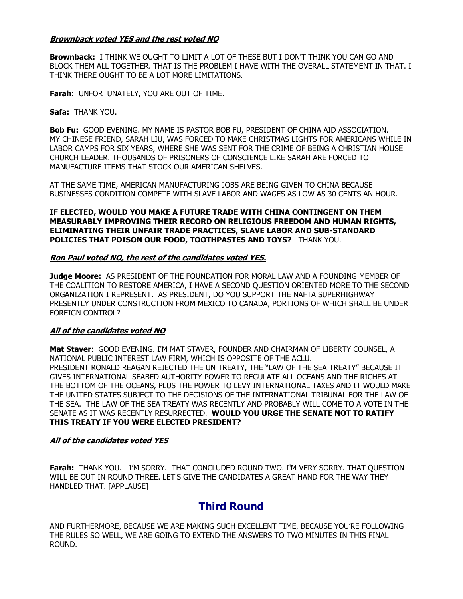## **Brownback voted YES and the rest voted NO**

**Brownback:** I THINK WE OUGHT TO LIMIT A LOT OF THESE BUT I DON'T THINK YOU CAN GO AND BLOCK THEM ALL TOGETHER. THAT IS THE PROBLEM I HAVE WITH THE OVERALL STATEMENT IN THAT. I THINK THERE OUGHT TO BE A LOT MORE LIMITATIONS.

**Farah**: UNFORTUNATELY, YOU ARE OUT OF TIME.

### **Safa:** THANK YOU.

**Bob Fu:** GOOD EVENING. MY NAME IS PASTOR BOB FU, PRESIDENT OF CHINA AID ASSOCIATION. MY CHINESE FRIEND, SARAH LIU, WAS FORCED TO MAKE CHRISTMAS LIGHTS FOR AMERICANS WHILE IN LABOR CAMPS FOR SIX YEARS, WHERE SHE WAS SENT FOR THE CRIME OF BEING A CHRISTIAN HOUSE CHURCH LEADER. THOUSANDS OF PRISONERS OF CONSCIENCE LIKE SARAH ARE FORCED TO MANUFACTURE ITEMS THAT STOCK OUR AMERICAN SHELVES.

AT THE SAME TIME, AMERICAN MANUFACTURING JOBS ARE BEING GIVEN TO CHINA BECAUSE BUSINESSES CONDITION COMPETE WITH SLAVE LABOR AND WAGES AS LOW AS 30 CENTS AN HOUR.

**IF ELECTED, WOULD YOU MAKE A FUTURE TRADE WITH CHINA CONTINGENT ON THEM MEASURABLY IMPROVING THEIR RECORD ON RELIGIOUS FREEDOM AND HUMAN RIGHTS, ELIMINATING THEIR UNFAIR TRADE PRACTICES, SLAVE LABOR AND SUB-STANDARD POLICIES THAT POISON OUR FOOD, TOOTHPASTES AND TOYS?** THANK YOU.

#### **Ron Paul voted NO, the rest of the candidates voted YES.**

**Judge Moore:** AS PRESIDENT OF THE FOUNDATION FOR MORAL LAW AND A FOUNDING MEMBER OF THE COALITION TO RESTORE AMERICA, I HAVE A SECOND QUESTION ORIENTED MORE TO THE SECOND ORGANIZATION I REPRESENT. AS PRESIDENT, DO YOU SUPPORT THE NAFTA SUPERHIGHWAY PRESENTLY UNDER CONSTRUCTION FROM MEXICO TO CANADA, PORTIONS OF WHICH SHALL BE UNDER FOREIGN CONTROL?

## **All of the candidates voted NO**

**Mat Staver**: GOOD EVENING. I'M MAT STAVER, FOUNDER AND CHAIRMAN OF LIBERTY COUNSEL, A NATIONAL PUBLIC INTEREST LAW FIRM, WHICH IS OPPOSITE OF THE ACLU. PRESIDENT RONALD REAGAN REJECTED THE UN TREATY, THE "LAW OF THE SEA TREATY" BECAUSE IT GIVES INTERNATIONAL SEABED AUTHORITY POWER TO REGULATE ALL OCEANS AND THE RICHES AT THE BOTTOM OF THE OCEANS, PLUS THE POWER TO LEVY INTERNATIONAL TAXES AND IT WOULD MAKE THE UNITED STATES SUBJECT TO THE DECISIONS OF THE INTERNATIONAL TRIBUNAL FOR THE LAW OF THE SEA. THE LAW OF THE SEA TREATY WAS RECENTLY AND PROBABLY WILL COME TO A VOTE IN THE SENATE AS IT WAS RECENTLY RESURRECTED. **WOULD YOU URGE THE SENATE NOT TO RATIFY THIS TREATY IF YOU WERE ELECTED PRESIDENT?** 

## **All of the candidates voted YES**

**Farah:** THANK YOU. I'M SORRY. THAT CONCLUDED ROUND TWO. I'M VERY SORRY. THAT QUESTION WILL BE OUT IN ROUND THREE. LET'S GIVE THE CANDIDATES A GREAT HAND FOR THE WAY THEY HANDLED THAT. [APPLAUSE]

## **Third Round**

AND FURTHERMORE, BECAUSE WE ARE MAKING SUCH EXCELLENT TIME, BECAUSE YOU'RE FOLLOWING THE RULES SO WELL, WE ARE GOING TO EXTEND THE ANSWERS TO TWO MINUTES IN THIS FINAL ROUND.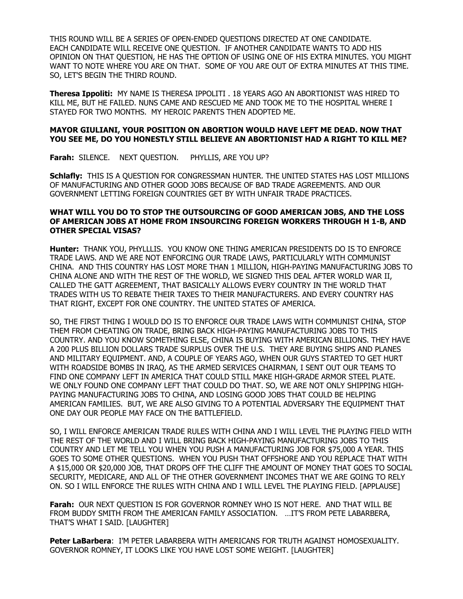THIS ROUND WILL BE A SERIES OF OPEN-ENDED QUESTIONS DIRECTED AT ONE CANDIDATE. EACH CANDIDATE WILL RECEIVE ONE QUESTION. IF ANOTHER CANDIDATE WANTS TO ADD HIS OPINION ON THAT QUESTION, HE HAS THE OPTION OF USING ONE OF HIS EXTRA MINUTES. YOU MIGHT WANT TO NOTE WHERE YOU ARE ON THAT. SOME OF YOU ARE OUT OF EXTRA MINUTES AT THIS TIME. SO, LET'S BEGIN THE THIRD ROUND.

**Theresa Ippoliti:** MY NAME IS THERESA IPPOLITI . 18 YEARS AGO AN ABORTIONIST WAS HIRED TO KILL ME, BUT HE FAILED. NUNS CAME AND RESCUED ME AND TOOK ME TO THE HOSPITAL WHERE I STAYED FOR TWO MONTHS. MY HEROIC PARENTS THEN ADOPTED ME.

#### **MAYOR GIULIANI, YOUR POSITION ON ABORTION WOULD HAVE LEFT ME DEAD. NOW THAT YOU SEE ME, DO YOU HONESTLY STILL BELIEVE AN ABORTIONIST HAD A RIGHT TO KILL ME?**

**Farah:** SILENCE. NEXT QUESTION. PHYLLIS, ARE YOU UP?

**Schlafly:** THIS IS A QUESTION FOR CONGRESSMAN HUNTER. THE UNITED STATES HAS LOST MILLIONS OF MANUFACTURING AND OTHER GOOD JOBS BECAUSE OF BAD TRADE AGREEMENTS. AND OUR GOVERNMENT LETTING FOREIGN COUNTRIES GET BY WITH UNFAIR TRADE PRACTICES.

### **WHAT WILL YOU DO TO STOP THE OUTSOURCING OF GOOD AMERICAN JOBS, AND THE LOSS OF AMERICAN JOBS AT HOME FROM INSOURCING FOREIGN WORKERS THROUGH H 1-B, AND OTHER SPECIAL VISAS?**

**Hunter:** THANK YOU, PHYLLLIS. YOU KNOW ONE THING AMERICAN PRESIDENTS DO IS TO ENFORCE TRADE LAWS. AND WE ARE NOT ENFORCING OUR TRADE LAWS, PARTICULARLY WITH COMMUNIST CHINA. AND THIS COUNTRY HAS LOST MORE THAN 1 MILLION, HIGH-PAYING MANUFACTURING JOBS TO CHINA ALONE AND WITH THE REST OF THE WORLD, WE SIGNED THIS DEAL AFTER WORLD WAR II, CALLED THE GATT AGREEMENT, THAT BASICALLY ALLOWS EVERY COUNTRY IN THE WORLD THAT TRADES WITH US TO REBATE THEIR TAXES TO THEIR MANUFACTURERS. AND EVERY COUNTRY HAS THAT RIGHT, EXCEPT FOR ONE COUNTRY. THE UNITED STATES OF AMERICA.

SO, THE FIRST THING I WOULD DO IS TO ENFORCE OUR TRADE LAWS WITH COMMUNIST CHINA, STOP THEM FROM CHEATING ON TRADE, BRING BACK HIGH-PAYING MANUFACTURING JOBS TO THIS COUNTRY. AND YOU KNOW SOMETHING ELSE, CHINA IS BUYING WITH AMERICAN BILLIONS. THEY HAVE A 200 PLUS BILLION DOLLARS TRADE SURPLUS OVER THE U.S. THEY ARE BUYING SHIPS AND PLANES AND MILITARY EQUIPMENT. AND, A COUPLE OF YEARS AGO, WHEN OUR GUYS STARTED TO GET HURT WITH ROADSIDE BOMBS IN IRAQ, AS THE ARMED SERVICES CHAIRMAN, I SENT OUT OUR TEAMS TO FIND ONE COMPANY LEFT IN AMERICA THAT COULD STILL MAKE HIGH-GRADE ARMOR STEEL PLATE. WE ONLY FOUND ONE COMPANY LEFT THAT COULD DO THAT. SO, WE ARE NOT ONLY SHIPPING HIGH-PAYING MANUFACTURING JOBS TO CHINA, AND LOSING GOOD JOBS THAT COULD BE HELPING AMERICAN FAMILIES. BUT, WE ARE ALSO GIVING TO A POTENTIAL ADVERSARY THE EQUIPMENT THAT ONE DAY OUR PEOPLE MAY FACE ON THE BATTLEFIELD.

SO, I WILL ENFORCE AMERICAN TRADE RULES WITH CHINA AND I WILL LEVEL THE PLAYING FIELD WITH THE REST OF THE WORLD AND I WILL BRING BACK HIGH-PAYING MANUFACTURING JOBS TO THIS COUNTRY AND LET ME TELL YOU WHEN YOU PUSH A MANUFACTURING JOB FOR \$75,000 A YEAR. THIS GOES TO SOME OTHER QUESTIONS. WHEN YOU PUSH THAT OFFSHORE AND YOU REPLACE THAT WITH A \$15,000 OR \$20,000 JOB, THAT DROPS OFF THE CLIFF THE AMOUNT OF MONEY THAT GOES TO SOCIAL SECURITY, MEDICARE, AND ALL OF THE OTHER GOVERNMENT INCOMES THAT WE ARE GOING TO RELY ON. SO I WILL ENFORCE THE RULES WITH CHINA AND I WILL LEVEL THE PLAYING FIELD. [APPLAUSE]

**Farah:** OUR NEXT QUESTION IS FOR GOVERNOR ROMNEY WHO IS NOT HERE. AND THAT WILL BE FROM BUDDY SMITH FROM THE AMERICAN FAMILY ASSOCIATION. …IT'S FROM PETE LABARBERA, THAT'S WHAT I SAID. [LAUGHTER]

**Peter LaBarbera**: I'M PETER LABARBERA WITH AMERICANS FOR TRUTH AGAINST HOMOSEXUALITY. GOVERNOR ROMNEY, IT LOOKS LIKE YOU HAVE LOST SOME WEIGHT. [LAUGHTER]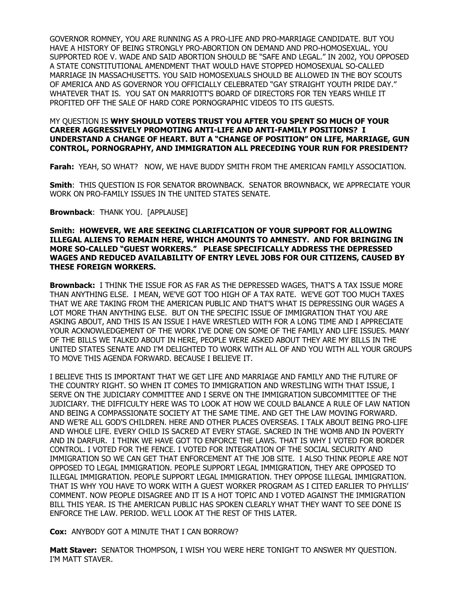GOVERNOR ROMNEY, YOU ARE RUNNING AS A PRO-LIFE AND PRO-MARRIAGE CANDIDATE. BUT YOU HAVE A HISTORY OF BEING STRONGLY PRO-ABORTION ON DEMAND AND PRO-HOMOSEXUAL. YOU SUPPORTED ROE V. WADE AND SAID ABORTION SHOULD BE "SAFE AND LEGAL." IN 2002, YOU OPPOSED A STATE CONSTITUTIONAL AMENDMENT THAT WOULD HAVE STOPPED HOMOSEXUAL SO-CALLED MARRIAGE IN MASSACHUSETTS. YOU SAID HOMOSEXUALS SHOULD BE ALLOWED IN THE BOY SCOUTS OF AMERICA AND AS GOVERNOR YOU OFFICIALLY CELEBRATED "GAY STRAIGHT YOUTH PRIDE DAY." WHATEVER THAT IS. YOU SAT ON MARRIOTT'S BOARD OF DIRECTORS FOR TEN YEARS WHILE IT PROFITED OFF THE SALE OF HARD CORE PORNOGRAPHIC VIDEOS TO ITS GUESTS.

### MY QUESTION IS **WHY SHOULD VOTERS TRUST YOU AFTER YOU SPENT SO MUCH OF YOUR CAREER AGGRESSIVELY PROMOTING ANTI-LIFE AND ANTI-FAMILY POSITIONS? I UNDERSTAND A CHANGE OF HEART. BUT A "CHANGE OF POSITION" ON LIFE, MARRIAGE, GUN CONTROL, PORNOGRAPHY, AND IMMIGRATION ALL PRECEDING YOUR RUN FOR PRESIDENT?**

**Farah:** YEAH, SO WHAT?NOW, WE HAVE BUDDY SMITH FROM THE AMERICAN FAMILY ASSOCIATION.

**Smith**: THIS QUESTION IS FOR SENATOR BROWNBACK. SENATOR BROWNBACK, WE APPRECIATE YOUR WORK ON PRO-FAMILY ISSUES IN THE UNITED STATES SENATE.

**Brownback**: THANK YOU. [APPLAUSE]

#### **Smith: HOWEVER, WE ARE SEEKING CLARIFICATION OF YOUR SUPPORT FOR ALLOWING ILLEGAL ALIENS TO REMAIN HERE, WHICH AMOUNTS TO AMNESTY. AND FOR BRINGING IN MORE SO-CALLED "GUEST WORKERS." PLEASE SPECIFICALLY ADDRESS THE DEPRESSED WAGES AND REDUCED AVAILABILITY OF ENTRY LEVEL JOBS FOR OUR CITIZENS, CAUSED BY THESE FOREIGN WORKERS.**

**Brownback:** I THINK THE ISSUE FOR AS FAR AS THE DEPRESSED WAGES, THAT'S A TAX ISSUE MORE THAN ANYTHING ELSE. I MEAN, WE'VE GOT TOO HIGH OF A TAX RATE. WE'VE GOT TOO MUCH TAXES THAT WE ARE TAKING FROM THE AMERICAN PUBLIC AND THAT'S WHAT IS DEPRESSING OUR WAGES A LOT MORE THAN ANYTHING ELSE. BUT ON THE SPECIFIC ISSUE OF IMMIGRATION THAT YOU ARE ASKING ABOUT, AND THIS IS AN ISSUE I HAVE WRESTLED WITH FOR A LONG TIME AND I APPRECIATE YOUR ACKNOWLEDGEMENT OF THE WORK I'VE DONE ON SOME OF THE FAMILY AND LIFE ISSUES. MANY OF THE BILLS WE TALKED ABOUT IN HERE, PEOPLE WERE ASKED ABOUT THEY ARE MY BILLS IN THE UNITED STATES SENATE AND I'M DELIGHTED TO WORK WITH ALL OF AND YOU WITH ALL YOUR GROUPS TO MOVE THIS AGENDA FORWARD. BECAUSE I BELIEVE IT.

I BELIEVE THIS IS IMPORTANT THAT WE GET LIFE AND MARRIAGE AND FAMILY AND THE FUTURE OF THE COUNTRY RIGHT. SO WHEN IT COMES TO IMMIGRATION AND WRESTLING WITH THAT ISSUE, I SERVE ON THE JUDICIARY COMMITTEE AND I SERVE ON THE IMMIGRATION SUBCOMMITTEE OF THE JUDICIARY. THE DIFFICULTY HERE WAS TO LOOK AT HOW WE COULD BALANCE A RULE OF LAW NATION AND BEING A COMPASSIONATE SOCIETY AT THE SAME TIME. AND GET THE LAW MOVING FORWARD. AND WE'RE ALL GOD'S CHILDREN. HERE AND OTHER PLACES OVERSEAS. I TALK ABOUT BEING PRO-LIFE AND WHOLE LIFE. EVERY CHILD IS SACRED AT EVERY STAGE. SACRED IN THE WOMB AND IN POVERTY AND IN DARFUR. I THINK WE HAVE GOT TO ENFORCE THE LAWS. THAT IS WHY I VOTED FOR BORDER CONTROL. I VOTED FOR THE FENCE. I VOTED FOR INTEGRATION OF THE SOCIAL SECURITY AND IMMIGRATION SO WE CAN GET THAT ENFORCEMENT AT THE JOB SITE. I ALSO THINK PEOPLE ARE NOT OPPOSED TO LEGAL IMMIGRATION. PEOPLE SUPPORT LEGAL IMMIGRATION, THEY ARE OPPOSED TO ILLEGAL IMMIGRATION. PEOPLE SUPPORT LEGAL IMMIGRATION. THEY OPPOSE ILLEGAL IMMIGRATION. THAT IS WHY YOU HAVE TO WORK WITH A GUEST WORKER PROGRAM AS I CITED EARLIER TO PHYLLIS' COMMENT. NOW PEOPLE DISAGREE AND IT IS A HOT TOPIC AND I VOTED AGAINST THE IMMIGRATION BILL THIS YEAR. IS THE AMERICAN PUBLIC HAS SPOKEN CLEARLY WHAT THEY WANT TO SEE DONE IS ENFORCE THE LAW. PERIOD. WE'LL LOOK AT THE REST OF THIS LATER.

**Cox:** ANYBODY GOT A MINUTE THAT I CAN BORROW?

**Matt Staver:** SENATOR THOMPSON, I WISH YOU WERE HERE TONIGHT TO ANSWER MY QUESTION. I'M MATT STAVER.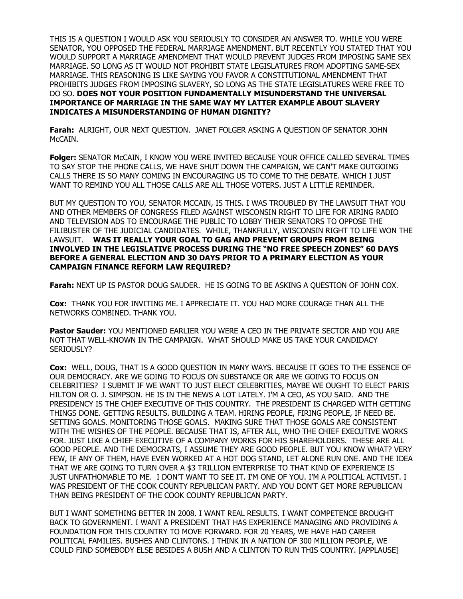THIS IS A QUESTION I WOULD ASK YOU SERIOUSLY TO CONSIDER AN ANSWER TO. WHILE YOU WERE SENATOR, YOU OPPOSED THE FEDERAL MARRIAGE AMENDMENT. BUT RECENTLY YOU STATED THAT YOU WOULD SUPPORT A MARRIAGE AMENDMENT THAT WOULD PREVENT JUDGES FROM IMPOSING SAME SEX MARRIAGE. SO LONG AS IT WOULD NOT PROHIBIT STATE LEGISLATURES FROM ADOPTING SAME-SEX MARRIAGE. THIS REASONING IS LIKE SAYING YOU FAVOR A CONSTITUTIONAL AMENDMENT THAT PROHIBITS JUDGES FROM IMPOSING SLAVERY, SO LONG AS THE STATE LEGISLATURES WERE FREE TO DO SO. **DOES NOT YOUR POSITION FUNDAMENTALLY MISUNDERSTAND THE UNIVERSAL IMPORTANCE OF MARRIAGE IN THE SAME WAY MY LATTER EXAMPLE ABOUT SLAVERY INDICATES A MISUNDERSTANDING OF HUMAN DIGNITY?** 

**Farah:** ALRIGHT, OUR NEXT QUESTION. JANET FOLGER ASKING A QUESTION OF SENATOR JOHN McCAIN.

**Folger:** SENATOR McCAIN, I KNOW YOU WERE INVITED BECAUSE YOUR OFFICE CALLED SEVERAL TIMES TO SAY STOP THE PHONE CALLS, WE HAVE SHUT DOWN THE CAMPAIGN, WE CAN'T MAKE OUTGOING CALLS THERE IS SO MANY COMING IN ENCOURAGING US TO COME TO THE DEBATE. WHICH I JUST WANT TO REMIND YOU ALL THOSE CALLS ARE ALL THOSE VOTERS. JUST A LITTLE REMINDER.

BUT MY QUESTION TO YOU, SENATOR MCCAIN, IS THIS. I WAS TROUBLED BY THE LAWSUIT THAT YOU AND OTHER MEMBERS OF CONGRESS FILED AGAINST WISCONSIN RIGHT TO LIFE FOR AIRING RADIO AND TELEVISION ADS TO ENCOURAGE THE PUBLIC TO LOBBY THEIR SENATORS TO OPPOSE THE FILIBUSTER OF THE JUDICIAL CANDIDATES. WHILE, THANKFULLY, WISCONSIN RIGHT TO LIFE WON THE LAWSUIT. **WAS IT REALLY YOUR GOAL TO GAG AND PREVENT GROUPS FROM BEING INVOLVED IN THE LEGISLATIVE PROCESS DURING THE "NO FREE SPEECH ZONES" 60 DAYS BEFORE A GENERAL ELECTION AND 30 DAYS PRIOR TO A PRIMARY ELECTION AS YOUR CAMPAIGN FINANCE REFORM LAW REQUIRED?** 

**Farah:** NEXT UP IS PASTOR DOUG SAUDER. HE IS GOING TO BE ASKING A QUESTION OF JOHN COX.

**Cox:** THANK YOU FOR INVITING ME. I APPRECIATE IT. YOU HAD MORE COURAGE THAN ALL THE NETWORKS COMBINED. THANK YOU.

**Pastor Sauder:** YOU MENTIONED EARLIER YOU WERE A CEO IN THE PRIVATE SECTOR AND YOU ARE NOT THAT WELL-KNOWN IN THE CAMPAIGN. WHAT SHOULD MAKE US TAKE YOUR CANDIDACY SERIOUSLY?

**Cox:** WELL, DOUG, THAT IS A GOOD QUESTION IN MANY WAYS. BECAUSE IT GOES TO THE ESSENCE OF OUR DEMOCRACY. ARE WE GOING TO FOCUS ON SUBSTANCE OR ARE WE GOING TO FOCUS ON CELEBRITIES? I SUBMIT IF WE WANT TO JUST ELECT CELEBRITIES, MAYBE WE OUGHT TO ELECT PARIS HILTON OR O. J. SIMPSON. HE IS IN THE NEWS A LOT LATELY. I'M A CEO, AS YOU SAID. AND THE PRESIDENCY IS THE CHIEF EXECUTIVE OF THIS COUNTRY. THE PRESIDENT IS CHARGED WITH GETTING THINGS DONE. GETTING RESULTS. BUILDING A TEAM. HIRING PEOPLE, FIRING PEOPLE, IF NEED BE. SETTING GOALS. MONITORING THOSE GOALS. MAKING SURE THAT THOSE GOALS ARE CONSISTENT WITH THE WISHES OF THE PEOPLE. BECAUSE THAT IS, AFTER ALL, WHO THE CHIEF EXECUTIVE WORKS FOR. JUST LIKE A CHIEF EXECUTIVE OF A COMPANY WORKS FOR HIS SHAREHOLDERS. THESE ARE ALL GOOD PEOPLE. AND THE DEMOCRATS, I ASSUME THEY ARE GOOD PEOPLE. BUT YOU KNOW WHAT? VERY FEW, IF ANY OF THEM, HAVE EVEN WORKED AT A HOT DOG STAND, LET ALONE RUN ONE. AND THE IDEA THAT WE ARE GOING TO TURN OVER A \$3 TRILLION ENTERPRISE TO THAT KIND OF EXPERIENCE IS JUST UNFATHOMABLE TO ME. I DON'T WANT TO SEE IT. I'M ONE OF YOU. I'M A POLITICAL ACTIVIST. I WAS PRESIDENT OF THE COOK COUNTY REPUBLICAN PARTY. AND YOU DON'T GET MORE REPUBLICAN THAN BEING PRESIDENT OF THE COOK COUNTY REPUBLICAN PARTY.

BUT I WANT SOMETHING BETTER IN 2008. I WANT REAL RESULTS. I WANT COMPETENCE BROUGHT BACK TO GOVERNMENT. I WANT A PRESIDENT THAT HAS EXPERIENCE MANAGING AND PROVIDING A FOUNDATION FOR THIS COUNTRY TO MOVE FORWARD. FOR 20 YEARS, WE HAVE HAD CAREER POLITICAL FAMILIES. BUSHES AND CLINTONS. I THINK IN A NATION OF 300 MILLION PEOPLE, WE COULD FIND SOMEBODY ELSE BESIDES A BUSH AND A CLINTON TO RUN THIS COUNTRY. [APPLAUSE]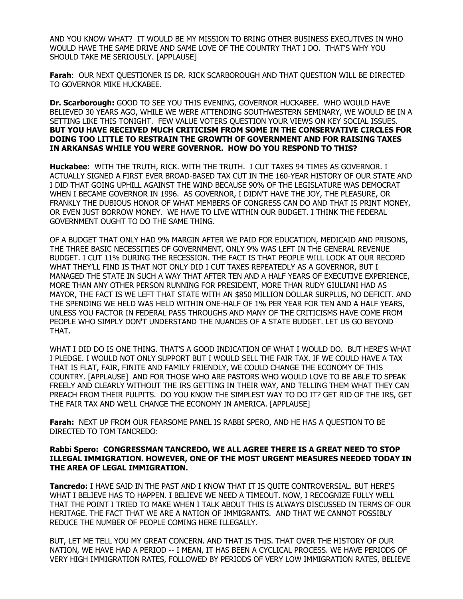AND YOU KNOW WHAT? IT WOULD BE MY MISSION TO BRING OTHER BUSINESS EXECUTIVES IN WHO WOULD HAVE THE SAME DRIVE AND SAME LOVE OF THE COUNTRY THAT I DO. THAT'S WHY YOU SHOULD TAKE ME SERIOUSLY. [APPLAUSE]

**Farah**: OUR NEXT QUESTIONER IS DR. RICK SCARBOROUGH AND THAT QUESTION WILL BE DIRECTED TO GOVERNOR MIKE HUCKABEE.

**Dr. Scarborough:** GOOD TO SEE YOU THIS EVENING, GOVERNOR HUCKABEE. WHO WOULD HAVE BELIEVED 30 YEARS AGO, WHILE WE WERE ATTENDING SOUTHWESTERN SEMINARY, WE WOULD BE IN A SETTING LIKE THIS TONIGHT. FEW VALUE VOTERS QUESTION YOUR VIEWS ON KEY SOCIAL ISSUES. **BUT YOU HAVE RECEIVED MUCH CRITICISM FROM SOME IN THE CONSERVATIVE CIRCLES FOR DOING TOO LITTLE TO RESTRAIN THE GROWTH OF GOVERNMENT AND FOR RAISING TAXES IN ARKANSAS WHILE YOU WERE GOVERNOR. HOW DO YOU RESPOND TO THIS?** 

**Huckabee**: WITH THE TRUTH, RICK. WITH THE TRUTH. I CUT TAXES 94 TIMES AS GOVERNOR. I ACTUALLY SIGNED A FIRST EVER BROAD-BASED TAX CUT IN THE 160-YEAR HISTORY OF OUR STATE AND I DID THAT GOING UPHILL AGAINST THE WIND BECAUSE 90% OF THE LEGISLATURE WAS DEMOCRAT WHEN I BECAME GOVERNOR IN 1996. AS GOVERNOR, I DIDN'T HAVE THE JOY, THE PLEASURE, OR FRANKLY THE DUBIOUS HONOR OF WHAT MEMBERS OF CONGRESS CAN DO AND THAT IS PRINT MONEY, OR EVEN JUST BORROW MONEY. WE HAVE TO LIVE WITHIN OUR BUDGET. I THINK THE FEDERAL GOVERNMENT OUGHT TO DO THE SAME THING.

OF A BUDGET THAT ONLY HAD 9% MARGIN AFTER WE PAID FOR EDUCATION, MEDICAID AND PRISONS, THE THREE BASIC NECESSITIES OF GOVERNMENT, ONLY 9% WAS LEFT IN THE GENERAL REVENUE BUDGET. I CUT 11% DURING THE RECESSION. THE FACT IS THAT PEOPLE WILL LOOK AT OUR RECORD WHAT THEY'LL FIND IS THAT NOT ONLY DID I CUT TAXES REPEATEDLY AS A GOVERNOR, BUT I MANAGED THE STATE IN SUCH A WAY THAT AFTER TEN AND A HALF YEARS OF EXECUTIVE EXPERIENCE, MORE THAN ANY OTHER PERSON RUNNING FOR PRESIDENT, MORE THAN RUDY GIULIANI HAD AS MAYOR, THE FACT IS WE LEFT THAT STATE WITH AN \$850 MILLION DOLLAR SURPLUS, NO DEFICIT. AND THE SPENDING WE HELD WAS HELD WITHIN ONE-HALF OF 1% PER YEAR FOR TEN AND A HALF YEARS, UNLESS YOU FACTOR IN FEDERAL PASS THROUGHS AND MANY OF THE CRITICISMS HAVE COME FROM PEOPLE WHO SIMPLY DON'T UNDERSTAND THE NUANCES OF A STATE BUDGET. LET US GO BEYOND THAT.

WHAT I DID DO IS ONE THING. THAT'S A GOOD INDICATION OF WHAT I WOULD DO. BUT HERE'S WHAT I PLEDGE. I WOULD NOT ONLY SUPPORT BUT I WOULD SELL THE FAIR TAX. IF WE COULD HAVE A TAX THAT IS FLAT, FAIR, FINITE AND FAMILY FRIENDLY, WE COULD CHANGE THE ECONOMY OF THIS COUNTRY. [APPLAUSE] AND FOR THOSE WHO ARE PASTORS WHO WOULD LOVE TO BE ABLE TO SPEAK FREELY AND CLEARLY WITHOUT THE IRS GETTING IN THEIR WAY, AND TELLING THEM WHAT THEY CAN PREACH FROM THEIR PULPITS. DO YOU KNOW THE SIMPLEST WAY TO DO IT? GET RID OF THE IRS, GET THE FAIR TAX AND WE'LL CHANGE THE ECONOMY IN AMERICA. [APPLAUSE]

**Farah:** NEXT UP FROM OUR FEARSOME PANEL IS RABBI SPERO, AND HE HAS A QUESTION TO BE DIRECTED TO TOM TANCREDO:

#### **Rabbi Spero: CONGRESSMAN TANCREDO, WE ALL AGREE THERE IS A GREAT NEED TO STOP ILLEGAL IMMIGRATION. HOWEVER, ONE OF THE MOST URGENT MEASURES NEEDED TODAY IN THE AREA OF LEGAL IMMIGRATION.**

**Tancredo:** I HAVE SAID IN THE PAST AND I KNOW THAT IT IS QUITE CONTROVERSIAL. BUT HERE'S WHAT I BELIEVE HAS TO HAPPEN. I BELIEVE WE NEED A TIMEOUT. NOW, I RECOGNIZE FULLY WELL THAT THE POINT I TRIED TO MAKE WHEN I TALK ABOUT THIS IS ALWAYS DISCUSSED IN TERMS OF OUR HERITAGE. THE FACT THAT WE ARE A NATION OF IMMIGRANTS. AND THAT WE CANNOT POSSIBLY REDUCE THE NUMBER OF PEOPLE COMING HERE ILLEGALLY.

BUT, LET ME TELL YOU MY GREAT CONCERN. AND THAT IS THIS. THAT OVER THE HISTORY OF OUR NATION, WE HAVE HAD A PERIOD -- I MEAN, IT HAS BEEN A CYCLICAL PROCESS. WE HAVE PERIODS OF VERY HIGH IMMIGRATION RATES, FOLLOWED BY PERIODS OF VERY LOW IMMIGRATION RATES, BELIEVE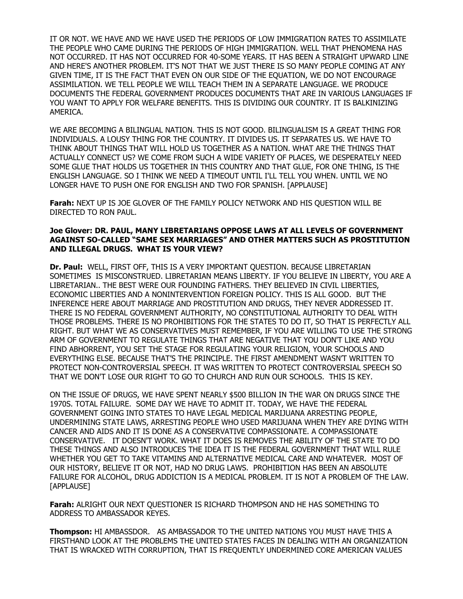IT OR NOT. WE HAVE AND WE HAVE USED THE PERIODS OF LOW IMMIGRATION RATES TO ASSIMILATE THE PEOPLE WHO CAME DURING THE PERIODS OF HIGH IMMIGRATION. WELL THAT PHENOMENA HAS NOT OCCURRED. IT HAS NOT OCCURRED FOR 40-SOME YEARS. IT HAS BEEN A STRAIGHT UPWARD LINE AND HERE'S ANOTHER PROBLEM. IT'S NOT THAT WE JUST THERE IS SO MANY PEOPLE COMING AT ANY GIVEN TIME, IT IS THE FACT THAT EVEN ON OUR SIDE OF THE EQUATION, WE DO NOT ENCOURAGE ASSIMILATION. WE TELL PEOPLE WE WILL TEACH THEM IN A SEPARATE LANGUAGE. WE PRODUCE DOCUMENTS THE FEDERAL GOVERNMENT PRODUCES DOCUMENTS THAT ARE IN VARIOUS LANGUAGES IF YOU WANT TO APPLY FOR WELFARE BENEFITS. THIS IS DIVIDING OUR COUNTRY. IT IS BALKINIZING AMERICA.

WE ARE BECOMING A BILINGUAL NATION. THIS IS NOT GOOD. BILINGUALISM IS A GREAT THING FOR INDIVIDUALS. A LOUSY THING FOR THE COUNTRY. IT DIVIDES US. IT SEPARATES US. WE HAVE TO THINK ABOUT THINGS THAT WILL HOLD US TOGETHER AS A NATION. WHAT ARE THE THINGS THAT ACTUALLY CONNECT US? WE COME FROM SUCH A WIDE VARIETY OF PLACES, WE DESPERATELY NEED SOME GLUE THAT HOLDS US TOGETHER IN THIS COUNTRY AND THAT GLUE, FOR ONE THING, IS THE ENGLISH LANGUAGE. SO I THINK WE NEED A TIMEOUT UNTIL I'LL TELL YOU WHEN. UNTIL WE NO LONGER HAVE TO PUSH ONE FOR ENGLISH AND TWO FOR SPANISH. [APPLAUSE]

**Farah:** NEXT UP IS JOE GLOVER OF THE FAMILY POLICY NETWORK AND HIS QUESTION WILL BE DIRECTED TO RON PAUL.

## **Joe Glover: DR. PAUL, MANY LIBRETARIANS OPPOSE LAWS AT ALL LEVELS OF GOVERNMENT AGAINST SO-CALLED "SAME SEX MARRIAGES" AND OTHER MATTERS SUCH AS PROSTITUTION AND ILLEGAL DRUGS. WHAT IS YOUR VIEW?**

**Dr. Paul:** WELL, FIRST OFF, THIS IS A VERY IMPORTANT QUESTION. BECAUSE LIBRETARIAN SOMETIMES IS MISCONSTRUED. LIBRETARIAN MEANS LIBERTY. IF YOU BELIEVE IN LIBERTY, YOU ARE A LIBRETARIAN.. THE BEST WERE OUR FOUNDING FATHERS. THEY BELIEVED IN CIVIL LIBERTIES, ECONOMIC LIBERTIES AND A NONINTERVENTION FOREIGN POLICY. THIS IS ALL GOOD. BUT THE INFERENCE HERE ABOUT MARRIAGE AND PROSTITUTION AND DRUGS, THEY NEVER ADDRESSED IT. THERE IS NO FEDERAL GOVERNMENT AUTHORITY, NO CONSTITUTIONAL AUTHORITY TO DEAL WITH THOSE PROBLEMS. THERE IS NO PROHIBITIONS FOR THE STATES TO DO IT, SO THAT IS PERFECTLY ALL RIGHT. BUT WHAT WE AS CONSERVATIVES MUST REMEMBER, IF YOU ARE WILLING TO USE THE STRONG ARM OF GOVERNMENT TO REGULATE THINGS THAT ARE NEGATIVE THAT YOU DON'T LIKE AND YOU FIND ABHORRENT, YOU SET THE STAGE FOR REGULATING YOUR RELIGION, YOUR SCHOOLS AND EVERYTHING ELSE. BECAUSE THAT'S THE PRINCIPLE. THE FIRST AMENDMENT WASN'T WRITTEN TO PROTECT NON-CONTROVERSIAL SPEECH. IT WAS WRITTEN TO PROTECT CONTROVERSIAL SPEECH SO THAT WE DON'T LOSE OUR RIGHT TO GO TO CHURCH AND RUN OUR SCHOOLS. THIS IS KEY.

ON THE ISSUE OF DRUGS, WE HAVE SPENT NEARLY \$500 BILLION IN THE WAR ON DRUGS SINCE THE 1970S. TOTAL FAILURE. SOME DAY WE HAVE TO ADMIT IT. TODAY, WE HAVE THE FEDERAL GOVERNMENT GOING INTO STATES TO HAVE LEGAL MEDICAL MARIJUANA ARRESTING PEOPLE, UNDERMINING STATE LAWS, ARRESTING PEOPLE WHO USED MARIJUANA WHEN THEY ARE DYING WITH CANCER AND AIDS AND IT IS DONE AS A CONSERVATIVE COMPASSIONATE. A COMPASSIONATE CONSERVATIVE. IT DOESN'T WORK. WHAT IT DOES IS REMOVES THE ABILITY OF THE STATE TO DO THESE THINGS AND ALSO INTRODUCES THE IDEA IT IS THE FEDERAL GOVERNMENT THAT WILL RULE WHETHER YOU GET TO TAKE VITAMINS AND ALTERNATIVE MEDICAL CARE AND WHATEVER. MOST OF OUR HISTORY, BELIEVE IT OR NOT, HAD NO DRUG LAWS. PROHIBITION HAS BEEN AN ABSOLUTE FAILURE FOR ALCOHOL, DRUG ADDICTION IS A MEDICAL PROBLEM. IT IS NOT A PROBLEM OF THE LAW. [APPLAUSE]

**Farah:** ALRIGHT OUR NEXT QUESTIONER IS RICHARD THOMPSON AND HE HAS SOMETHING TO ADDRESS TO AMBASSADOR KEYES.

**Thompson:** HI AMBASSDOR. AS AMBASSADOR TO THE UNITED NATIONS YOU MUST HAVE THIS A FIRSTHAND LOOK AT THE PROBLEMS THE UNITED STATES FACES IN DEALING WITH AN ORGANIZATION THAT IS WRACKED WITH CORRUPTION, THAT IS FREQUENTLY UNDERMINED CORE AMERICAN VALUES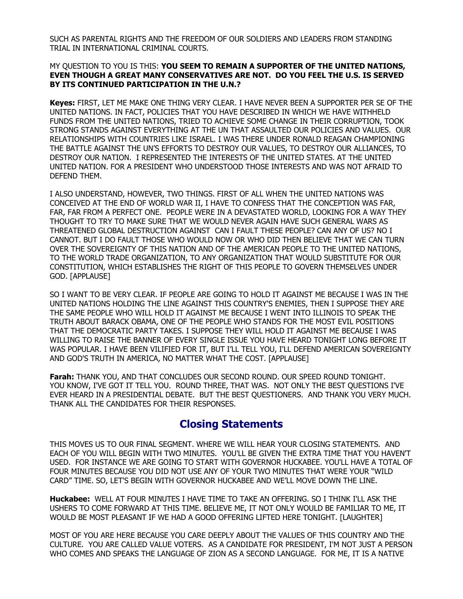SUCH AS PARENTAL RIGHTS AND THE FREEDOM OF OUR SOLDIERS AND LEADERS FROM STANDING TRIAL IN INTERNATIONAL CRIMINAL COURTS.

#### MY QUESTION TO YOU IS THIS: **YOU SEEM TO REMAIN A SUPPORTER OF THE UNITED NATIONS, EVEN THOUGH A GREAT MANY CONSERVATIVES ARE NOT. DO YOU FEEL THE U.S. IS SERVED BY ITS CONTINUED PARTICIPATION IN THE U.N.?**

**Keyes:** FIRST, LET ME MAKE ONE THING VERY CLEAR. I HAVE NEVER BEEN A SUPPORTER PER SE OF THE UNITED NATIONS. IN FACT, POLICIES THAT YOU HAVE DESCRIBED IN WHICH WE HAVE WITHHELD FUNDS FROM THE UNITED NATIONS, TRIED TO ACHIEVE SOME CHANGE IN THEIR CORRUPTION, TOOK STRONG STANDS AGAINST EVERYTHING AT THE UN THAT ASSAULTED OUR POLICIES AND VALUES. OUR RELATIONSHIPS WITH COUNTRIES LIKE ISRAEL. I WAS THERE UNDER RONALD REAGAN CHAMPIONING THE BATTLE AGAINST THE UN'S EFFORTS TO DESTROY OUR VALUES, TO DESTROY OUR ALLIANCES, TO DESTROY OUR NATION. I REPRESENTED THE INTERESTS OF THE UNITED STATES. AT THE UNITED UNITED NATION. FOR A PRESIDENT WHO UNDERSTOOD THOSE INTERESTS AND WAS NOT AFRAID TO DEFEND THEM.

I ALSO UNDERSTAND, HOWEVER, TWO THINGS. FIRST OF ALL WHEN THE UNITED NATIONS WAS CONCEIVED AT THE END OF WORLD WAR II, I HAVE TO CONFESS THAT THE CONCEPTION WAS FAR, FAR, FAR FROM A PERFECT ONE. PEOPLE WERE IN A DEVASTATED WORLD, LOOKING FOR A WAY THEY THOUGHT TO TRY TO MAKE SURE THAT WE WOULD NEVER AGAIN HAVE SUCH GENERAL WARS AS THREATENED GLOBAL DESTRUCTION AGAINST CAN I FAULT THESE PEOPLE? CAN ANY OF US? NO I CANNOT. BUT I DO FAULT THOSE WHO WOULD NOW OR WHO DID THEN BELIEVE THAT WE CAN TURN OVER THE SOVEREIGNTY OF THIS NATION AND OF THE AMERICAN PEOPLE TO THE UNITED NATIONS, TO THE WORLD TRADE ORGANIZATION, TO ANY ORGANIZATION THAT WOULD SUBSTITUTE FOR OUR CONSTITUTION, WHICH ESTABLISHES THE RIGHT OF THIS PEOPLE TO GOVERN THEMSELVES UNDER GOD. [APPLAUSE]

SO I WANT TO BE VERY CLEAR. IF PEOPLE ARE GOING TO HOLD IT AGAINST ME BECAUSE I WAS IN THE UNITED NATIONS HOLDING THE LINE AGAINST THIS COUNTRY'S ENEMIES, THEN I SUPPOSE THEY ARE THE SAME PEOPLE WHO WILL HOLD IT AGAINST ME BECAUSE I WENT INTO ILLINOIS TO SPEAK THE TRUTH ABOUT BARACK OBAMA, ONE OF THE PEOPLE WHO STANDS FOR THE MOST EVIL POSITIONS THAT THE DEMOCRATIC PARTY TAKES. I SUPPOSE THEY WILL HOLD IT AGAINST ME BECAUSE I WAS WILLING TO RAISE THE BANNER OF EVERY SINGLE ISSUE YOU HAVE HEARD TONIGHT LONG BEFORE IT WAS POPULAR. I HAVE BEEN VILIFIED FOR IT, BUT I'LL TELL YOU, I'LL DEFEND AMERICAN SOVEREIGNTY AND GOD'S TRUTH IN AMERICA, NO MATTER WHAT THE COST. [APPLAUSE]

**Farah:** THANK YOU, AND THAT CONCLUDES OUR SECOND ROUND. OUR SPEED ROUND TONIGHT. YOU KNOW, I'VE GOT IT TELL YOU. ROUND THREE, THAT WAS. NOT ONLY THE BEST QUESTIONS I'VE EVER HEARD IN A PRESIDENTIAL DEBATE. BUT THE BEST QUESTIONERS. AND THANK YOU VERY MUCH. THANK ALL THE CANDIDATES FOR THEIR RESPONSES.

## **Closing Statements**

THIS MOVES US TO OUR FINAL SEGMENT. WHERE WE WILL HEAR YOUR CLOSING STATEMENTS. AND EACH OF YOU WILL BEGIN WITH TWO MINUTES. YOU'LL BE GIVEN THE EXTRA TIME THAT YOU HAVEN'T USED. FOR INSTANCE WE ARE GOING TO START WITH GOVERNOR HUCKABEE. YOU'LL HAVE A TOTAL OF FOUR MINUTES BECAUSE YOU DID NOT USE ANY OF YOUR TWO MINUTES THAT WERE YOUR "WILD CARD" TIME. SO, LET'S BEGIN WITH GOVERNOR HUCKABEE AND WE'LL MOVE DOWN THE LINE.

**Huckabee:** WELL AT FOUR MINUTES I HAVE TIME TO TAKE AN OFFERING. SO I THINK I'LL ASK THE USHERS TO COME FORWARD AT THIS TIME. BELIEVE ME, IT NOT ONLY WOULD BE FAMILIAR TO ME, IT WOULD BE MOST PLEASANT IF WE HAD A GOOD OFFERING LIFTED HERE TONIGHT. [LAUGHTER]

MOST OF YOU ARE HERE BECAUSE YOU CARE DEEPLY ABOUT THE VALUES OF THIS COUNTRY AND THE CULTURE. YOU ARE CALLED VALUE VOTERS. AS A CANDIDATE FOR PRESIDENT, I'M NOT JUST A PERSON WHO COMES AND SPEAKS THE LANGUAGE OF ZION AS A SECOND LANGUAGE. FOR ME, IT IS A NATIVE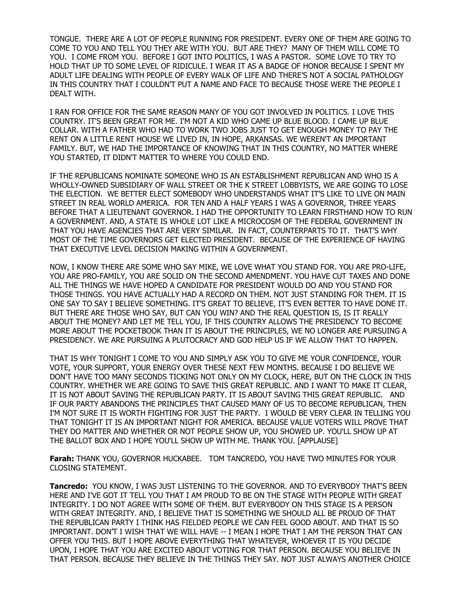TONGUE. THERE ARE A LOT OF PEOPLE RUNNING FOR PRESIDENT. EVERY ONE OF THEM ARE GOING TO COME TO YOU AND TELL YOU THEY ARE WITH YOU. BUT ARE THEY? MANY OF THEM WILL COME TO YOU. I COME FROM YOU. BEFORE I GOT INTO POLITICS, I WAS A PASTOR. SOME LOVE TO TRY TO HOLD THAT UP TO SOME LEVEL OF RIDICULE. I WEAR IT AS A BADGE OF HONOR BECAUSE I SPENT MY ADULT LIFE DEALING WITH PEOPLE OF EVERY WALK OF LIFE AND THERE'S NOT A SOCIAL PATHOLOGY IN THIS COUNTRY THAT I COULDN'T PUT A NAME AND FACE TO BECAUSE THOSE WERE THE PEOPLE I DEALT WITH.

I RAN FOR OFFICE FOR THE SAME REASON MANY OF YOU GOT INVOLVED IN POLITICS. I LOVE THIS COUNTRY. IT'S BEEN GREAT FOR ME. I'M NOT A KID WHO CAME UP BLUE BLOOD. I CAME UP BLUE COLLAR. WITH A FATHER WHO HAD TO WORK TWO JOBS JUST TO GET ENOUGH MONEY TO PAY THE RENT ON A LITTLE RENT HOUSE WE LIVED IN, IN HOPE, ARKANSAS. WE WEREN'T AN IMPORTANT FAMILY. BUT, WE HAD THE IMPORTANCE OF KNOWING THAT IN THIS COUNTRY, NO MATTER WHERE YOU STARTED, IT DIDN'T MATTER TO WHERE YOU COULD END.

IF THE REPUBLICANS NOMINATE SOMEONE WHO IS AN ESTABLISHMENT REPUBLICAN AND WHO IS A WHOLLY-OWNED SUBSIDIARY OF WALL STREET OR THE K STREET LOBBYISTS, WE ARE GOING TO LOSE THE ELECTION. WE BETTER ELECT SOMEBODY WHO UNDERSTANDS WHAT IT'S LIKE TO LIVE ON MAIN STREET IN REAL WORLD AMERICA. FOR TEN AND A HALF YEARS I WAS A GOVERNOR, THREE YEARS BEFORE THAT A LIEUTENANT GOVERNOR. I HAD THE OPPORTUNITY TO LEARN FIRSTHAND HOW TO RUN A GOVERNMENT. AND, A STATE IS WHOLE LOT LIKE A MICROCOSM OF THE FEDERAL GOVERNMENT IN THAT YOU HAVE AGENCIES THAT ARE VERY SIMILAR. IN FACT, COUNTERPARTS TO IT. THAT'S WHY MOST OF THE TIME GOVERNORS GET ELECTED PRESIDENT. BECAUSE OF THE EXPERIENCE OF HAVING THAT EXECUTIVE LEVEL DECISION MAKING WITHIN A GOVERNMENT.

NOW, I KNOW THERE ARE SOME WHO SAY MIKE, WE LOVE WHAT YOU STAND FOR. YOU ARE PRO-LIFE, YOU ARE PRO-FAMILY, YOU ARE SOLID ON THE SECOND AMENDMENT. YOU HAVE CUT TAXES AND DONE ALL THE THINGS WE HAVE HOPED A CANDIDATE FOR PRESIDENT WOULD DO AND YOU STAND FOR THOSE THINGS. YOU HAVE ACTUALLY HAD A RECORD ON THEM. NOT JUST STANDING FOR THEM. IT IS ONE SAY TO SAY I BELIEVE SOMETHING. IT'S GREAT TO BELIEVE, IT'S EVEN BETTER TO HAVE DONE IT. BUT THERE ARE THOSE WHO SAY, BUT CAN YOU WIN? AND THE REAL QUESTION IS, IS IT REALLY ABOUT THE MONEY? AND LET ME TELL YOU, IF THIS COUNTRY ALLOWS THE PRESIDENCY TO BECOME MORE ABOUT THE POCKETBOOK THAN IT IS ABOUT THE PRINCIPLES, WE NO LONGER ARE PURSUING A PRESIDENCY. WE ARE PURSUING A PLUTOCRACY AND GOD HELP US IF WE ALLOW THAT TO HAPPEN.

THAT IS WHY TONIGHT I COME TO YOU AND SIMPLY ASK YOU TO GIVE ME YOUR CONFIDENCE, YOUR VOTE, YOUR SUPPORT, YOUR ENERGY OVER THESE NEXT FEW MONTHS. BECAUSE I DO BELIEVE WE DON'T HAVE TOO MANY SECONDS TICKING NOT ONLY ON MY CLOCK, HERE, BUT ON THE CLOCK IN THIS COUNTRY. WHETHER WE ARE GOING TO SAVE THIS GREAT REPUBLIC. AND I WANT TO MAKE IT CLEAR, IT IS NOT ABOUT SAVING THE REPUBLICAN PARTY. IT IS ABOUT SAVING THIS GREAT REPUBLIC. AND IF OUR PARTY ABANDONS THE PRINCIPLES THAT CAUSED MANY OF US TO BECOME REPUBLICAN, THEN I'M NOT SURE IT IS WORTH FIGHTING FOR JUST THE PARTY. I WOULD BE VERY CLEAR IN TELLING YOU THAT TONIGHT IT IS AN IMPORTANT NIGHT FOR AMERICA. BECAUSE VALUE VOTERS WILL PROVE THAT THEY DO MATTER AND WHETHER OR NOT PEOPLE SHOW UP, YOU SHOWED UP. YOU'LL SHOW UP AT THE BALLOT BOX AND I HOPE YOU'LL SHOW UP WITH ME. THANK YOU. [APPLAUSE]

**Farah:** THANK YOU, GOVERNOR HUCKABEE. TOM TANCREDO, YOU HAVE TWO MINUTES FOR YOUR CLOSING STATEMENT.

**Tancredo:** YOU KNOW, I WAS JUST LISTENING TO THE GOVERNOR. AND TO EVERYBODY THAT'S BEEN HERE AND I'VE GOT IT TELL YOU THAT I AM PROUD TO BE ON THE STAGE WITH PEOPLE WITH GREAT INTEGRITY. I DO NOT AGREE WITH SOME OF THEM. BUT EVERYBODY ON THIS STAGE IS A PERSON WITH GREAT INTEGRITY. AND, I BELIEVE THAT IS SOMETHING WE SHOULD ALL BE PROUD OF THAT THE REPUBLICAN PARTY I THINK HAS FIELDED PEOPLE WE CAN FEEL GOOD ABOUT. AND THAT IS SO IMPORTANT. DON'T I WISH THAT WE WILL HAVE -- I MEAN I HOPE THAT I AM THE PERSON THAT CAN OFFER YOU THIS. BUT I HOPE ABOVE EVERYTHING THAT WHATEVER, WHOEVER IT IS YOU DECIDE UPON, I HOPE THAT YOU ARE EXCITED ABOUT VOTING FOR THAT PERSON. BECAUSE YOU BELIEVE IN THAT PERSON. BECAUSE THEY BELIEVE IN THE THINGS THEY SAY. NOT JUST ALWAYS ANOTHER CHOICE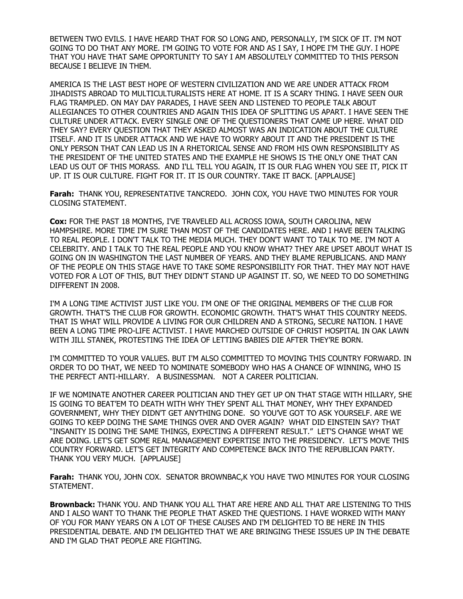BETWEEN TWO EVILS. I HAVE HEARD THAT FOR SO LONG AND, PERSONALLY, I'M SICK OF IT. I'M NOT GOING TO DO THAT ANY MORE. I'M GOING TO VOTE FOR AND AS I SAY, I HOPE I'M THE GUY. I HOPE THAT YOU HAVE THAT SAME OPPORTUNITY TO SAY I AM ABSOLUTELY COMMITTED TO THIS PERSON BECAUSE I BELIEVE IN THEM.

AMERICA IS THE LAST BEST HOPE OF WESTERN CIVILIZATION AND WE ARE UNDER ATTACK FROM JIHADISTS ABROAD TO MULTICULTURALISTS HERE AT HOME. IT IS A SCARY THING. I HAVE SEEN OUR FLAG TRAMPLED. ON MAY DAY PARADES, I HAVE SEEN AND LISTENED TO PEOPLE TALK ABOUT ALLEGIANCES TO OTHER COUNTRIES AND AGAIN THIS IDEA OF SPLITTING US APART. I HAVE SEEN THE CULTURE UNDER ATTACK. EVERY SINGLE ONE OF THE QUESTIONERS THAT CAME UP HERE. WHAT DID THEY SAY? EVERY QUESTION THAT THEY ASKED ALMOST WAS AN INDICATION ABOUT THE CULTURE ITSELF. AND IT IS UNDER ATTACK AND WE HAVE TO WORRY ABOUT IT AND THE PRESIDENT IS THE ONLY PERSON THAT CAN LEAD US IN A RHETORICAL SENSE AND FROM HIS OWN RESPONSIBILITY AS THE PRESIDENT OF THE UNITED STATES AND THE EXAMPLE HE SHOWS IS THE ONLY ONE THAT CAN LEAD US OUT OF THIS MORASS. AND I'LL TELL YOU AGAIN, IT IS OUR FLAG WHEN YOU SEE IT, PICK IT UP. IT IS OUR CULTURE. FIGHT FOR IT. IT IS OUR COUNTRY. TAKE IT BACK. [APPLAUSE]

**Farah:** THANK YOU, REPRESENTATIVE TANCREDO. JOHN COX, YOU HAVE TWO MINUTES FOR YOUR CLOSING STATEMENT.

**Cox:** FOR THE PAST 18 MONTHS, I'VE TRAVELED ALL ACROSS IOWA, SOUTH CAROLINA, NEW HAMPSHIRE. MORE TIME I'M SURE THAN MOST OF THE CANDIDATES HERE. AND I HAVE BEEN TALKING TO REAL PEOPLE. I DON'T TALK TO THE MEDIA MUCH. THEY DON'T WANT TO TALK TO ME. I'M NOT A CELEBRITY. AND I TALK TO THE REAL PEOPLE AND YOU KNOW WHAT? THEY ARE UPSET ABOUT WHAT IS GOING ON IN WASHINGTON THE LAST NUMBER OF YEARS. AND THEY BLAME REPUBLICANS. AND MANY OF THE PEOPLE ON THIS STAGE HAVE TO TAKE SOME RESPONSIBILITY FOR THAT. THEY MAY NOT HAVE VOTED FOR A LOT OF THIS, BUT THEY DIDN'T STAND UP AGAINST IT. SO, WE NEED TO DO SOMETHING DIFFERENT IN 2008.

I'M A LONG TIME ACTIVIST JUST LIKE YOU. I'M ONE OF THE ORIGINAL MEMBERS OF THE CLUB FOR GROWTH. THAT'S THE CLUB FOR GROWTH. ECONOMIC GROWTH. THAT'S WHAT THIS COUNTRY NEEDS. THAT IS WHAT WILL PROVIDE A LIVING FOR OUR CHILDREN AND A STRONG, SECURE NATION. I HAVE BEEN A LONG TIME PRO-LIFE ACTIVIST. I HAVE MARCHED OUTSIDE OF CHRIST HOSPITAL IN OAK LAWN WITH JILL STANEK, PROTESTING THE IDEA OF LETTING BABIES DIE AFTER THEY'RE BORN.

I'M COMMITTED TO YOUR VALUES. BUT I'M ALSO COMMITTED TO MOVING THIS COUNTRY FORWARD. IN ORDER TO DO THAT, WE NEED TO NOMINATE SOMEBODY WHO HAS A CHANCE OF WINNING, WHO IS THE PERFECT ANTI-HILLARY. A BUSINESSMAN. NOT A CAREER POLITICIAN.

IF WE NOMINATE ANOTHER CAREER POLITICIAN AND THEY GET UP ON THAT STAGE WITH HILLARY, SHE IS GOING TO BEAT'EM TO DEATH WITH WHY THEY SPENT ALL THAT MONEY, WHY THEY EXPANDED GOVERNMENT, WHY THEY DIDN'T GET ANYTHING DONE. SO YOU'VE GOT TO ASK YOURSELF. ARE WE GOING TO KEEP DOING THE SAME THINGS OVER AND OVER AGAIN? WHAT DID EINSTEIN SAY? THAT "INSANITY IS DOING THE SAME THINGS, EXPECTING A DIFFERENT RESULT." LET'S CHANGE WHAT WE ARE DOING. LET'S GET SOME REAL MANAGEMENT EXPERTISE INTO THE PRESIDENCY. LET'S MOVE THIS COUNTRY FORWARD. LET'S GET INTEGRITY AND COMPETENCE BACK INTO THE REPUBLICAN PARTY. THANK YOU VERY MUCH. [APPLAUSE]

**Farah:** THANK YOU, JOHN COX. SENATOR BROWNBAC,K YOU HAVE TWO MINUTES FOR YOUR CLOSING STATEMENT.

**Brownback:** THANK YOU. AND THANK YOU ALL THAT ARE HERE AND ALL THAT ARE LISTENING TO THIS AND I ALSO WANT TO THANK THE PEOPLE THAT ASKED THE QUESTIONS. I HAVE WORKED WITH MANY OF YOU FOR MANY YEARS ON A LOT OF THESE CAUSES AND I'M DELIGHTED TO BE HERE IN THIS PRESIDENTIAL DEBATE. AND I'M DELIGHTED THAT WE ARE BRINGING THESE ISSUES UP IN THE DEBATE AND I'M GLAD THAT PEOPLE ARE FIGHTING.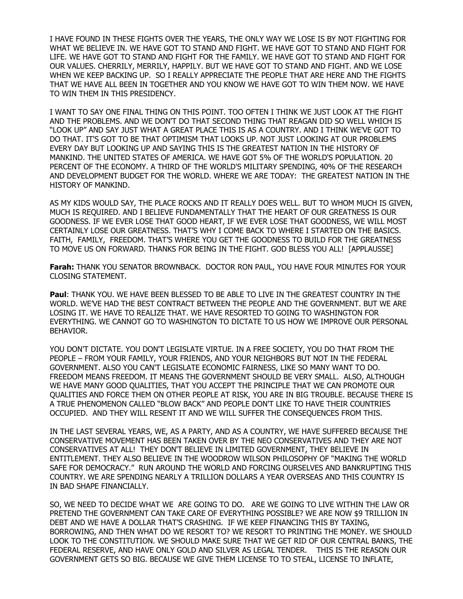I HAVE FOUND IN THESE FIGHTS OVER THE YEARS, THE ONLY WAY WE LOSE IS BY NOT FIGHTING FOR WHAT WE BELIEVE IN. WE HAVE GOT TO STAND AND FIGHT. WE HAVE GOT TO STAND AND FIGHT FOR LIFE. WE HAVE GOT TO STAND AND FIGHT FOR THE FAMILY. WE HAVE GOT TO STAND AND FIGHT FOR OUR VALUES. CHERRILY, MERRILY, HAPPILY. BUT WE HAVE GOT TO STAND AND FIGHT. AND WE LOSE WHEN WE KEEP BACKING UP. SO I REALLY APPRECIATE THE PEOPLE THAT ARE HERE AND THE FIGHTS THAT WE HAVE ALL BEEN IN TOGETHER AND YOU KNOW WE HAVE GOT TO WIN THEM NOW. WE HAVE TO WIN THEM IN THIS PRESIDENCY.

I WANT TO SAY ONE FINAL THING ON THIS POINT. TOO OFTEN I THINK WE JUST LOOK AT THE FIGHT AND THE PROBLEMS. AND WE DON'T DO THAT SECOND THING THAT REAGAN DID SO WELL WHICH IS "LOOK UP" AND SAY JUST WHAT A GREAT PLACE THIS IS AS A COUNTRY. AND I THINK WE'VE GOT TO DO THAT. IT'S GOT TO BE THAT OPTIMISM THAT LOOKS UP. NOT JUST LOOKING AT OUR PROBLEMS EVERY DAY BUT LOOKING UP AND SAYING THIS IS THE GREATEST NATION IN THE HISTORY OF MANKIND. THE UNITED STATES OF AMERICA. WE HAVE GOT 5% OF THE WORLD'S POPULATION. 20 PERCENT OF THE ECONOMY. A THIRD OF THE WORLD'S MILITARY SPENDING, 40% OF THE RESEARCH AND DEVELOPMENT BUDGET FOR THE WORLD. WHERE WE ARE TODAY: THE GREATEST NATION IN THE HISTORY OF MANKIND.

AS MY KIDS WOULD SAY, THE PLACE ROCKS AND IT REALLY DOES WELL. BUT TO WHOM MUCH IS GIVEN, MUCH IS REQUIRED. AND I BELIEVE FUNDAMENTALLY THAT THE HEART OF OUR GREATNESS IS OUR GOODNESS. IF WE EVER LOSE THAT GOOD HEART, IF WE EVER LOSE THAT GOODNESS, WE WILL MOST CERTAINLY LOSE OUR GREATNESS. THAT'S WHY I COME BACK TO WHERE I STARTED ON THE BASICS. FAITH, FAMILY, FREEDOM. THAT'S WHERE YOU GET THE GOODNESS TO BUILD FOR THE GREATNESS TO MOVE US ON FORWARD. THANKS FOR BEING IN THE FIGHT. GOD BLESS YOU ALL! [APPLAUSSE]

**Farah:** THANK YOU SENATOR BROWNBACK. DOCTOR RON PAUL, YOU HAVE FOUR MINUTES FOR YOUR CLOSING STATEMENT.

**Paul**: THANK YOU. WE HAVE BEEN BLESSED TO BE ABLE TO LIVE IN THE GREATEST COUNTRY IN THE WORLD. WE'VE HAD THE BEST CONTRACT BETWEEN THE PEOPLE AND THE GOVERNMENT. BUT WE ARE LOSING IT. WE HAVE TO REALIZE THAT. WE HAVE RESORTED TO GOING TO WASHINGTON FOR EVERYTHING. WE CANNOT GO TO WASHINGTON TO DICTATE TO US HOW WE IMPROVE OUR PERSONAL BEHAVIOR.

YOU DON'T DICTATE. YOU DON'T LEGISLATE VIRTUE. IN A FREE SOCIETY, YOU DO THAT FROM THE PEOPLE – FROM YOUR FAMILY, YOUR FRIENDS, AND YOUR NEIGHBORS BUT NOT IN THE FEDERAL GOVERNMENT. ALSO YOU CAN'T LEGISLATE ECONOMIC FAIRNESS, LIKE SO MANY WANT TO DO. FREEDOM MEANS FREEDOM. IT MEANS THE GOVERNMENT SHOULD BE VERY SMALL. ALSO, ALTHOUGH WE HAVE MANY GOOD QUALITIES, THAT YOU ACCEPT THE PRINCIPLE THAT WE CAN PROMOTE OUR QUALITIES AND FORCE THEM ON OTHER PEOPLE AT RISK, YOU ARE IN BIG TROUBLE. BECAUSE THERE IS A TRUE PHENOMENON CALLED "BLOW BACK" AND PEOPLE DON'T LIKE TO HAVE THEIR COUNTRIES OCCUPIED. AND THEY WILL RESENT IT AND WE WILL SUFFER THE CONSEQUENCES FROM THIS.

IN THE LAST SEVERAL YEARS, WE, AS A PARTY, AND AS A COUNTRY, WE HAVE SUFFERED BECAUSE THE CONSERVATIVE MOVEMENT HAS BEEN TAKEN OVER BY THE NEO CONSERVATIVES AND THEY ARE NOT CONSERVATIVES AT ALL! THEY DON'T BELIEVE IN LIMITED GOVERNMENT, THEY BELIEVE IN ENTITLEMENT. THEY ALSO BELIEVE IN THE WOODROW WILSON PHILOSOPHY OF "MAKING THE WORLD SAFE FOR DEMOCRACY." RUN AROUND THE WORLD AND FORCING OURSELVES AND BANKRUPTING THIS COUNTRY. WE ARE SPENDING NEARLY A TRILLION DOLLARS A YEAR OVERSEAS AND THIS COUNTRY IS IN BAD SHAPE FINANCIALLY.

SO, WE NEED TO DECIDE WHAT WE ARE GOING TO DO. ARE WE GOING TO LIVE WITHIN THE LAW OR PRETEND THE GOVERNMENT CAN TAKE CARE OF EVERYTHING POSSIBLE? WE ARE NOW \$9 TRILLION IN DEBT AND WE HAVE A DOLLAR THAT'S CRASHING. IF WE KEEP FINANCING THIS BY TAXING, BORROWING, AND THEN WHAT DO WE RESORT TO? WE RESORT TO PRINTING THE MONEY. WE SHOULD LOOK TO THE CONSTITUTION. WE SHOULD MAKE SURE THAT WE GET RID OF OUR CENTRAL BANKS, THE FEDERAL RESERVE, AND HAVE ONLY GOLD AND SILVER AS LEGAL TENDER. THIS IS THE REASON OUR GOVERNMENT GETS SO BIG. BECAUSE WE GIVE THEM LICENSE TO TO STEAL, LICENSE TO INFLATE,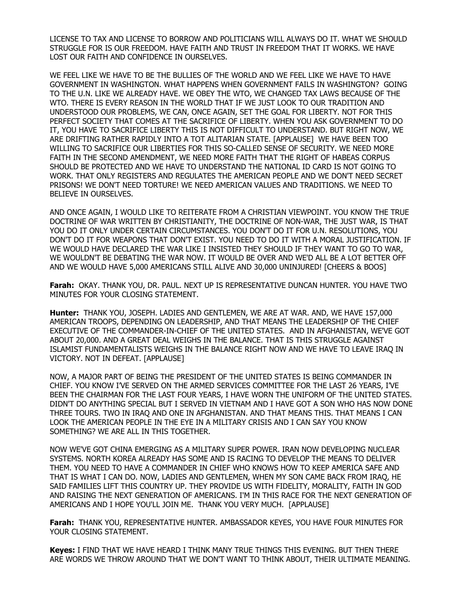LICENSE TO TAX AND LICENSE TO BORROW AND POLITICIANS WILL ALWAYS DO IT. WHAT WE SHOULD STRUGGLE FOR IS OUR FREEDOM. HAVE FAITH AND TRUST IN FREEDOM THAT IT WORKS. WE HAVE LOST OUR FAITH AND CONFIDENCE IN OURSELVES.

WE FEEL LIKE WE HAVE TO BE THE BULLIES OF THE WORLD AND WE FEEL LIKE WE HAVE TO HAVE GOVERNMENT IN WASHINGTON. WHAT HAPPENS WHEN GOVERNMENT FAILS IN WASHINGTON? GOING TO THE U.N. LIKE WE ALREADY HAVE. WE OBEY THE WTO, WE CHANGED TAX LAWS BECAUSE OF THE WTO. THERE IS EVERY REASON IN THE WORLD THAT IF WE JUST LOOK TO OUR TRADITION AND UNDERSTOOD OUR PROBLEMS, WE CAN, ONCE AGAIN, SET THE GOAL FOR LIBERTY. NOT FOR THIS PERFECT SOCIETY THAT COMES AT THE SACRIFICE OF LIBERTY. WHEN YOU ASK GOVERNMENT TO DO IT, YOU HAVE TO SACRIFICE LIBERTY THIS IS NOT DIFFICULT TO UNDERSTAND. BUT RIGHT NOW, WE ARE DRIFTING RATHER RAPIDLY INTO A TOT ALITARIAN STATE. [APPLAUSE] WE HAVE BEEN TOO WILLING TO SACRIFICE OUR LIBERTIES FOR THIS SO-CALLED SENSE OF SECURITY. WE NEED MORE FAITH IN THE SECOND AMENDMENT, WE NEED MORE FAITH THAT THE RIGHT OF HABEAS CORPUS SHOULD BE PROTECTED AND WE HAVE TO UNDERSTAND THE NATIONAL ID CARD IS NOT GOING TO WORK. THAT ONLY REGISTERS AND REGULATES THE AMERICAN PEOPLE AND WE DON'T NEED SECRET PRISONS! WE DON'T NEED TORTURE! WE NEED AMERICAN VALUES AND TRADITIONS. WE NEED TO BELIEVE IN OURSELVES.

AND ONCE AGAIN, I WOULD LIKE TO REITERATE FROM A CHRISTIAN VIEWPOINT. YOU KNOW THE TRUE DOCTRINE OF WAR WRITTEN BY CHRISTIANITY, THE DOCTRINE OF NON-WAR, THE JUST WAR, IS THAT YOU DO IT ONLY UNDER CERTAIN CIRCUMSTANCES. YOU DON'T DO IT FOR U.N. RESOLUTIONS, YOU DON'T DO IT FOR WEAPONS THAT DON'T EXIST. YOU NEED TO DO IT WITH A MORAL JUSTIFICATION. IF WE WOULD HAVE DECLARED THE WAR LIKE I INSISTED THEY SHOULD IF THEY WANT TO GO TO WAR, WE WOULDN'T BE DEBATING THE WAR NOW. IT WOULD BE OVER AND WE'D ALL BE A LOT BETTER OFF AND WE WOULD HAVE 5,000 AMERICANS STILL ALIVE AND 30,000 UNINJURED! [CHEERS & BOOS]

**Farah:** OKAY. THANK YOU, DR. PAUL. NEXT UP IS REPRESENTATIVE DUNCAN HUNTER. YOU HAVE TWO MINUTES FOR YOUR CLOSING STATEMENT.

**Hunter:** THANK YOU, JOSEPH. LADIES AND GENTLEMEN, WE ARE AT WAR. AND, WE HAVE 157,000 AMERICAN TROOPS, DEPENDING ON LEADERSHIP, AND THAT MEANS THE LEADERSHIP OF THE CHIEF EXECUTIVE OF THE COMMANDER-IN-CHIEF OF THE UNITED STATES. AND IN AFGHANISTAN, WE'VE GOT ABOUT 20,000. AND A GREAT DEAL WEIGHS IN THE BALANCE. THAT IS THIS STRUGGLE AGAINST ISLAMIST FUNDAMENTALISTS WEIGHS IN THE BALANCE RIGHT NOW AND WE HAVE TO LEAVE IRAQ IN VICTORY. NOT IN DEFEAT. [APPLAUSE]

NOW, A MAJOR PART OF BEING THE PRESIDENT OF THE UNITED STATES IS BEING COMMANDER IN CHIEF. YOU KNOW I'VE SERVED ON THE ARMED SERVICES COMMITTEE FOR THE LAST 26 YEARS, I'VE BEEN THE CHAIRMAN FOR THE LAST FOUR YEARS, I HAVE WORN THE UNIFORM OF THE UNITED STATES. DIDN'T DO ANYTHING SPECIAL BUT I SERVED IN VIETNAM AND I HAVE GOT A SON WHO HAS NOW DONE THREE TOURS. TWO IN IRAQ AND ONE IN AFGHANISTAN. AND THAT MEANS THIS. THAT MEANS I CAN LOOK THE AMERICAN PEOPLE IN THE EYE IN A MILITARY CRISIS AND I CAN SAY YOU KNOW SOMETHING? WE ARE ALL IN THIS TOGETHER.

NOW WE'VE GOT CHINA EMERGING AS A MILITARY SUPER POWER. IRAN NOW DEVELOPING NUCLEAR SYSTEMS. NORTH KOREA ALREADY HAS SOME AND IS RACING TO DEVELOP THE MEANS TO DELIVER THEM. YOU NEED TO HAVE A COMMANDER IN CHIEF WHO KNOWS HOW TO KEEP AMERICA SAFE AND THAT IS WHAT I CAN DO. NOW, LADIES AND GENTLEMEN, WHEN MY SON CAME BACK FROM IRAQ, HE SAID FAMILIES LIFT THIS COUNTRY UP. THEY PROVIDE US WITH FIDELITY, MORALITY, FAITH IN GOD AND RAISING THE NEXT GENERATION OF AMERICANS. I'M IN THIS RACE FOR THE NEXT GENERATION OF AMERICANS AND I HOPE YOU'LL JOIN ME. THANK YOU VERY MUCH. [APPLAUSE]

**Farah:** THANK YOU, REPRESENTATIVE HUNTER. AMBASSADOR KEYES, YOU HAVE FOUR MINUTES FOR YOUR CLOSING STATEMENT.

**Keyes:** I FIND THAT WE HAVE HEARD I THINK MANY TRUE THINGS THIS EVENING. BUT THEN THERE ARE WORDS WE THROW AROUND THAT WE DON'T WANT TO THINK ABOUT, THEIR ULTIMATE MEANING.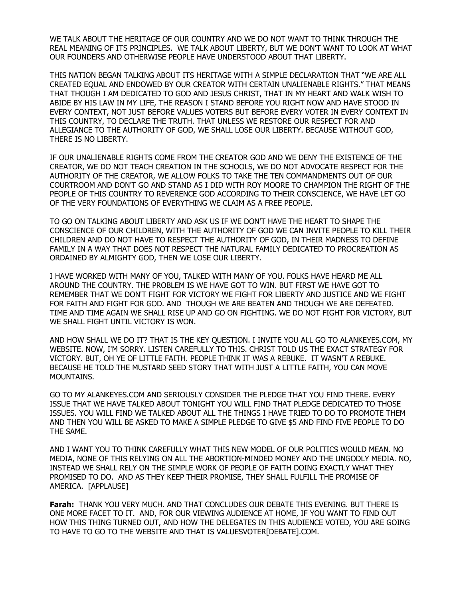WE TALK ABOUT THE HERITAGE OF OUR COUNTRY AND WE DO NOT WANT TO THINK THROUGH THE REAL MEANING OF ITS PRINCIPLES. WE TALK ABOUT LIBERTY, BUT WE DON'T WANT TO LOOK AT WHAT OUR FOUNDERS AND OTHERWISE PEOPLE HAVE UNDERSTOOD ABOUT THAT LIBERTY.

THIS NATION BEGAN TALKING ABOUT ITS HERITAGE WITH A SIMPLE DECLARATION THAT "WE ARE ALL CREATED EQUAL AND ENDOWED BY OUR CREATOR WITH CERTAIN UNALIENABLE RIGHTS." THAT MEANS THAT THOUGH I AM DEDICATED TO GOD AND JESUS CHRIST, THAT IN MY HEART AND WALK WISH TO ABIDE BY HIS LAW IN MY LIFE, THE REASON I STAND BEFORE YOU RIGHT NOW AND HAVE STOOD IN EVERY CONTEXT, NOT JUST BEFORE VALUES VOTERS BUT BEFORE EVERY VOTER IN EVERY CONTEXT IN THIS COUNTRY, TO DECLARE THE TRUTH. THAT UNLESS WE RESTORE OUR RESPECT FOR AND ALLEGIANCE TO THE AUTHORITY OF GOD, WE SHALL LOSE OUR LIBERTY. BECAUSE WITHOUT GOD, THERE IS NO LIBERTY.

IF OUR UNALIENABLE RIGHTS COME FROM THE CREATOR GOD AND WE DENY THE EXISTENCE OF THE CREATOR, WE DO NOT TEACH CREATION IN THE SCHOOLS, WE DO NOT ADVOCATE RESPECT FOR THE AUTHORITY OF THE CREATOR, WE ALLOW FOLKS TO TAKE THE TEN COMMANDMENTS OUT OF OUR COURTROOM AND DON'T GO AND STAND AS I DID WITH ROY MOORE TO CHAMPION THE RIGHT OF THE PEOPLE OF THIS COUNTRY TO REVERENCE GOD ACCORDING TO THEIR CONSCIENCE, WE HAVE LET GO OF THE VERY FOUNDATIONS OF EVERYTHING WE CLAIM AS A FREE PEOPLE.

TO GO ON TALKING ABOUT LIBERTY AND ASK US IF WE DON'T HAVE THE HEART TO SHAPE THE CONSCIENCE OF OUR CHILDREN, WITH THE AUTHORITY OF GOD WE CAN INVITE PEOPLE TO KILL THEIR CHILDREN AND DO NOT HAVE TO RESPECT THE AUTHORITY OF GOD, IN THEIR MADNESS TO DEFINE FAMILY IN A WAY THAT DOES NOT RESPECT THE NATURAL FAMILY DEDICATED TO PROCREATION AS ORDAINED BY ALMIGHTY GOD, THEN WE LOSE OUR LIBERTY.

I HAVE WORKED WITH MANY OF YOU, TALKED WITH MANY OF YOU. FOLKS HAVE HEARD ME ALL AROUND THE COUNTRY. THE PROBLEM IS WE HAVE GOT TO WIN. BUT FIRST WE HAVE GOT TO REMEMBER THAT WE DON'T FIGHT FOR VICTORY WE FIGHT FOR LIBERTY AND JUSTICE AND WE FIGHT FOR FAITH AND FIGHT FOR GOD. AND THOUGH WE ARE BEATEN AND THOUGH WE ARE DEFEATED. TIME AND TIME AGAIN WE SHALL RISE UP AND GO ON FIGHTING. WE DO NOT FIGHT FOR VICTORY, BUT WE SHALL FIGHT UNTIL VICTORY IS WON.

AND HOW SHALL WE DO IT? THAT IS THE KEY QUESTION. I INVITE YOU ALL GO TO ALANKEYES.COM, MY WEBSITE. NOW, I'M SORRY. LISTEN CAREFULLY TO THIS. CHRIST TOLD US THE EXACT STRATEGY FOR VICTORY. BUT, OH YE OF LITTLE FAITH. PEOPLE THINK IT WAS A REBUKE. IT WASN'T A REBUKE. BECAUSE HE TOLD THE MUSTARD SEED STORY THAT WITH JUST A LITTLE FAITH, YOU CAN MOVE MOUNTAINS.

GO TO MY ALANKEYES.COM AND SERIOUSLY CONSIDER THE PLEDGE THAT YOU FIND THERE. EVERY ISSUE THAT WE HAVE TALKED ABOUT TONIGHT YOU WILL FIND THAT PLEDGE DEDICATED TO THOSE ISSUES. YOU WILL FIND WE TALKED ABOUT ALL THE THINGS I HAVE TRIED TO DO TO PROMOTE THEM AND THEN YOU WILL BE ASKED TO MAKE A SIMPLE PLEDGE TO GIVE \$5 AND FIND FIVE PEOPLE TO DO THE SAME.

AND I WANT YOU TO THINK CAREFULLY WHAT THIS NEW MODEL OF OUR POLITICS WOULD MEAN. NO MEDIA, NONE OF THIS RELYING ON ALL THE ABORTION-MINDED MONEY AND THE UNGODLY MEDIA. NO, INSTEAD WE SHALL RELY ON THE SIMPLE WORK OF PEOPLE OF FAITH DOING EXACTLY WHAT THEY PROMISED TO DO. AND AS THEY KEEP THEIR PROMISE, THEY SHALL FULFILL THE PROMISE OF AMERICA. [APPLAUSE]

**Farah:** THANK YOU VERY MUCH. AND THAT CONCLUDES OUR DEBATE THIS EVENING. BUT THERE IS ONE MORE FACET TO IT. AND, FOR OUR VIEWING AUDIENCE AT HOME, IF YOU WANT TO FIND OUT HOW THIS THING TURNED OUT, AND HOW THE DELEGATES IN THIS AUDIENCE VOTED, YOU ARE GOING TO HAVE TO GO TO THE WEBSITE AND THAT IS VALUESVOTER[DEBATE].COM.